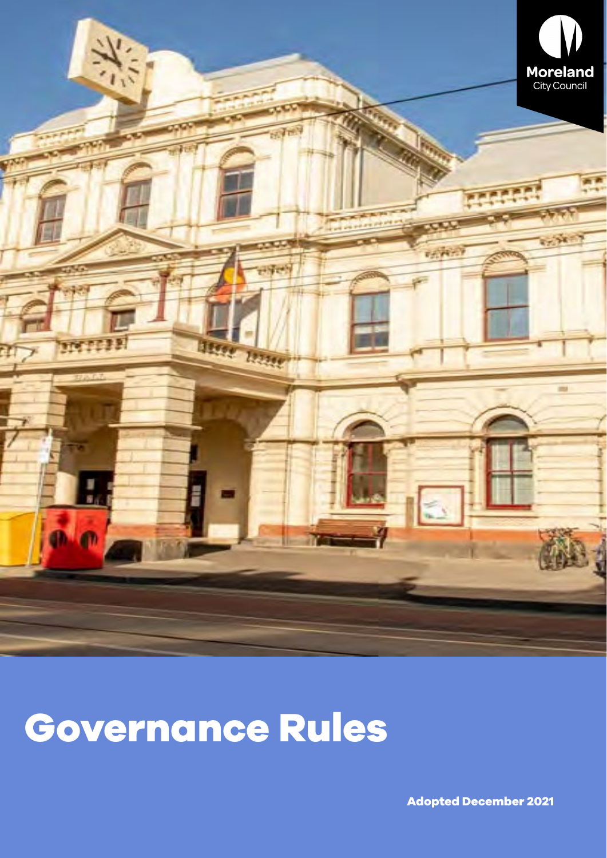

# **Governance Rules**

**Adopted December 2021**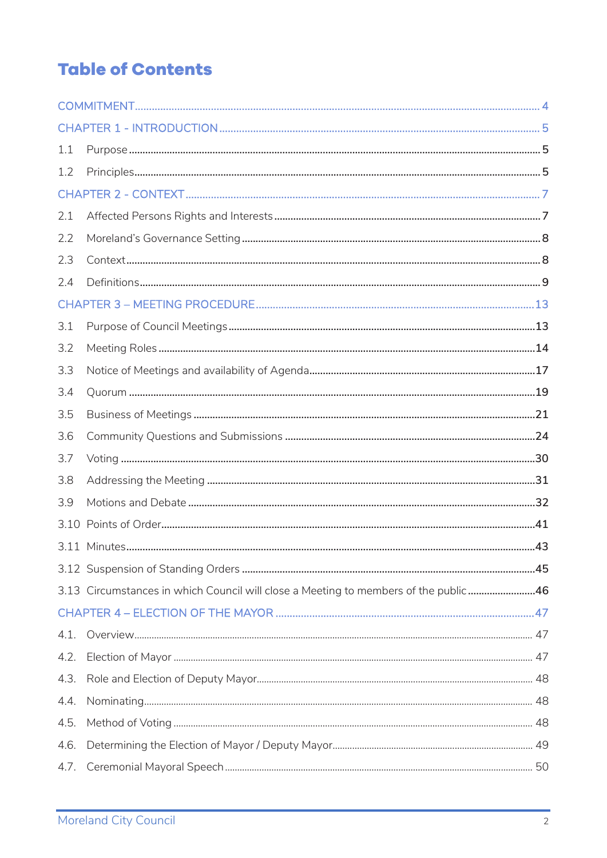# **Table of Contents**

| 1.1  |                                                                                     |  |
|------|-------------------------------------------------------------------------------------|--|
| 1.2  |                                                                                     |  |
|      |                                                                                     |  |
| 2.1  |                                                                                     |  |
| 2.2  |                                                                                     |  |
| 2.3  |                                                                                     |  |
| 2.4  |                                                                                     |  |
|      |                                                                                     |  |
| 3.1  |                                                                                     |  |
| 3.2  |                                                                                     |  |
| 3.3  |                                                                                     |  |
| 3.4  |                                                                                     |  |
| 3.5  |                                                                                     |  |
| 3.6  |                                                                                     |  |
| 3.7  |                                                                                     |  |
| 3.8  |                                                                                     |  |
| 3.9  |                                                                                     |  |
|      |                                                                                     |  |
|      |                                                                                     |  |
|      |                                                                                     |  |
|      | 3.13 Circumstances in which Council will close a Meeting to members of the public46 |  |
|      |                                                                                     |  |
| 4.1. |                                                                                     |  |
| 4.2. |                                                                                     |  |
| 4.3. |                                                                                     |  |
| 4.4. |                                                                                     |  |
| 4.5. |                                                                                     |  |
| 4.6. |                                                                                     |  |
| 4.7. |                                                                                     |  |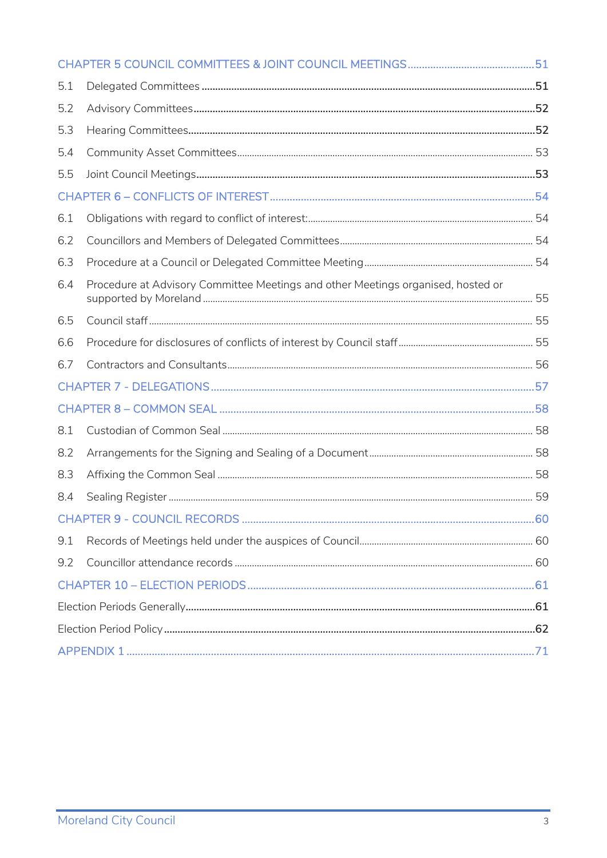| 5.1 |                                                                                  |  |
|-----|----------------------------------------------------------------------------------|--|
| 5.2 |                                                                                  |  |
| 5.3 |                                                                                  |  |
| 5.4 |                                                                                  |  |
| 5.5 |                                                                                  |  |
|     |                                                                                  |  |
| 6.1 |                                                                                  |  |
| 6.2 |                                                                                  |  |
| 6.3 |                                                                                  |  |
| 6.4 | Procedure at Advisory Committee Meetings and other Meetings organised, hosted or |  |
| 6.5 |                                                                                  |  |
| 6.6 |                                                                                  |  |
| 6.7 |                                                                                  |  |
|     |                                                                                  |  |
|     |                                                                                  |  |
| 8.1 |                                                                                  |  |
| 8.2 |                                                                                  |  |
| 8.3 |                                                                                  |  |
| 8.4 |                                                                                  |  |
|     |                                                                                  |  |
| 9.1 |                                                                                  |  |
| 9.2 |                                                                                  |  |
|     |                                                                                  |  |
|     |                                                                                  |  |
|     |                                                                                  |  |
|     |                                                                                  |  |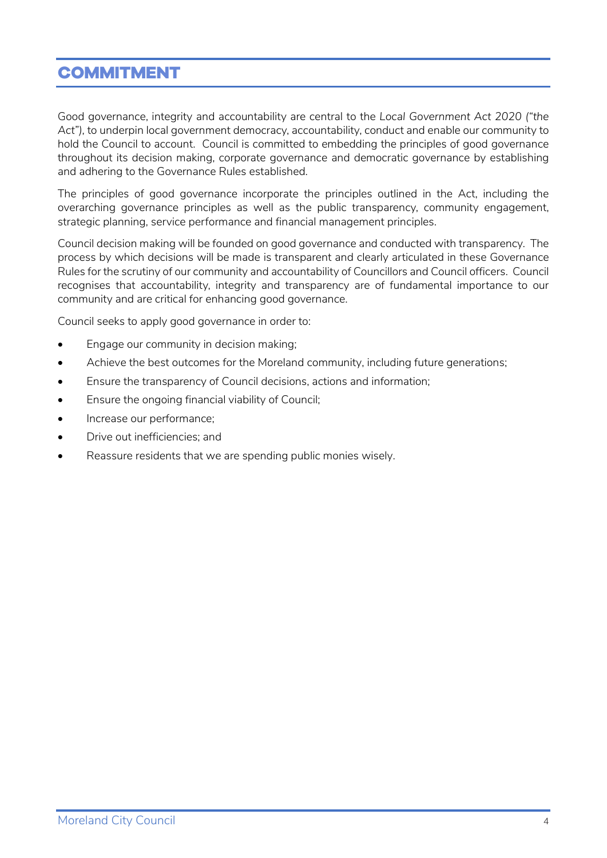### <span id="page-3-0"></span>**COMMITMENT**

Good governance, integrity and accountability are central to the *Local Government Act 2020 ("the Act"),* to underpin local government democracy, accountability, conduct and enable our community to hold the Council to account. Council is committed to embedding the principles of good governance throughout its decision making, corporate governance and democratic governance by establishing and adhering to the Governance Rules established.

The principles of good governance incorporate the principles outlined in the Act, including the overarching governance principles as well as the public transparency, community engagement, strategic planning, service performance and financial management principles.

Council decision making will be founded on good governance and conducted with transparency. The process by which decisions will be made is transparent and clearly articulated in these Governance Rules for the scrutiny of our community and accountability of Councillors and Council officers. Council recognises that accountability, integrity and transparency are of fundamental importance to our community and are critical for enhancing good governance.

Council seeks to apply good governance in order to:

- Engage our community in decision making;
- Achieve the best outcomes for the Moreland community, including future generations;
- Ensure the transparency of Council decisions, actions and information;
- Ensure the ongoing financial viability of Council;
- Increase our performance;
- Drive out inefficiencies; and
- Reassure residents that we are spending public monies wisely.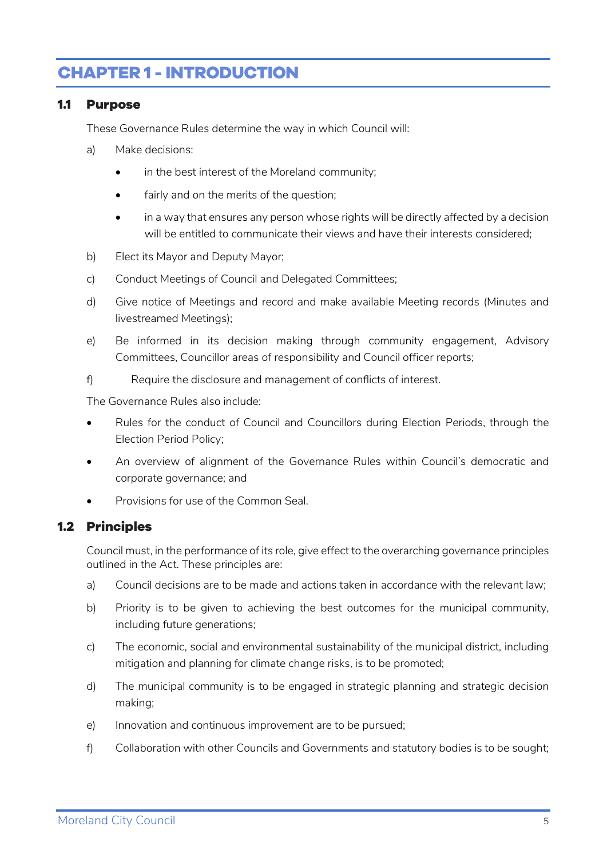# <span id="page-4-0"></span>**CHAPTER 1 - INTRODUCTION**

#### <span id="page-4-1"></span>**1.1 Purpose**

These Governance Rules determine the way in which Council will:

- a) Make decisions:
	- in the best interest of the Moreland community;
	- fairly and on the merits of the question;
	- in a way that ensures any person whose rights will be directly affected by a decision will be entitled to communicate their views and have their interests considered;
- b) Elect its Mayor and Deputy Mayor;
- c) Conduct Meetings of Council and Delegated Committees;
- d) Give notice of Meetings and record and make available Meeting records (Minutes and livestreamed Meetings);
- e) Be informed in its decision making through community engagement, Advisory Committees, Councillor areas of responsibility and Council officer reports;
- f) Require the disclosure and management of conflicts of interest.

The Governance Rules also include:

- Rules for the conduct of Council and Councillors during Election Periods, through the Election Period Policy;
- An overview of alignment of the Governance Rules within Council's democratic and corporate governance; and
- Provisions for use of the Common Seal.

#### <span id="page-4-2"></span>**1.2 Principles**

Council must, in the performance of its role, give effect to the overarching governance principles outlined in the Act. These principles are:

- a) Council decisions are to be made and actions taken in accordance with the relevant law;
- b) Priority is to be given to achieving the best outcomes for the municipal community, including future generations;
- c) The economic, social and environmental sustainability of the municipal district, including mitigation and planning for climate change risks, is to be promoted;
- d) The municipal community is to be engaged in strategic planning and strategic decision making;
- e) Innovation and continuous improvement are to be pursued;
- f) Collaboration with other Councils and Governments and statutory bodies is to be sought;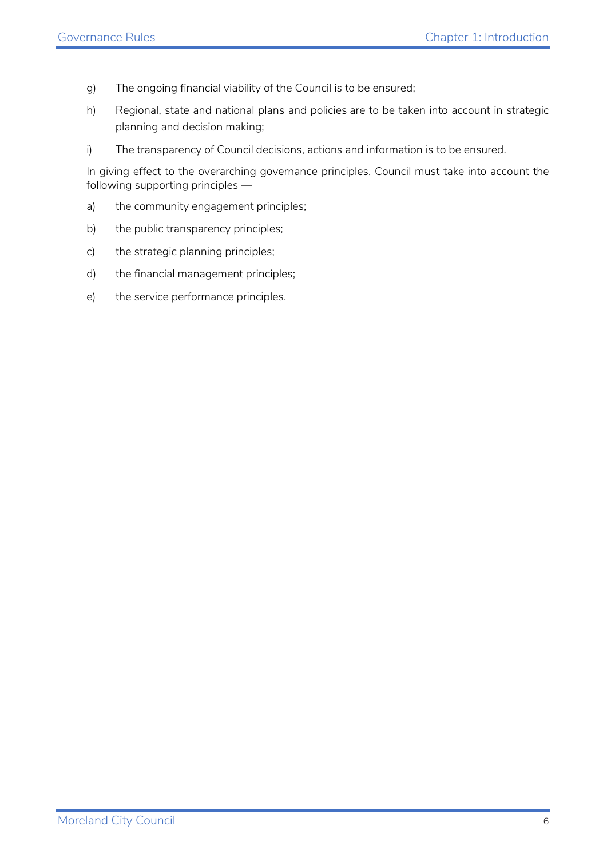- g) The ongoing financial viability of the Council is to be ensured;
- h) Regional, state and national plans and policies are to be taken into account in strategic planning and decision making;
- i) The transparency of Council decisions, actions and information is to be ensured.

In giving effect to the overarching governance principles, Council must take into account the following supporting principles —

- a) the community engagement principles;
- b) the public transparency principles;
- c) the strategic planning principles;
- d) the financial management principles;
- e) the service performance principles.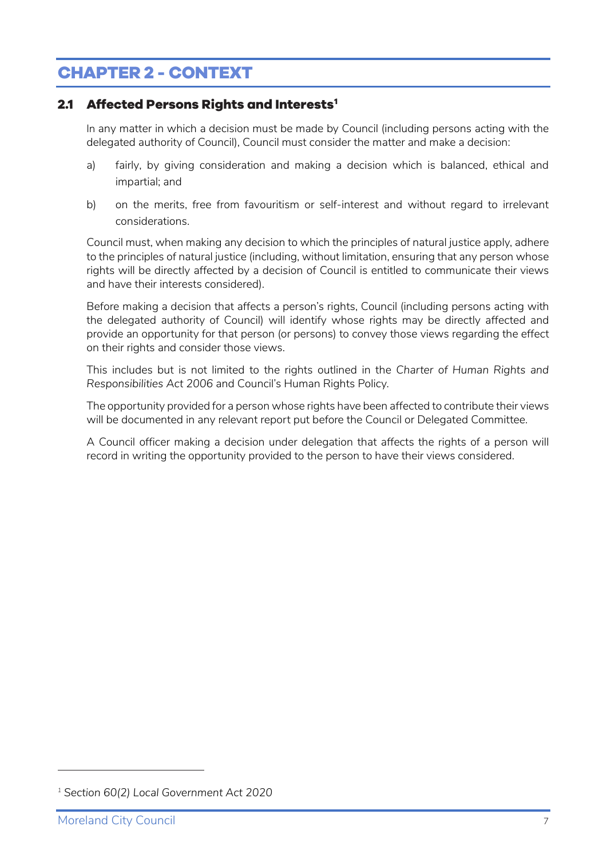# <span id="page-6-0"></span>**CHAPTER 2 - CONTEXT**

#### <span id="page-6-1"></span>**2.1 Affected Persons Rights and Interests[1](#page-6-2)**

In any matter in which a decision must be made by Council (including persons acting with the delegated authority of Council), Council must consider the matter and make a decision:

- a) fairly, by giving consideration and making a decision which is balanced, ethical and impartial; and
- b) on the merits, free from favouritism or self-interest and without regard to irrelevant considerations.

Council must, when making any decision to which the principles of natural justice apply, adhere to the principles of natural justice (including, without limitation, ensuring that any person whose rights will be directly affected by a decision of Council is entitled to communicate their views and have their interests considered).

Before making a decision that affects a person's rights, Council (including persons acting with the delegated authority of Council) will identify whose rights may be directly affected and provide an opportunity for that person (or persons) to convey those views regarding the effect on their rights and consider those views.

This includes but is not limited to the rights outlined in the *Charter of Human Rights and Responsibilities Act 2006* and Council's Human Rights Policy.

The opportunity provided for a person whose rights have been affected to contribute their views will be documented in any relevant report put before the Council or Delegated Committee.

A Council officer making a decision under delegation that affects the rights of a person will record in writing the opportunity provided to the person to have their views considered.

<span id="page-6-2"></span>*<sup>1</sup> Section 60(2) Local Government Act 2020*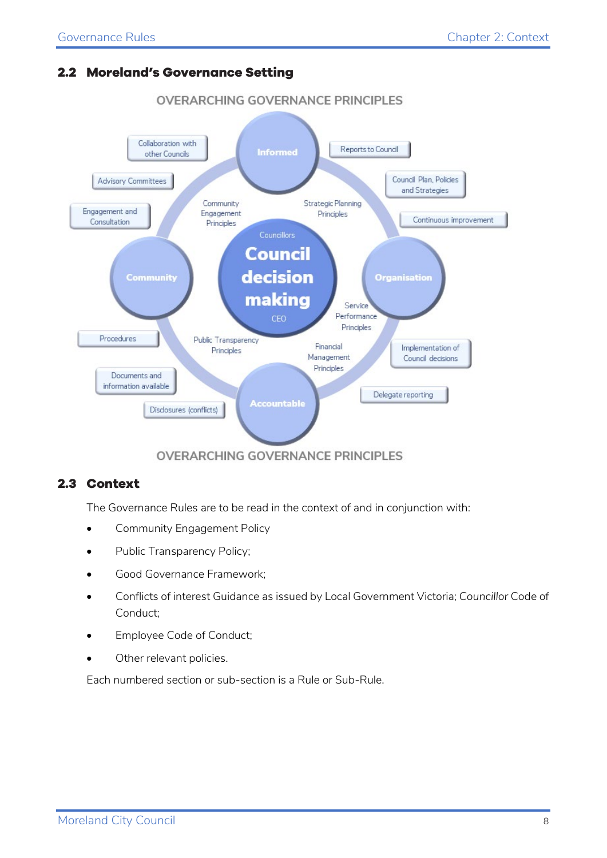#### <span id="page-7-0"></span>**2.2 Moreland's Governance Setting**



# OVERARCHING GOVERNANCE PRINCIPLES

#### <span id="page-7-1"></span>**2.3 Context**

The Governance Rules are to be read in the context of and in conjunction with:

- Community Engagement Policy
- Public Transparency Policy;
- Good Governance Framework;
- Conflicts of interest Guidance as issued by Local Government Victoria; *Councillor* Code of Conduct;
- Employee Code of Conduct;
- Other relevant policies.

Each numbered section or sub-section is a Rule or Sub-Rule.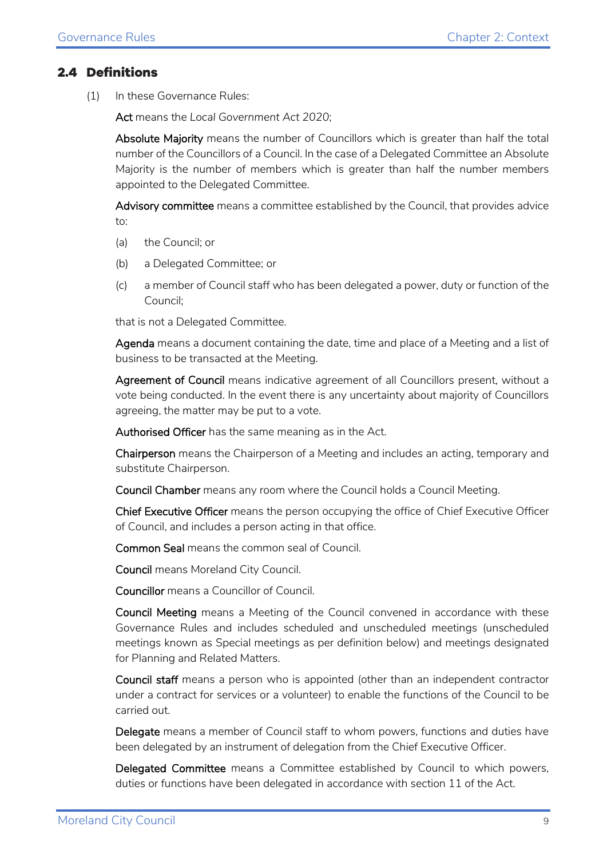#### <span id="page-8-0"></span>**2.4 Definitions**

(1) In these Governance Rules:

Act means the *Local Government Act 2020*;

Absolute Majority means the number of Councillors which is greater than half the total number of the Councillors of a Council. In the case of a Delegated Committee an Absolute Majority is the number of members which is greater than half the number members appointed to the Delegated Committee.

Advisory committee means a committee established by the Council, that provides advice  $t^{\circ}$ 

- (a) the Council; or
- (b) a Delegated Committee; or
- (c) a member of Council staff who has been delegated a power, duty or function of the Council;

that is not a Delegated Committee.

Agenda means a document containing the date, time and place of a Meeting and a list of business to be transacted at the Meeting.

Agreement of Council means indicative agreement of all Councillors present, without a vote being conducted. In the event there is any uncertainty about majority of Councillors agreeing, the matter may be put to a vote.

Authorised Officer has the same meaning as in the Act.

Chairperson means the Chairperson of a Meeting and includes an acting, temporary and substitute Chairperson.

Council Chamber means any room where the Council holds a Council Meeting.

Chief Executive Officer means the person occupying the office of Chief Executive Officer of Council, and includes a person acting in that office.

Common Seal means the common seal of Council.

Council means Moreland City Council.

Councillor means a Councillor of Council.

Council Meeting means a Meeting of the Council convened in accordance with these Governance Rules and includes scheduled and unscheduled meetings (unscheduled meetings known as Special meetings as per definition below) and meetings designated for Planning and Related Matters.

Council staff means a person who is appointed (other than an independent contractor under a contract for services or a volunteer) to enable the functions of the Council to be carried out.

Delegate means a member of Council staff to whom powers, functions and duties have been delegated by an instrument of delegation from the Chief Executive Officer.

Delegated Committee means a Committee established by Council to which powers, duties or functions have been delegated in accordance with section 11 of the Act.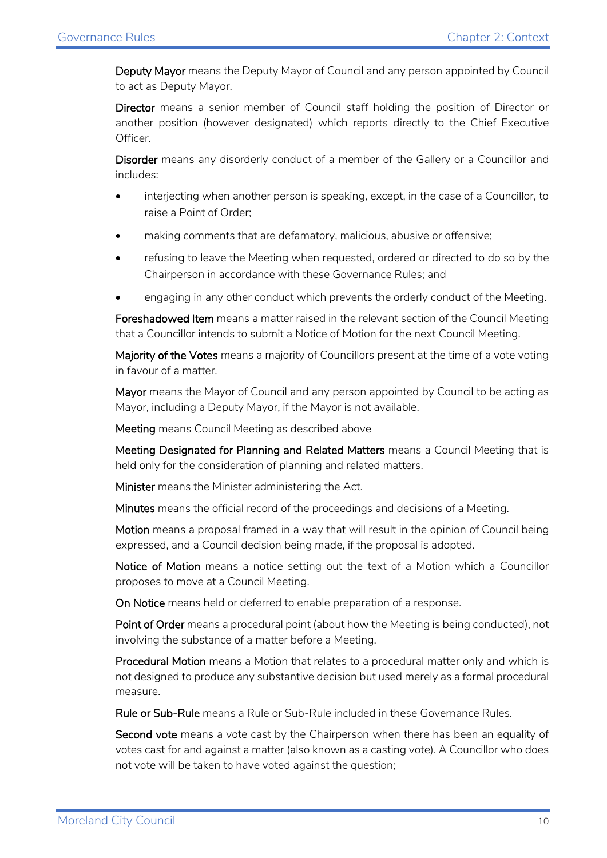Deputy Mayor means the Deputy Mayor of Council and any person appointed by Council to act as Deputy Mayor.

Director means a senior member of Council staff holding the position of Director or another position (however designated) which reports directly to the Chief Executive Officer.

Disorder means any disorderly conduct of a member of the Gallery or a Councillor and includes:

- interjecting when another person is speaking, except, in the case of a Councillor, to raise a Point of Order;
- making comments that are defamatory, malicious, abusive or offensive;
- refusing to leave the Meeting when requested, ordered or directed to do so by the Chairperson in accordance with these Governance Rules; and
- engaging in any other conduct which prevents the orderly conduct of the Meeting.

Foreshadowed Item means a matter raised in the relevant section of the Council Meeting that a Councillor intends to submit a Notice of Motion for the next Council Meeting.

Majority of the Votes means a majority of Councillors present at the time of a vote voting in favour of a matter.

Mayor means the Mayor of Council and any person appointed by Council to be acting as Mayor, including a Deputy Mayor, if the Mayor is not available.

Meeting means Council Meeting as described above

Meeting Designated for Planning and Related Matters means a Council Meeting that is held only for the consideration of planning and related matters.

Minister means the Minister administering the Act.

Minutes means the official record of the proceedings and decisions of a Meeting.

Motion means a proposal framed in a way that will result in the opinion of Council being expressed, and a Council decision being made, if the proposal is adopted.

Notice of Motion means a notice setting out the text of a Motion which a Councillor proposes to move at a Council Meeting.

On Notice means held or deferred to enable preparation of a response.

Point of Order means a procedural point (about how the Meeting is being conducted), not involving the substance of a matter before a Meeting.

Procedural Motion means a Motion that relates to a procedural matter only and which is not designed to produce any substantive decision but used merely as a formal procedural measure.

Rule or Sub-Rule means a Rule or Sub-Rule included in these Governance Rules.

Second vote means a vote cast by the Chairperson when there has been an equality of votes cast for and against a matter (also known as a casting vote). A Councillor who does not vote will be taken to have voted against the question;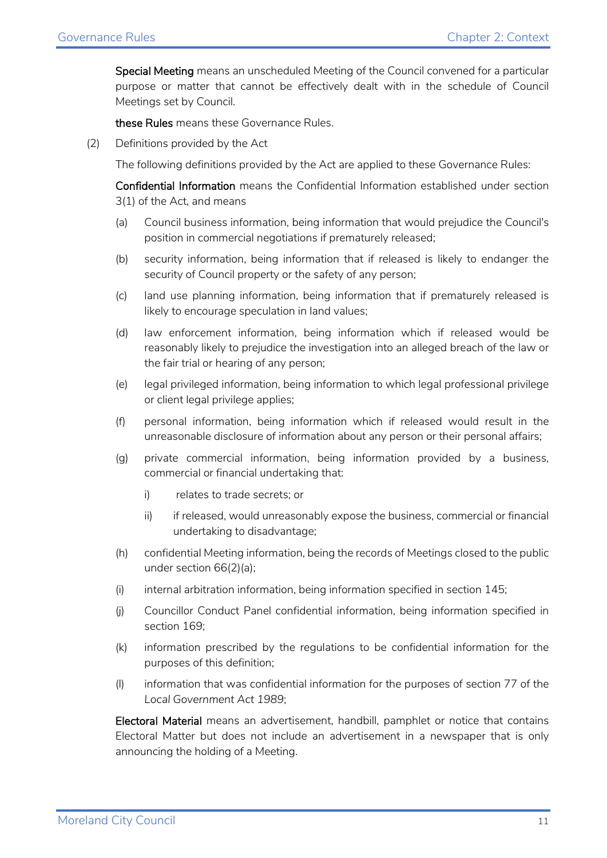Special Meeting means an unscheduled Meeting of the Council convened for a particular purpose or matter that cannot be effectively dealt with in the schedule of Council Meetings set by Council.

these Rules means these Governance Rules.

(2) Definitions provided by the Act

The following definitions provided by the Act are applied to these Governance Rules:

Confidential Information means the Confidential Information established under section 3(1) of the Act, and means

- (a) Council business information, being information that would prejudice the Council's position in commercial negotiations if prematurely released;
- (b) security information, being information that if released is likely to endanger the security of Council property or the safety of any person;
- (c) land use planning information, being information that if prematurely released is likely to encourage speculation in land values;
- (d) law enforcement information, being information which if released would be reasonably likely to prejudice the investigation into an alleged breach of the law or the fair trial or hearing of any person;
- (e) legal privileged information, being information to which legal professional privilege or client legal privilege applies;
- (f) personal information, being information which if released would result in the unreasonable disclosure of information about any person or their personal affairs;
- (g) private commercial information, being information provided by a business, commercial or financial undertaking that:
	- i) relates to trade secrets; or
	- ii) if released, would unreasonably expose the business, commercial or financial undertaking to disadvantage;
- (h) confidential Meeting information, being the records of Meetings closed to the public under section 66(2)(a);
- (i) internal arbitration information, being information specified in section 145;
- (j) Councillor Conduct Panel confidential information, being information specified in section 169;
- (k) information prescribed by the regulations to be confidential information for the purposes of this definition;
- (l) information that was confidential information for the purposes of section 77 of the *Local Government Act 1989*;

Electoral Material means an advertisement, handbill, pamphlet or notice that contains Electoral Matter but does not include an advertisement in a newspaper that is only announcing the holding of a Meeting.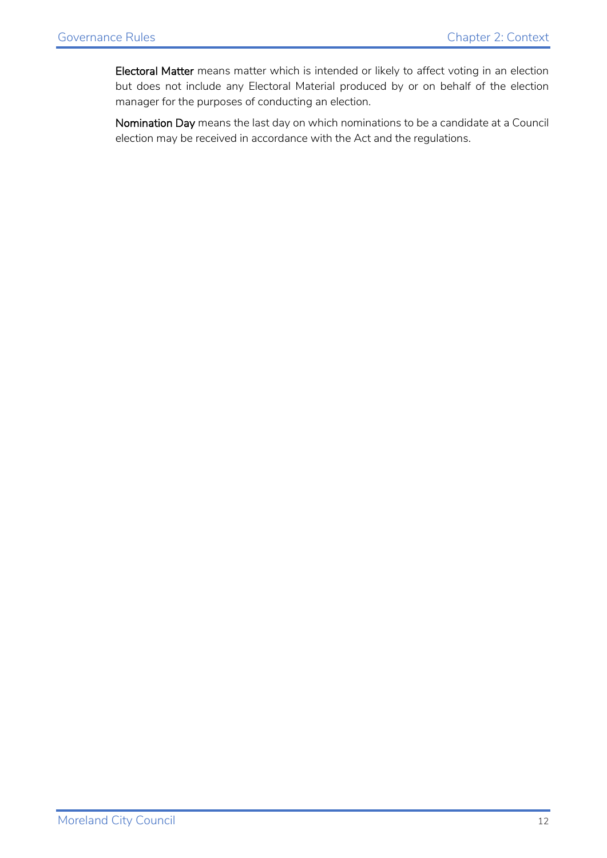Electoral Matter means matter which is intended or likely to affect voting in an election but does not include any Electoral Material produced by or on behalf of the election manager for the purposes of conducting an election.

Nomination Day means the last day on which nominations to be a candidate at a Council election may be received in accordance with the Act and the regulations.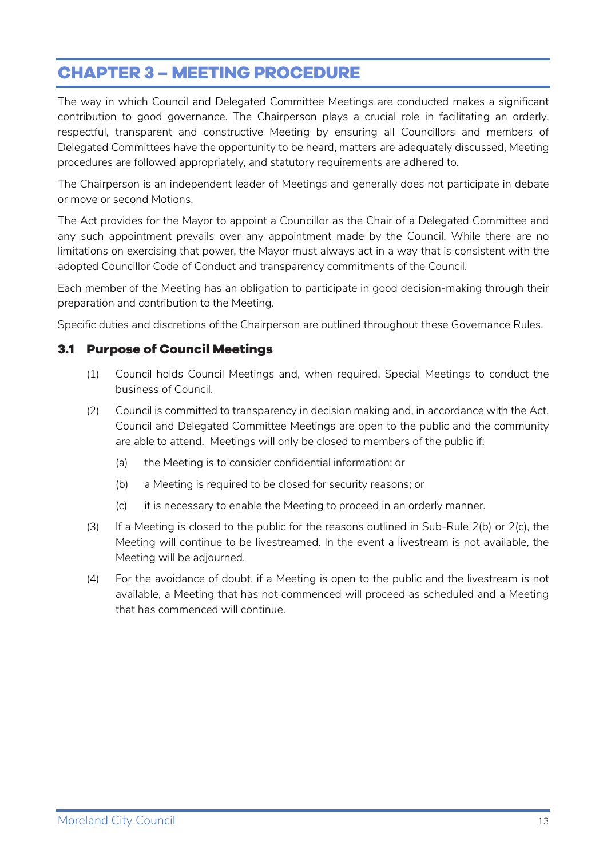# <span id="page-12-0"></span>**CHAPTER 3 – MEETING PROCEDURE**

The way in which Council and Delegated Committee Meetings are conducted makes a significant contribution to good governance. The Chairperson plays a crucial role in facilitating an orderly, respectful, transparent and constructive Meeting by ensuring all Councillors and members of Delegated Committees have the opportunity to be heard, matters are adequately discussed, Meeting procedures are followed appropriately, and statutory requirements are adhered to.

The Chairperson is an independent leader of Meetings and generally does not participate in debate or move or second Motions.

The Act provides for the Mayor to appoint a Councillor as the Chair of a Delegated Committee and any such appointment prevails over any appointment made by the Council. While there are no limitations on exercising that power, the Mayor must always act in a way that is consistent with the adopted Councillor Code of Conduct and transparency commitments of the Council.

Each member of the Meeting has an obligation to participate in good decision-making through their preparation and contribution to the Meeting.

Specific duties and discretions of the Chairperson are outlined throughout these Governance Rules.

#### <span id="page-12-1"></span>**3.1 Purpose of Council Meetings**

- (1) Council holds Council Meetings and, when required, Special Meetings to conduct the business of Council.
- (2) Council is committed to transparency in decision making and, in accordance with the Act, Council and Delegated Committee Meetings are open to the public and the community are able to attend. Meetings will only be closed to members of the public if:
	- (a) the Meeting is to consider confidential information; or
	- (b) a Meeting is required to be closed for security reasons; or
	- (c) it is necessary to enable the Meeting to proceed in an orderly manner.
- (3) If a Meeting is closed to the public for the reasons outlined in Sub-Rule  $2(b)$  or  $2(c)$ , the Meeting will continue to be livestreamed. In the event a livestream is not available, the Meeting will be adjourned.
- (4) For the avoidance of doubt, if a Meeting is open to the public and the livestream is not available, a Meeting that has not commenced will proceed as scheduled and a Meeting that has commenced will continue.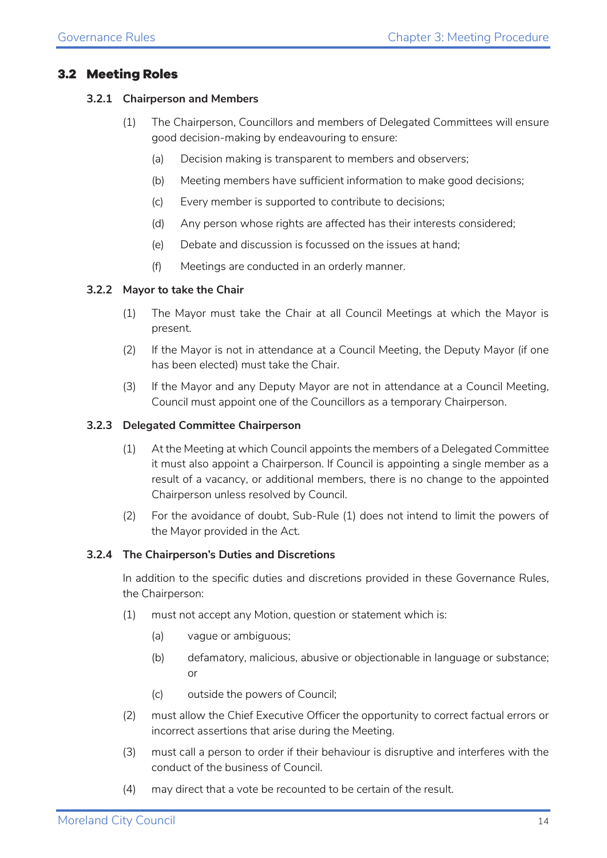#### <span id="page-13-0"></span>**3.2 Meeting Roles**

#### **3.2.1 Chairperson and Members**

- (1) The Chairperson, Councillors and members of Delegated Committees will ensure good decision-making by endeavouring to ensure:
	- (a) Decision making is transparent to members and observers;
	- (b) Meeting members have sufficient information to make good decisions;
	- (c) Every member is supported to contribute to decisions;
	- (d) Any person whose rights are affected has their interests considered;
	- (e) Debate and discussion is focussed on the issues at hand;
	- (f) Meetings are conducted in an orderly manner.

#### **3.2.2 Mayor to take the Chair**

- (1) The Mayor must take the Chair at all Council Meetings at which the Mayor is present.
- (2) If the Mayor is not in attendance at a Council Meeting, the Deputy Mayor (if one has been elected) must take the Chair.
- (3) If the Mayor and any Deputy Mayor are not in attendance at a Council Meeting, Council must appoint one of the Councillors as a temporary Chairperson.

#### **3.2.3 Delegated Committee Chairperson**

- (1) At the Meeting at which Council appoints the members of a Delegated Committee it must also appoint a Chairperson. If Council is appointing a single member as a result of a vacancy, or additional members, there is no change to the appointed Chairperson unless resolved by Council.
- (2) For the avoidance of doubt, Sub-Rule (1) does not intend to limit the powers of the Mayor provided in the Act.

#### **3.2.4 The Chairperson's Duties and Discretions**

In addition to the specific duties and discretions provided in these Governance Rules, the Chairperson:

- (1) must not accept any Motion, question or statement which is:
	- (a) vague or ambiguous;
	- (b) defamatory, malicious, abusive or objectionable in language or substance; or
	- (c) outside the powers of Council;
- (2) must allow the Chief Executive Officer the opportunity to correct factual errors or incorrect assertions that arise during the Meeting.
- (3) must call a person to order if their behaviour is disruptive and interferes with the conduct of the business of Council.
- (4) may direct that a vote be recounted to be certain of the result.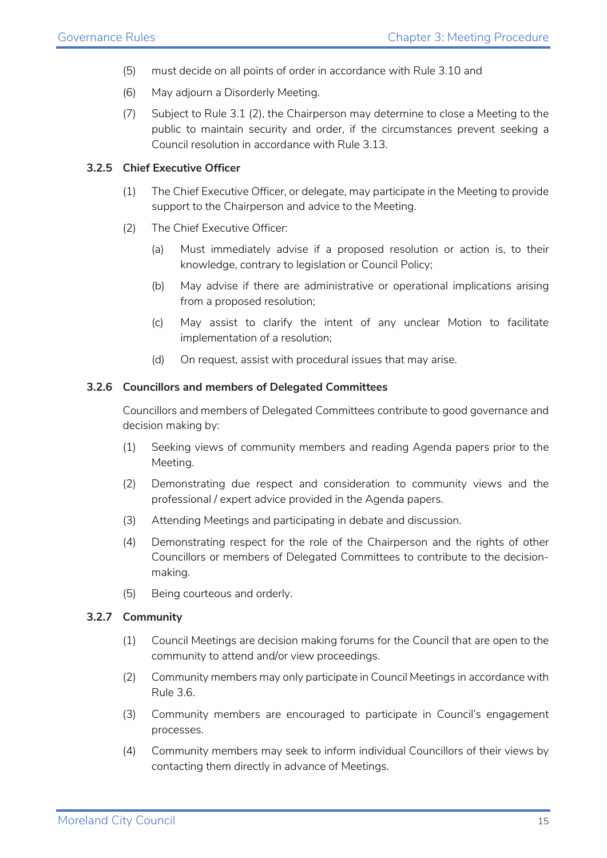- (5) must decide on all points of order in accordance with Rule 3.10 and
- (6) May adjourn a Disorderly Meeting.
- (7) Subject to Rule 3.1 (2), the Chairperson may determine to close a Meeting to the public to maintain security and order, if the circumstances prevent seeking a Council resolution in accordance with Rule 3.13.

#### **3.2.5 Chief Executive Officer**

- (1) The Chief Executive Officer, or delegate, may participate in the Meeting to provide support to the Chairperson and advice to the Meeting.
- (2) The Chief Executive Officer:
	- (a) Must immediately advise if a proposed resolution or action is, to their knowledge, contrary to legislation or Council Policy;
	- (b) May advise if there are administrative or operational implications arising from a proposed resolution;
	- (c) May assist to clarify the intent of any unclear Motion to facilitate implementation of a resolution;
	- (d) On request, assist with procedural issues that may arise.

#### **3.2.6 Councillors and members of Delegated Committees**

Councillors and members of Delegated Committees contribute to good governance and decision making by:

- (1) Seeking views of community members and reading Agenda papers prior to the Meeting.
- (2) Demonstrating due respect and consideration to community views and the professional / expert advice provided in the Agenda papers.
- (3) Attending Meetings and participating in debate and discussion.
- (4) Demonstrating respect for the role of the Chairperson and the rights of other Councillors or members of Delegated Committees to contribute to the decisionmaking.
- (5) Being courteous and orderly.

#### **3.2.7 Community**

- (1) Council Meetings are decision making forums for the Council that are open to the community to attend and/or view proceedings.
- (2) Community members may only participate in Council Meetings in accordance with Rule 3.6.
- (3) Community members are encouraged to participate in Council's engagement processes.
- (4) Community members may seek to inform individual Councillors of their views by contacting them directly in advance of Meetings.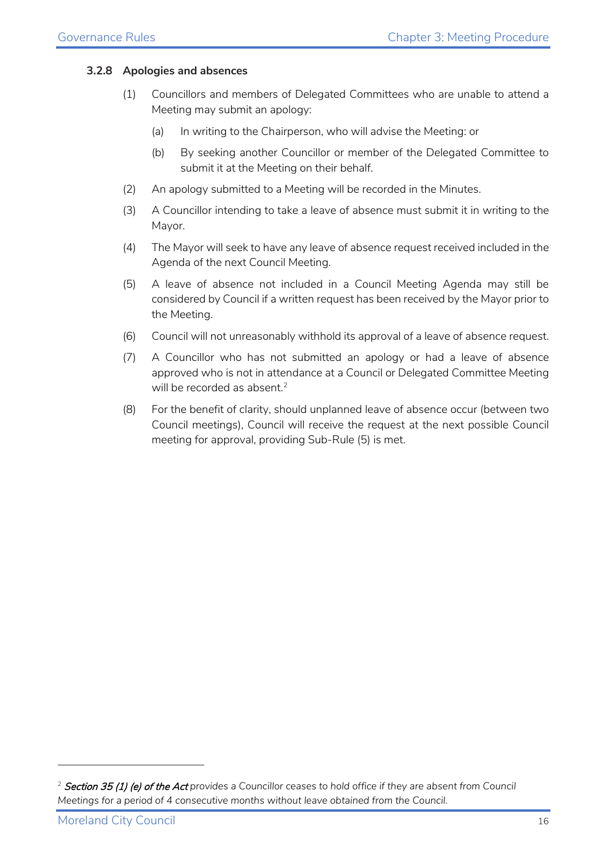#### **3.2.8 Apologies and absences**

- (1) Councillors and members of Delegated Committees who are unable to attend a Meeting may submit an apology:
	- (a) In writing to the Chairperson, who will advise the Meeting: or
	- (b) By seeking another Councillor or member of the Delegated Committee to submit it at the Meeting on their behalf.
- (2) An apology submitted to a Meeting will be recorded in the Minutes.
- (3) A Councillor intending to take a leave of absence must submit it in writing to the Mayor.
- (4) The Mayor will seek to have any leave of absence request received included in the Agenda of the next Council Meeting.
- (5) A leave of absence not included in a Council Meeting Agenda may still be considered by Council if a written request has been received by the Mayor prior to the Meeting.
- (6) Council will not unreasonably withhold its approval of a leave of absence request.
- (7) A Councillor who has not submitted an apology or had a leave of absence approved who is not in attendance at a Council or Delegated Committee Meeting will be recorded as absent. $2$
- (8) For the benefit of clarity, should unplanned leave of absence occur (between two Council meetings), Council will receive the request at the next possible Council meeting for approval, providing Sub-Rule (5) is met.

<span id="page-15-0"></span><sup>2</sup> Section 35 (1) (e) of the Act *provides a Councillor ceases to hold office if they are absent from Council Meetings for a period of 4 consecutive months without leave obtained from the Council.*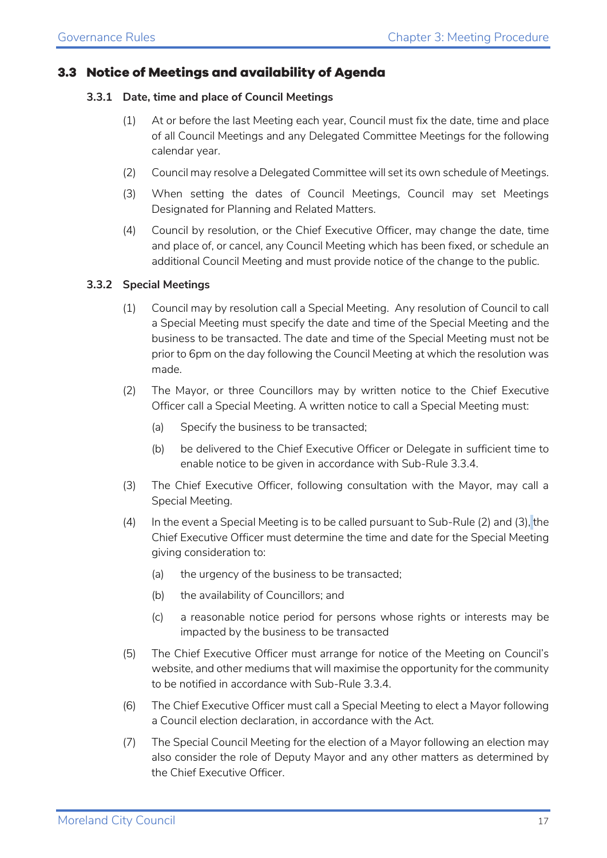#### <span id="page-16-0"></span>**3.3 Notice of Meetings and availability of Agenda**

#### **3.3.1 Date, time and place of Council Meetings**

- (1) At or before the last Meeting each year, Council must fix the date, time and place of all Council Meetings and any Delegated Committee Meetings for the following calendar year.
- (2) Council may resolve a Delegated Committee will set its own schedule of Meetings.
- (3) When setting the dates of Council Meetings, Council may set Meetings Designated for Planning and Related Matters.
- (4) Council by resolution, or the Chief Executive Officer, may change the date, time and place of, or cancel, any Council Meeting which has been fixed, or schedule an additional Council Meeting and must provide notice of the change to the public.

#### **3.3.2 Special Meetings**

- (1) Council may by resolution call a Special Meeting. Any resolution of Council to call a Special Meeting must specify the date and time of the Special Meeting and the business to be transacted. The date and time of the Special Meeting must not be prior to 6pm on the day following the Council Meeting at which the resolution was made.
- (2) The Mayor, or three Councillors may by written notice to the Chief Executive Officer call a Special Meeting. A written notice to call a Special Meeting must:
	- (a) Specify the business to be transacted;
	- (b) be delivered to the Chief Executive Officer or Delegate in sufficient time to enable notice to be given in accordance with Sub-Rule 3.3.4.
- (3) The Chief Executive Officer, following consultation with the Mayor, may call a Special Meeting.
- (4) In the event a Special Meeting is to be called pursuant to Sub-Rule (2) and (3), the Chief Executive Officer must determine the time and date for the Special Meeting giving consideration to:
	- (a) the urgency of the business to be transacted;
	- (b) the availability of Councillors; and
	- (c) a reasonable notice period for persons whose rights or interests may be impacted by the business to be transacted
- (5) The Chief Executive Officer must arrange for notice of the Meeting on Council's website, and other mediums that will maximise the opportunity for the community to be notified in accordance with Sub-Rule 3.3.4.
- (6) The Chief Executive Officer must call a Special Meeting to elect a Mayor following a Council election declaration, in accordance with the Act.
- (7) The Special Council Meeting for the election of a Mayor following an election may also consider the role of Deputy Mayor and any other matters as determined by the Chief Executive Officer.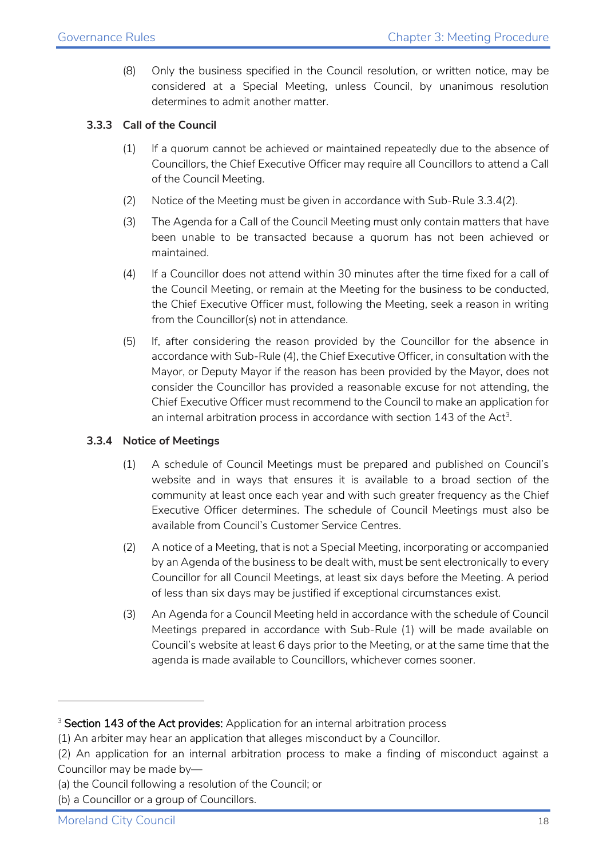(8) Only the business specified in the Council resolution, or written notice, may be considered at a Special Meeting, unless Council, by unanimous resolution determines to admit another matter.

#### **3.3.3 Call of the Council**

- (1) If a quorum cannot be achieved or maintained repeatedly due to the absence of Councillors, the Chief Executive Officer may require all Councillors to attend a Call of the Council Meeting.
- (2) Notice of the Meeting must be given in accordance with Sub-Rule 3.3.4(2).
- (3) The Agenda for a Call of the Council Meeting must only contain matters that have been unable to be transacted because a quorum has not been achieved or maintained.
- (4) If a Councillor does not attend within 30 minutes after the time fixed for a call of the Council Meeting, or remain at the Meeting for the business to be conducted, the Chief Executive Officer must, following the Meeting, seek a reason in writing from the Councillor(s) not in attendance.
- (5) If, after considering the reason provided by the Councillor for the absence in accordance with Sub-Rule (4), the Chief Executive Officer, in consultation with the Mayor, or Deputy Mayor if the reason has been provided by the Mayor, does not consider the Councillor has provided a reasonable excuse for not attending, the Chief Executive Officer must recommend to the Council to make an application for an internal arbitration process in accordance with section 14[3](#page-17-0) of the  $Act<sup>3</sup>$ .

#### **3.3.4 Notice of Meetings**

- (1) A schedule of Council Meetings must be prepared and published on Council's website and in ways that ensures it is available to a broad section of the community at least once each year and with such greater frequency as the Chief Executive Officer determines. The schedule of Council Meetings must also be available from Council's Customer Service Centres.
- (2) A notice of a Meeting, that is not a Special Meeting, incorporating or accompanied by an Agenda of the business to be dealt with, must be sent electronically to every Councillor for all Council Meetings, at least six days before the Meeting. A period of less than six days may be justified if exceptional circumstances exist.
- (3) An Agenda for a Council Meeting held in accordance with the schedule of Council Meetings prepared in accordance with Sub-Rule (1) will be made available on Council's website at least 6 days prior to the Meeting, or at the same time that the agenda is made available to Councillors, whichever comes sooner.

<span id="page-17-0"></span><sup>&</sup>lt;sup>3</sup> Section 143 of the Act provides: Application for an internal arbitration process

<sup>(1)</sup> An arbiter may hear an application that alleges misconduct by a Councillor.

<sup>(2)</sup> An application for an internal arbitration process to make a finding of misconduct against a Councillor may be made by—

<sup>(</sup>a) the Council following a resolution of the Council; or

<sup>(</sup>b) a Councillor or a group of Councillors.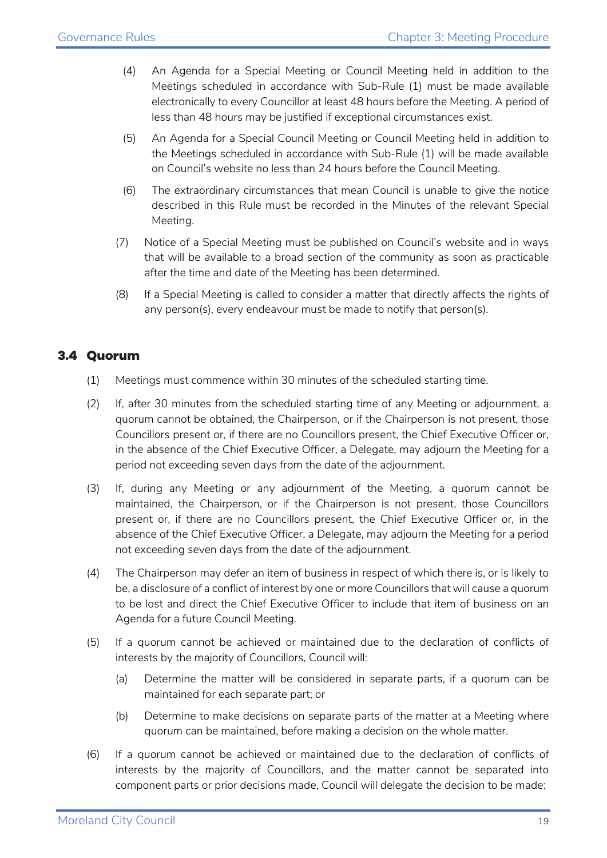- (4) An Agenda for a Special Meeting or Council Meeting held in addition to the Meetings scheduled in accordance with Sub-Rule (1) must be made available electronically to every Councillor at least 48 hours before the Meeting. A period of less than 48 hours may be justified if exceptional circumstances exist.
- (5) An Agenda for a Special Council Meeting or Council Meeting held in addition to the Meetings scheduled in accordance with Sub-Rule (1) will be made available on Council's website no less than 24 hours before the Council Meeting.
- (6) The extraordinary circumstances that mean Council is unable to give the notice described in this Rule must be recorded in the Minutes of the relevant Special Meeting.
- (7) Notice of a Special Meeting must be published on Council's website and in ways that will be available to a broad section of the community as soon as practicable after the time and date of the Meeting has been determined.
- (8) If a Special Meeting is called to consider a matter that directly affects the rights of any person(s), every endeavour must be made to notify that person(s).

#### <span id="page-18-0"></span>**3.4 Quorum**

- (1) Meetings must commence within 30 minutes of the scheduled starting time.
- (2) If, after 30 minutes from the scheduled starting time of any Meeting or adjournment, a quorum cannot be obtained, the Chairperson, or if the Chairperson is not present, those Councillors present or, if there are no Councillors present, the Chief Executive Officer or, in the absence of the Chief Executive Officer, a Delegate, may adjourn the Meeting for a period not exceeding seven days from the date of the adjournment.
- (3) If, during any Meeting or any adjournment of the Meeting, a quorum cannot be maintained, the Chairperson, or if the Chairperson is not present, those Councillors present or, if there are no Councillors present, the Chief Executive Officer or, in the absence of the Chief Executive Officer, a Delegate, may adjourn the Meeting for a period not exceeding seven days from the date of the adjournment.
- (4) The Chairperson may defer an item of business in respect of which there is, or is likely to be, a disclosure of a conflict of interest by one or more Councillors that will cause a quorum to be lost and direct the Chief Executive Officer to include that item of business on an Agenda for a future Council Meeting.
- (5) If a quorum cannot be achieved or maintained due to the declaration of conflicts of interests by the majority of Councillors, Council will:
	- (a) Determine the matter will be considered in separate parts, if a quorum can be maintained for each separate part; or
	- (b) Determine to make decisions on separate parts of the matter at a Meeting where quorum can be maintained, before making a decision on the whole matter.
- (6) If a quorum cannot be achieved or maintained due to the declaration of conflicts of interests by the majority of Councillors, and the matter cannot be separated into component parts or prior decisions made, Council will delegate the decision to be made: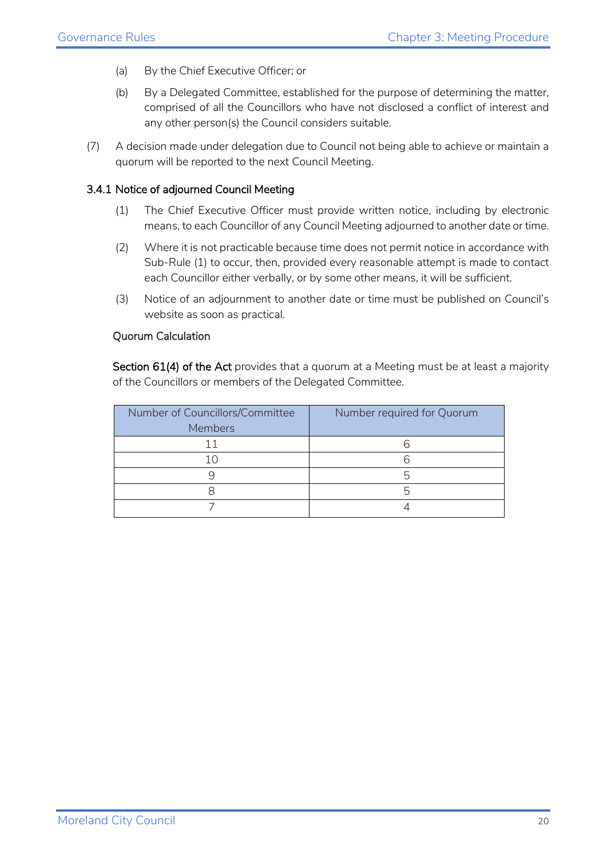- (a) By the Chief Executive Officer; or
- (b) By a Delegated Committee, established for the purpose of determining the matter, comprised of all the Councillors who have not disclosed a conflict of interest and any other person(s) the Council considers suitable.
- (7) A decision made under delegation due to Council not being able to achieve or maintain a quorum will be reported to the next Council Meeting.

#### 3.4.1 Notice of adjourned Council Meeting

- (1) The Chief Executive Officer must provide written notice, including by electronic means, to each Councillor of any Council Meeting adjourned to another date or time.
- (2) Where it is not practicable because time does not permit notice in accordance with Sub-Rule (1) to occur, then, provided every reasonable attempt is made to contact each Councillor either verbally, or by some other means, it will be sufficient.
- (3) Notice of an adjournment to another date or time must be published on Council's website as soon as practical.

#### Quorum Calculation

Section 61(4) of the Act provides that a quorum at a Meeting must be at least a majority of the Councillors or members of the Delegated Committee.

| Number of Councillors/Committee<br><b>Members</b> | Number required for Quorum |
|---------------------------------------------------|----------------------------|
|                                                   |                            |
|                                                   |                            |
|                                                   |                            |
|                                                   |                            |
|                                                   |                            |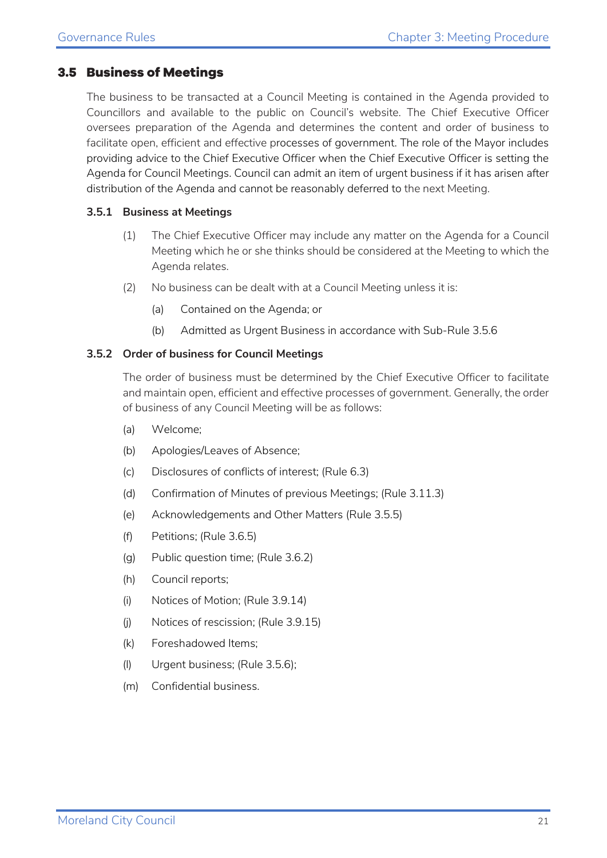#### <span id="page-20-0"></span>**3.5 Business of Meetings**

The business to be transacted at a Council Meeting is contained in the Agenda provided to Councillors and available to the public on Council's website. The Chief Executive Officer oversees preparation of the Agenda and determines the content and order of business to facilitate open, efficient and effective processes of government. The role of the Mayor includes providing advice to the Chief Executive Officer when the Chief Executive Officer is setting the Agenda for Council Meetings. Council can admit an item of urgent business if it has arisen after distribution of the Agenda and cannot be reasonably deferred to the next Meeting.

#### **3.5.1 Business at Meetings**

- (1) The Chief Executive Officer may include any matter on the Agenda for a Council Meeting which he or she thinks should be considered at the Meeting to which the Agenda relates.
- (2) No business can be dealt with at a Council Meeting unless it is:
	- (a) Contained on the Agenda; or
	- (b) Admitted as Urgent Business in accordance with Sub-Rule 3.5.6

#### **3.5.2 Order of business for Council Meetings**

The order of business must be determined by the Chief Executive Officer to facilitate and maintain open, efficient and effective processes of government. Generally, the order of business of any Council Meeting will be as follows:

- (a) Welcome;
- (b) Apologies/Leaves of Absence;
- (c) Disclosures of conflicts of interest; (Rule 6.3)
- (d) Confirmation of Minutes of previous Meetings; (Rule 3.11.3)
- (e) Acknowledgements and Other Matters (Rule 3.5.5)
- (f) Petitions; (Rule 3.6.5)
- (g) Public question time; (Rule 3.6.2)
- (h) Council reports;
- (i) Notices of Motion; (Rule 3.9.14)
- (j) Notices of rescission; (Rule 3.9.15)
- (k) Foreshadowed Items;
- (l) Urgent business; (Rule 3.5.6);
- (m) Confidential business.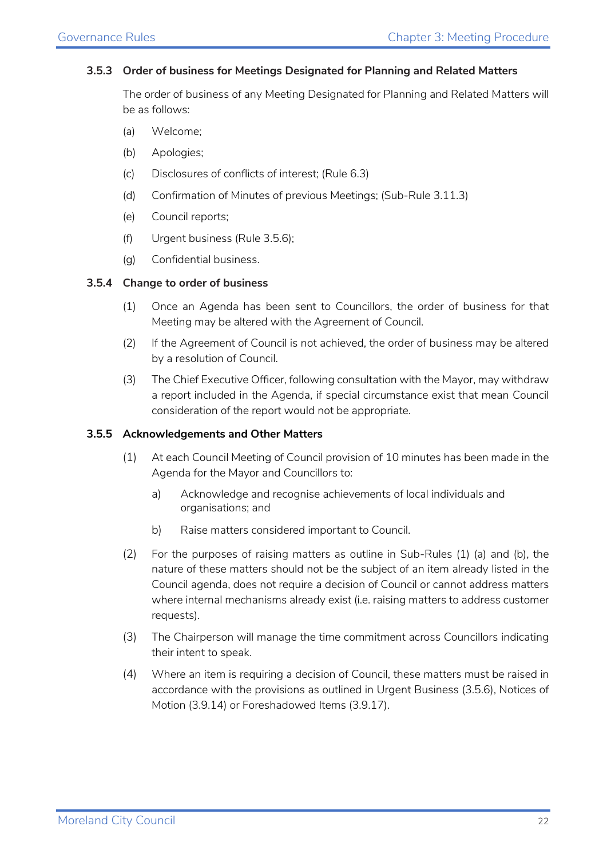#### **3.5.3 Order of business for Meetings Designated for Planning and Related Matters**

The order of business of any Meeting Designated for Planning and Related Matters will be as follows:

- (a) Welcome;
- (b) Apologies;
- (c) Disclosures of conflicts of interest; (Rule 6.3)
- (d) Confirmation of Minutes of previous Meetings; (Sub-Rule 3.11.3)
- (e) Council reports;
- (f) Urgent business (Rule 3.5.6);
- (g) Confidential business.

#### **3.5.4 Change to order of business**

- (1) Once an Agenda has been sent to Councillors, the order of business for that Meeting may be altered with the Agreement of Council.
- (2) If the Agreement of Council is not achieved, the order of business may be altered by a resolution of Council.
- (3) The Chief Executive Officer, following consultation with the Mayor, may withdraw a report included in the Agenda, if special circumstance exist that mean Council consideration of the report would not be appropriate.

#### **3.5.5 Acknowledgements and Other Matters**

- (1) At each Council Meeting of Council provision of 10 minutes has been made in the Agenda for the Mayor and Councillors to:
	- a) Acknowledge and recognise achievements of local individuals and organisations; and
	- b) Raise matters considered important to Council.
- (2) For the purposes of raising matters as outline in Sub-Rules (1) (a) and (b), the nature of these matters should not be the subject of an item already listed in the Council agenda, does not require a decision of Council or cannot address matters where internal mechanisms already exist (i.e. raising matters to address customer requests).
- (3) The Chairperson will manage the time commitment across Councillors indicating their intent to speak.
- (4) Where an item is requiring a decision of Council, these matters must be raised in accordance with the provisions as outlined in Urgent Business (3.5.6), Notices of Motion (3.9.14) or Foreshadowed Items (3.9.17).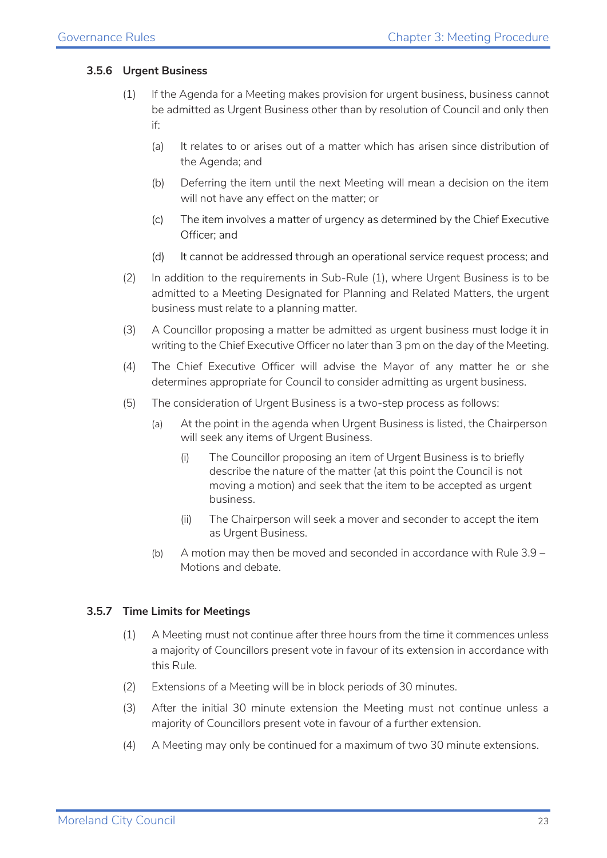#### **3.5.6 Urgent Business**

- (1) If the Agenda for a Meeting makes provision for urgent business, business cannot be admitted as Urgent Business other than by resolution of Council and only then if:
	- (a) It relates to or arises out of a matter which has arisen since distribution of the Agenda; and
	- (b) Deferring the item until the next Meeting will mean a decision on the item will not have any effect on the matter; or
	- (c) The item involves a matter of urgency as determined by the Chief Executive Officer; and
	- (d) It cannot be addressed through an operational service request process; and
- (2) In addition to the requirements in Sub-Rule (1), where Urgent Business is to be admitted to a Meeting Designated for Planning and Related Matters, the urgent business must relate to a planning matter.
- (3) A Councillor proposing a matter be admitted as urgent business must lodge it in writing to the Chief Executive Officer no later than 3 pm on the day of the Meeting.
- (4) The Chief Executive Officer will advise the Mayor of any matter he or she determines appropriate for Council to consider admitting as urgent business.
- (5) The consideration of Urgent Business is a two-step process as follows:
	- (a) At the point in the agenda when Urgent Business is listed, the Chairperson will seek any items of Urgent Business.
		- (i) The Councillor proposing an item of Urgent Business is to briefly describe the nature of the matter (at this point the Council is not moving a motion) and seek that the item to be accepted as urgent business.
		- (ii) The Chairperson will seek a mover and seconder to accept the item as Urgent Business.
	- (b) A motion may then be moved and seconded in accordance with Rule 3.9 Motions and debate.

#### **3.5.7 Time Limits for Meetings**

- (1) A Meeting must not continue after three hours from the time it commences unless a majority of Councillors present vote in favour of its extension in accordance with this Rule.
- (2) Extensions of a Meeting will be in block periods of 30 minutes.
- (3) After the initial 30 minute extension the Meeting must not continue unless a majority of Councillors present vote in favour of a further extension.
- (4) A Meeting may only be continued for a maximum of two 30 minute extensions.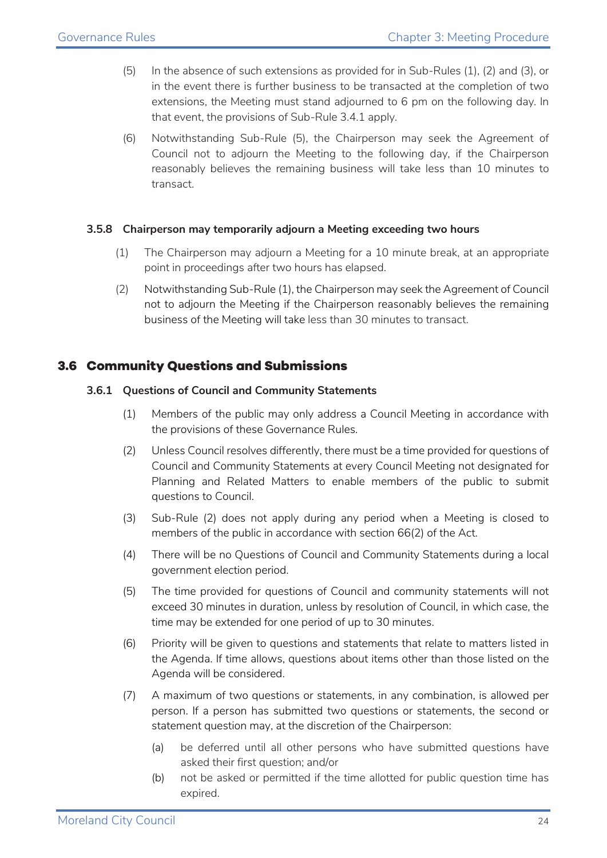- (5) In the absence of such extensions as provided for in Sub-Rules (1), (2) and (3), or in the event there is further business to be transacted at the completion of two extensions, the Meeting must stand adjourned to 6 pm on the following day. In that event, the provisions of Sub-Rule 3.4.1 apply.
- (6) Notwithstanding Sub-Rule (5), the Chairperson may seek the Agreement of Council not to adjourn the Meeting to the following day, if the Chairperson reasonably believes the remaining business will take less than 10 minutes to transact.

#### **3.5.8 Chairperson may temporarily adjourn a Meeting exceeding two hours**

- (1) The Chairperson may adjourn a Meeting for a 10 minute break, at an appropriate point in proceedings after two hours has elapsed.
- (2) Notwithstanding Sub-Rule (1), the Chairperson may seek the Agreement of Council not to adjourn the Meeting if the Chairperson reasonably believes the remaining business of the Meeting will take less than 30 minutes to transact.

#### <span id="page-23-0"></span>**3.6 Community Questions and Submissions**

#### **3.6.1 Questions of Council and Community Statements**

- (1) Members of the public may only address a Council Meeting in accordance with the provisions of these Governance Rules.
- (2) Unless Council resolves differently, there must be a time provided for questions of Council and Community Statements at every Council Meeting not designated for Planning and Related Matters to enable members of the public to submit questions to Council.
- (3) Sub-Rule (2) does not apply during any period when a Meeting is closed to members of the public in accordance with section 66(2) of the Act.
- (4) There will be no Questions of Council and Community Statements during a local government election period.
- (5) The time provided for questions of Council and community statements will not exceed 30 minutes in duration, unless by resolution of Council, in which case, the time may be extended for one period of up to 30 minutes.
- (6) Priority will be given to questions and statements that relate to matters listed in the Agenda. If time allows, questions about items other than those listed on the Agenda will be considered.
- (7) A maximum of two questions or statements, in any combination, is allowed per person. If a person has submitted two questions or statements, the second or statement question may, at the discretion of the Chairperson:
	- (a) be deferred until all other persons who have submitted questions have asked their first question; and/or
	- (b) not be asked or permitted if the time allotted for public question time has expired.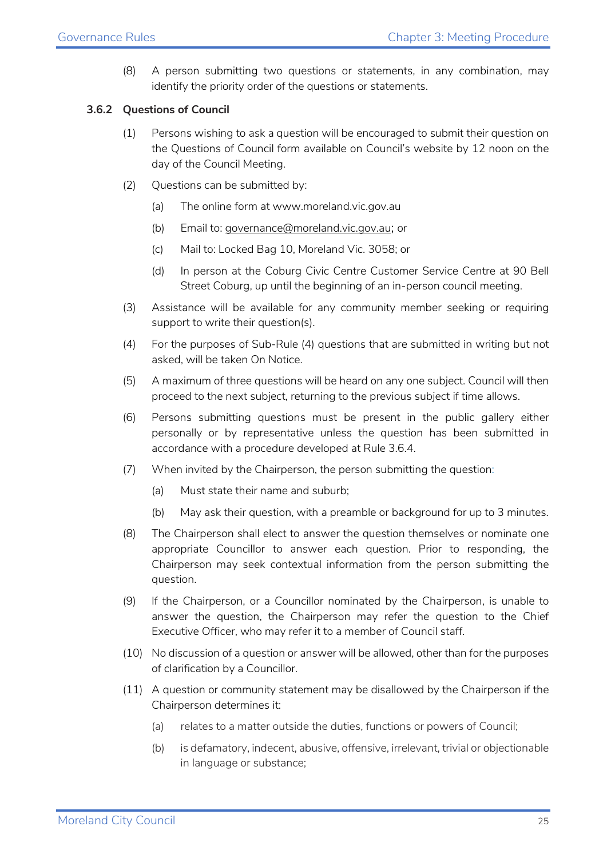(8) A person submitting two questions or statements, in any combination, may identify the priority order of the questions or statements.

#### **3.6.2 Questions of Council**

- (1) Persons wishing to ask a question will be encouraged to submit their question on the Questions of Council form available on Council's website by 12 noon on the day of the Council Meeting.
- (2) Questions can be submitted by:
	- (a) The online form at www.moreland.vic.gov.au
	- (b) Email to: [governance@moreland.vic.gov.au](mailto:governance@moreland.vic.gov.au); or
	- (c) Mail to: Locked Bag 10, Moreland Vic. 3058; or
	- (d) In person at the Coburg Civic Centre Customer Service Centre at 90 Bell Street Coburg, up until the beginning of an in-person council meeting.
- (3) Assistance will be available for any community member seeking or requiring support to write their question(s).
- (4) For the purposes of Sub-Rule (4) questions that are submitted in writing but not asked, will be taken On Notice.
- (5) A maximum of three questions will be heard on any one subject. Council will then proceed to the next subject, returning to the previous subject if time allows.
- (6) Persons submitting questions must be present in the public gallery either personally or by representative unless the question has been submitted in accordance with a procedure developed at Rule 3.6.4.
- (7) When invited by the Chairperson, the person submitting the question:
	- (a) Must state their name and suburb;
	- (b) May ask their question, with a preamble or background for up to 3 minutes.
- (8) The Chairperson shall elect to answer the question themselves or nominate one appropriate Councillor to answer each question. Prior to responding, the Chairperson may seek contextual information from the person submitting the question.
- (9) If the Chairperson, or a Councillor nominated by the Chairperson, is unable to answer the question, the Chairperson may refer the question to the Chief Executive Officer, who may refer it to a member of Council staff.
- (10) No discussion of a question or answer will be allowed, other than for the purposes of clarification by a Councillor.
- (11) A question or community statement may be disallowed by the Chairperson if the Chairperson determines it:
	- (a) relates to a matter outside the duties, functions or powers of Council;
	- (b) is defamatory, indecent, abusive, offensive, irrelevant, trivial or objectionable in language or substance;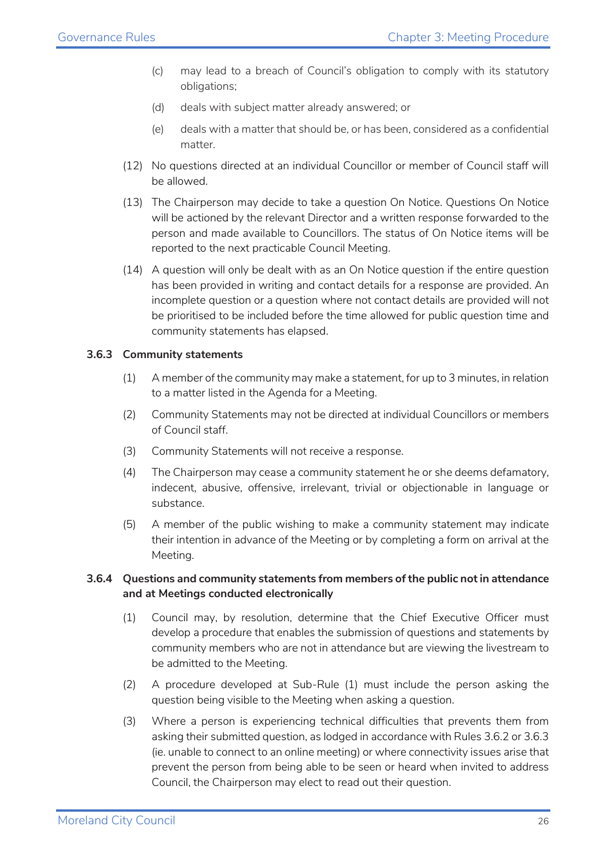- (c) may lead to a breach of Council's obligation to comply with its statutory obligations;
- (d) deals with subject matter already answered; or
- (e) deals with a matter that should be, or has been, considered as a confidential matter.
- (12) No questions directed at an individual Councillor or member of Council staff will be allowed.
- (13) The Chairperson may decide to take a question On Notice. Questions On Notice will be actioned by the relevant Director and a written response forwarded to the person and made available to Councillors. The status of On Notice items will be reported to the next practicable Council Meeting.
- (14) A question will only be dealt with as an On Notice question if the entire question has been provided in writing and contact details for a response are provided. An incomplete question or a question where not contact details are provided will not be prioritised to be included before the time allowed for public question time and community statements has elapsed.

#### **3.6.3 Community statements**

- (1) A member of the community may make a statement, for up to 3 minutes, in relation to a matter listed in the Agenda for a Meeting.
- (2) Community Statements may not be directed at individual Councillors or members of Council staff.
- (3) Community Statements will not receive a response.
- (4) The Chairperson may cease a community statement he or she deems defamatory, indecent, abusive, offensive, irrelevant, trivial or objectionable in language or substance.
- (5) A member of the public wishing to make a community statement may indicate their intention in advance of the Meeting or by completing a form on arrival at the Meeting.

#### **3.6.4 Questions and community statements from members of the public not in attendance and at Meetings conducted electronically**

- (1) Council may, by resolution, determine that the Chief Executive Officer must develop a procedure that enables the submission of questions and statements by community members who are not in attendance but are viewing the livestream to be admitted to the Meeting.
- (2) A procedure developed at Sub-Rule (1) must include the person asking the question being visible to the Meeting when asking a question.
- (3) Where a person is experiencing technical difficulties that prevents them from asking their submitted question, as lodged in accordance with Rules 3.6.2 or 3.6.3 (ie. unable to connect to an online meeting) or where connectivity issues arise that prevent the person from being able to be seen or heard when invited to address Council, the Chairperson may elect to read out their question.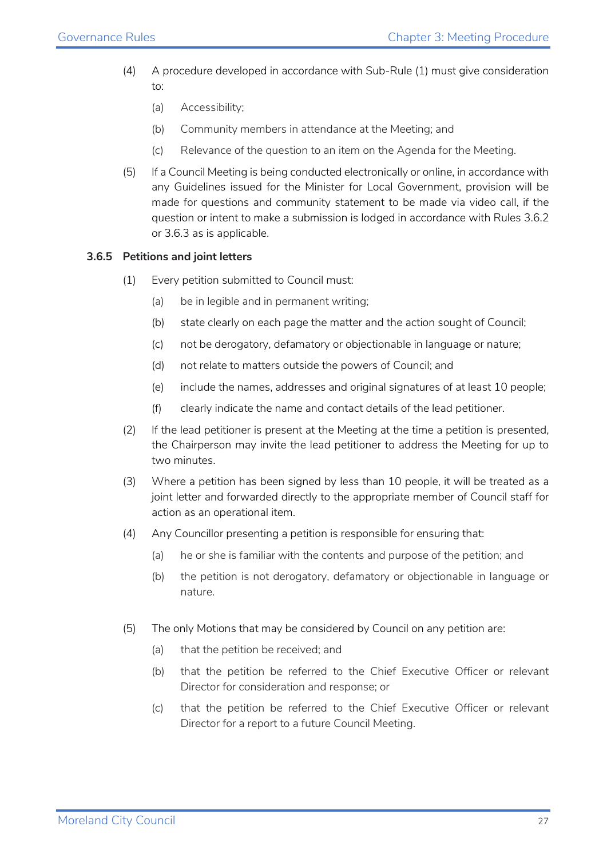- (4) A procedure developed in accordance with Sub-Rule (1) must give consideration to:
	- (a) Accessibility;
	- (b) Community members in attendance at the Meeting; and
	- (c) Relevance of the question to an item on the Agenda for the Meeting.
- (5) If a Council Meeting is being conducted electronically or online, in accordance with any Guidelines issued for the Minister for Local Government, provision will be made for questions and community statement to be made via video call, if the question or intent to make a submission is lodged in accordance with Rules 3.6.2 or 3.6.3 as is applicable.

#### **3.6.5 Petitions and joint letters**

- (1) Every petition submitted to Council must:
	- (a) be in legible and in permanent writing;
	- (b) state clearly on each page the matter and the action sought of Council;
	- (c) not be derogatory, defamatory or objectionable in language or nature;
	- (d) not relate to matters outside the powers of Council; and
	- (e) include the names, addresses and original signatures of at least 10 people;
	- (f) clearly indicate the name and contact details of the lead petitioner.
- (2) If the lead petitioner is present at the Meeting at the time a petition is presented, the Chairperson may invite the lead petitioner to address the Meeting for up to two minutes.
- (3) Where a petition has been signed by less than 10 people, it will be treated as a joint letter and forwarded directly to the appropriate member of Council staff for action as an operational item.
- (4) Any Councillor presenting a petition is responsible for ensuring that:
	- (a) he or she is familiar with the contents and purpose of the petition; and
	- (b) the petition is not derogatory, defamatory or objectionable in language or nature.
- (5) The only Motions that may be considered by Council on any petition are:
	- (a) that the petition be received; and
	- (b) that the petition be referred to the Chief Executive Officer or relevant Director for consideration and response; or
	- (c) that the petition be referred to the Chief Executive Officer or relevant Director for a report to a future Council Meeting.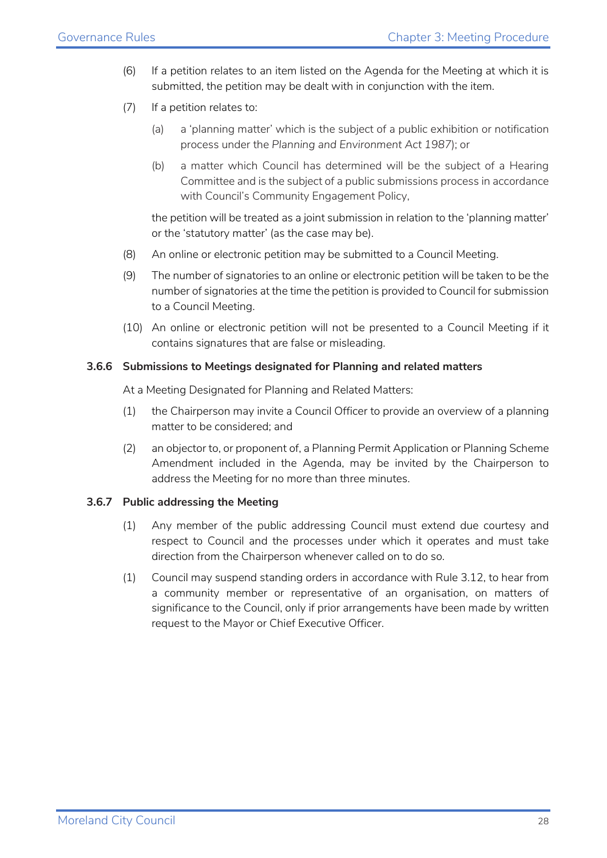- (6) If a petition relates to an item listed on the Agenda for the Meeting at which it is submitted, the petition may be dealt with in conjunction with the item.
- (7) If a petition relates to:
	- (a) a 'planning matter' which is the subject of a public exhibition or notification process under the *Planning and Environment Act 1987*); or
	- (b) a matter which Council has determined will be the subject of a Hearing Committee and is the subject of a public submissions process in accordance with Council's Community Engagement Policy,

the petition will be treated as a joint submission in relation to the 'planning matter' or the 'statutory matter' (as the case may be).

- (8) An online or electronic petition may be submitted to a Council Meeting.
- (9) The number of signatories to an online or electronic petition will be taken to be the number of signatories at the time the petition is provided to Council for submission to a Council Meeting.
- (10) An online or electronic petition will not be presented to a Council Meeting if it contains signatures that are false or misleading.

#### **3.6.6 Submissions to Meetings designated for Planning and related matters**

At a Meeting Designated for Planning and Related Matters:

- (1) the Chairperson may invite a Council Officer to provide an overview of a planning matter to be considered; and
- (2) an objector to, or proponent of, a Planning Permit Application or Planning Scheme Amendment included in the Agenda, may be invited by the Chairperson to address the Meeting for no more than three minutes.

#### **3.6.7 Public addressing the Meeting**

- (1) Any member of the public addressing Council must extend due courtesy and respect to Council and the processes under which it operates and must take direction from the Chairperson whenever called on to do so.
- (1) Council may suspend standing orders in accordance with Rule 3.12, to hear from a community member or representative of an organisation, on matters of significance to the Council, only if prior arrangements have been made by written request to the Mayor or Chief Executive Officer.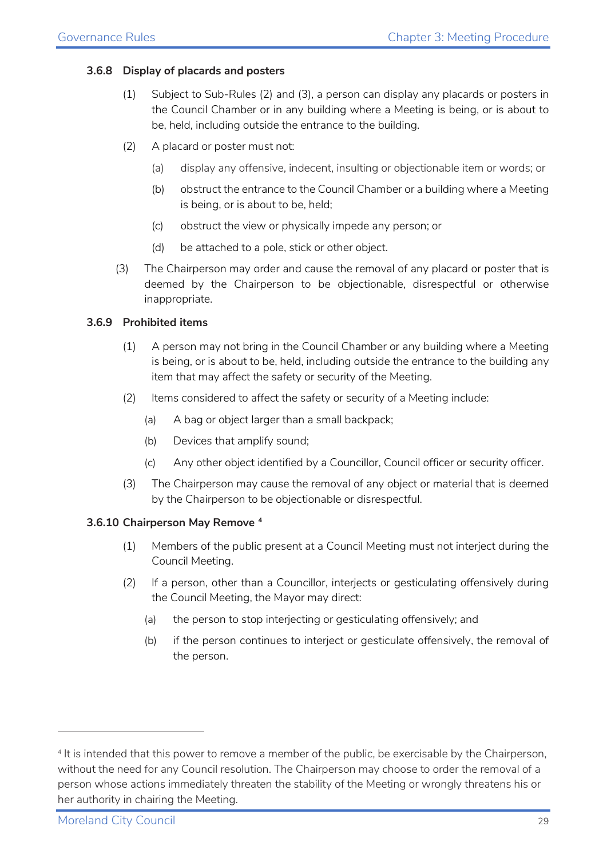#### **3.6.8 Display of placards and posters**

- (1) Subject to Sub-Rules (2) and [\(3\),](#page-28-0) a person can display any placards or posters in the Council Chamber or in any building where a Meeting is being, or is about to be, held, including outside the entrance to the building.
- (2) A placard or poster must not:
	- (a) display any offensive, indecent, insulting or objectionable item or words; or
	- (b) obstruct the entrance to the Council Chamber or a building where a Meeting is being, or is about to be, held;
	- (c) obstruct the view or physically impede any person; or
	- (d) be attached to a pole, stick or other object.
- <span id="page-28-0"></span>(3) The Chairperson may order and cause the removal of any placard or poster that is deemed by the Chairperson to be objectionable, disrespectful or otherwise inappropriate.

#### **3.6.9 Prohibited items**

- (1) A person may not bring in the Council Chamber or any building where a Meeting is being, or is about to be, held, including outside the entrance to the building any item that may affect the safety or security of the Meeting.
- (2) Items considered to affect the safety or security of a Meeting include:
	- (a) A bag or object larger than a small backpack;
	- (b) Devices that amplify sound;
	- (c) Any other object identified by a Councillor, Council officer or security officer.
- (3) The Chairperson may cause the removal of any object or material that is deemed by the Chairperson to be objectionable or disrespectful.

#### **3.6.10 Chairperson May Remove [4](#page-28-1)**

- (1) Members of the public present at a Council Meeting must not interject during the Council Meeting.
- <span id="page-28-2"></span>(2) If a person, other than a Councillor, interjects or gesticulating offensively during the Council Meeting, the Mayor may direct:
	- (a) the person to stop interjecting or gesticulating offensively; and
	- (b) if the person continues to interject or gesticulate offensively, the removal of the person.

<span id="page-28-1"></span><sup>4</sup> It is intended that this power to remove a member of the public, be exercisable by the Chairperson, without the need for any Council resolution. The Chairperson may choose to order the removal of a person whose actions immediately threaten the stability of the Meeting or wrongly threatens his or her authority in chairing the Meeting.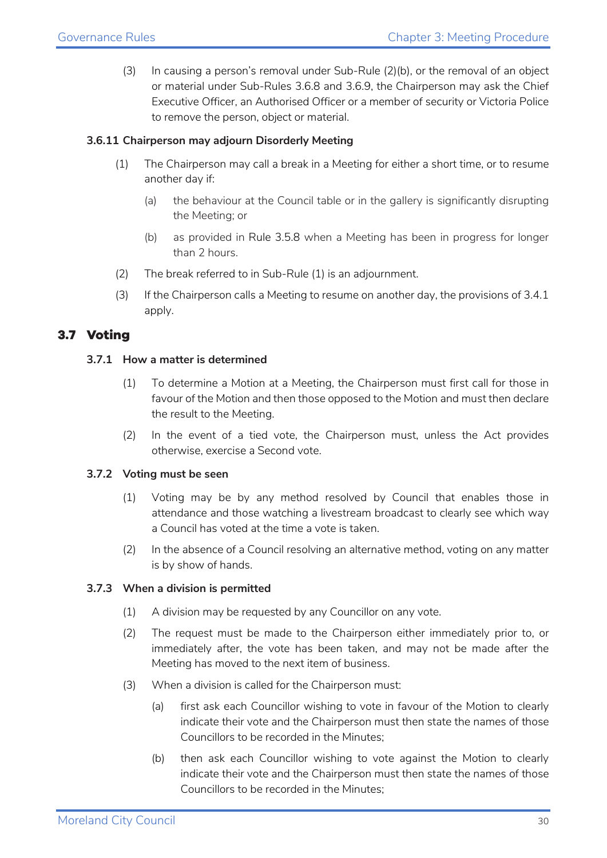(3) In causing a person's removal under Sub-Rule [\(2\)\(b\),](#page-28-2) or the removal of an object or material under Sub-Rules 3.6.8 and 3.6.9, the Chairperson may ask the Chief Executive Officer, an Authorised Officer or a member of security or Victoria Police to remove the person, object or material.

#### <span id="page-29-1"></span>**3.6.11 Chairperson may adjourn Disorderly Meeting**

- (1) The Chairperson may call a break in a Meeting for either a short time, or to resume another day if:
	- (a) the behaviour at the Council table or in the gallery is significantly disrupting the Meeting; or
	- (b) as provided in Rule 3.5.8 when a Meeting has been in progress for longer than 2 hours.
- (2) The break referred to in Sub-Rule [\(1\)](#page-29-1) is an adjournment.
- (3) If the Chairperson calls a Meeting to resume on another day, the provisions of 3.4.1 apply.

#### <span id="page-29-0"></span>**3.7 Voting**

#### **3.7.1 How a matter is determined**

- (1) To determine a Motion at a Meeting, the Chairperson must first call for those in favour of the Motion and then those opposed to the Motion and must then declare the result to the Meeting.
- (2) In the event of a tied vote, the Chairperson must, unless the Act provides otherwise, exercise a Second vote.

#### **3.7.2 Voting must be seen**

- (1) Voting may be by any method resolved by Council that enables those in attendance and those watching a livestream broadcast to clearly see which way a Council has voted at the time a vote is taken.
- (2) In the absence of a Council resolving an alternative method, voting on any matter is by show of hands.

#### **3.7.3 When a division is permitted**

- (1) A division may be requested by any Councillor on any vote.
- (2) The request must be made to the Chairperson either immediately prior to, or immediately after, the vote has been taken, and may not be made after the Meeting has moved to the next item of business.
- (3) When a division is called for the Chairperson must:
	- (a) first ask each Councillor wishing to vote in favour of the Motion to clearly indicate their vote and the Chairperson must then state the names of those Councillors to be recorded in the Minutes;
	- (b) then ask each Councillor wishing to vote against the Motion to clearly indicate their vote and the Chairperson must then state the names of those Councillors to be recorded in the Minutes;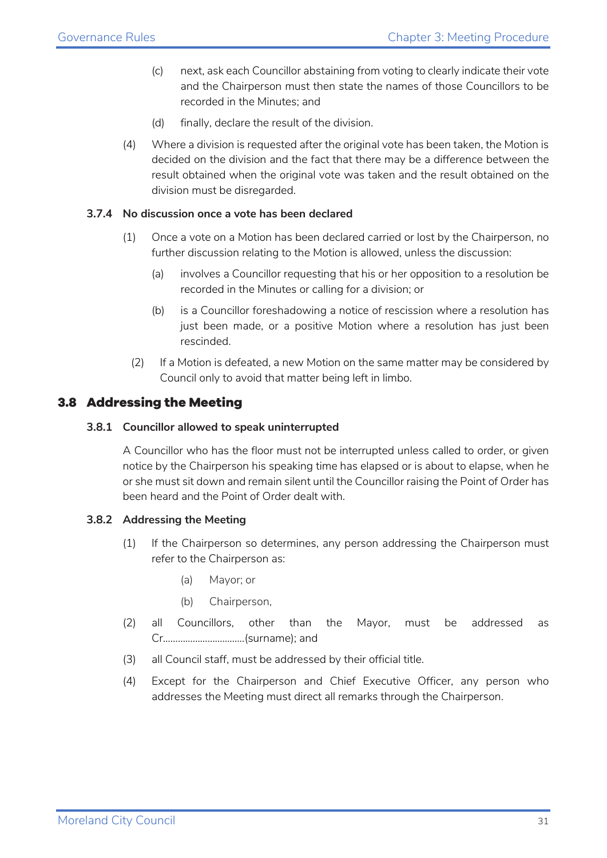- (c) next, ask each Councillor abstaining from voting to clearly indicate their vote and the Chairperson must then state the names of those Councillors to be recorded in the Minutes; and
- (d) finally, declare the result of the division.
- (4) Where a division is requested after the original vote has been taken, the Motion is decided on the division and the fact that there may be a difference between the result obtained when the original vote was taken and the result obtained on the division must be disregarded.

#### **3.7.4 No discussion once a vote has been declared**

- (1) Once a vote on a Motion has been declared carried or lost by the Chairperson, no further discussion relating to the Motion is allowed, unless the discussion:
	- (a) involves a Councillor requesting that his or her opposition to a resolution be recorded in the Minutes or calling for a division; or
	- (b) is a Councillor foreshadowing a notice of rescission where a resolution has just been made, or a positive Motion where a resolution has just been rescinded.
	- (2) If a Motion is defeated, a new Motion on the same matter may be considered by Council only to avoid that matter being left in limbo.

#### <span id="page-30-0"></span>**3.8 Addressing the Meeting**

#### **3.8.1 Councillor allowed to speak uninterrupted**

A Councillor who has the floor must not be interrupted unless called to order, or given notice by the Chairperson his speaking time has elapsed or is about to elapse, when he or she must sit down and remain silent until the Councillor raising the Point of Order has been heard and the Point of Order dealt with.

#### **3.8.2 Addressing the Meeting**

- (1) If the Chairperson so determines, any person addressing the Chairperson must refer to the Chairperson as:
	- (a) Mayor; or
	- (b) Chairperson,
- (2) all Councillors, other than the Mayor, must be addressed as Cr……………………………(surname); and
- (3) all Council staff, must be addressed by their official title.
- (4) Except for the Chairperson and Chief Executive Officer, any person who addresses the Meeting must direct all remarks through the Chairperson.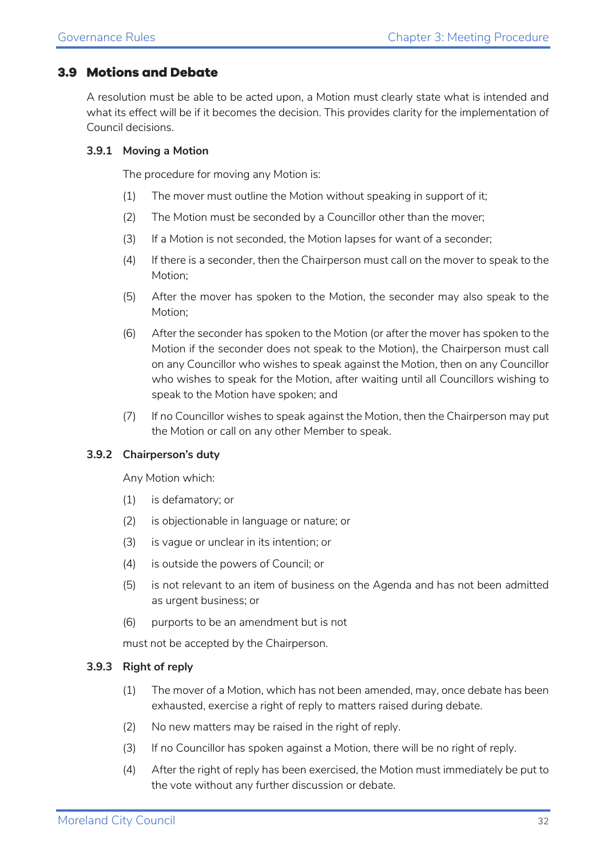#### <span id="page-31-0"></span>**3.9 Motions and Debate**

A resolution must be able to be acted upon, a Motion must clearly state what is intended and what its effect will be if it becomes the decision. This provides clarity for the implementation of Council decisions.

#### **3.9.1 Moving a Motion**

The procedure for moving any Motion is:

- (1) The mover must outline the Motion without speaking in support of it;
- (2) The Motion must be seconded by a Councillor other than the mover;
- (3) If a Motion is not seconded, the Motion lapses for want of a seconder;
- (4) If there is a seconder, then the Chairperson must call on the mover to speak to the Motion;
- (5) After the mover has spoken to the Motion, the seconder may also speak to the Motion;
- (6) After the seconder has spoken to the Motion (or after the mover has spoken to the Motion if the seconder does not speak to the Motion), the Chairperson must call on any Councillor who wishes to speak against the Motion, then on any Councillor who wishes to speak for the Motion, after waiting until all Councillors wishing to speak to the Motion have spoken; and
- (7) If no Councillor wishes to speak against the Motion, then the Chairperson may put the Motion or call on any other Member to speak.

#### **3.9.2 Chairperson's duty**

Any Motion which:

- (1) is defamatory; or
- (2) is objectionable in language or nature; or
- (3) is vague or unclear in its intention; or
- (4) is outside the powers of Council; or
- (5) is not relevant to an item of business on the Agenda and has not been admitted as urgent business; or
- (6) purports to be an amendment but is not

must not be accepted by the Chairperson.

#### **3.9.3 Right of reply**

- (1) The mover of a Motion, which has not been amended, may, once debate has been exhausted, exercise a right of reply to matters raised during debate.
- (2) No new matters may be raised in the right of reply.
- (3) If no Councillor has spoken against a Motion, there will be no right of reply.
- (4) After the right of reply has been exercised, the Motion must immediately be put to the vote without any further discussion or debate.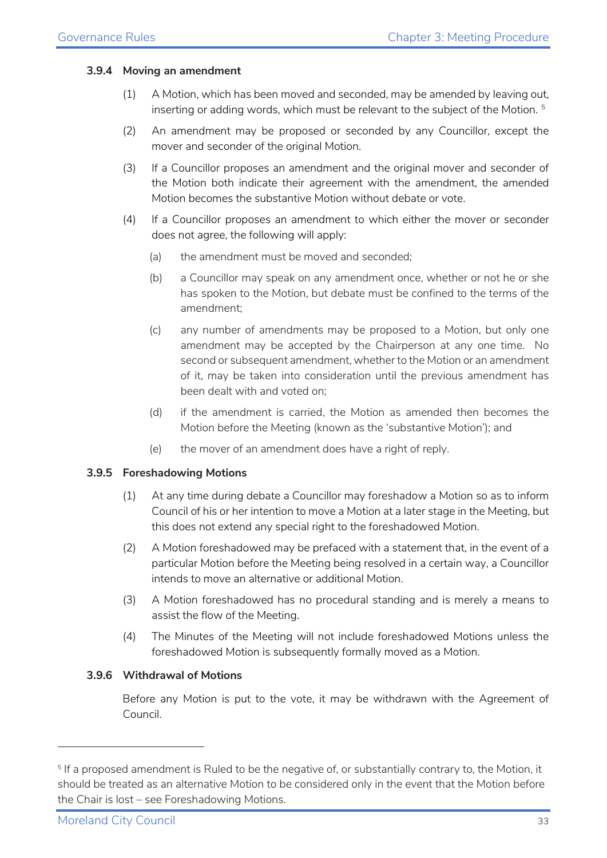#### **3.9.4 Moving an amendment**

- (1) A Motion, which has been moved and seconded, may be amended by leaving out, inserting or adding words, which must be relevant to the subject of the Motion. <sup>[5](#page-32-0)</sup>
- (2) An amendment may be proposed or seconded by any Councillor, except the mover and seconder of the original Motion.
- (3) If a Councillor proposes an amendment and the original mover and seconder of the Motion both indicate their agreement with the amendment, the amended Motion becomes the substantive Motion without debate or vote.
- (4) If a Councillor proposes an amendment to which either the mover or seconder does not agree, the following will apply:
	- (a) the amendment must be moved and seconded;
	- (b) a Councillor may speak on any amendment once, whether or not he or she has spoken to the Motion, but debate must be confined to the terms of the amendment;
	- (c) any number of amendments may be proposed to a Motion, but only one amendment may be accepted by the Chairperson at any one time. No second or subsequent amendment, whether to the Motion or an amendment of it, may be taken into consideration until the previous amendment has been dealt with and voted on;
	- (d) if the amendment is carried, the Motion as amended then becomes the Motion before the Meeting (known as the 'substantive Motion'); and
	- (e) the mover of an amendment does have a right of reply.

#### **3.9.5 Foreshadowing Motions**

- (1) At any time during debate a Councillor may foreshadow a Motion so as to inform Council of his or her intention to move a Motion at a later stage in the Meeting, but this does not extend any special right to the foreshadowed Motion.
- (2) A Motion foreshadowed may be prefaced with a statement that, in the event of a particular Motion before the Meeting being resolved in a certain way, a Councillor intends to move an alternative or additional Motion.
- (3) A Motion foreshadowed has no procedural standing and is merely a means to assist the flow of the Meeting.
- (4) The Minutes of the Meeting will not include foreshadowed Motions unless the foreshadowed Motion is subsequently formally moved as a Motion.

#### **3.9.6 Withdrawal of Motions**

Before any Motion is put to the vote, it may be withdrawn with the Agreement of Council.

<span id="page-32-0"></span><sup>&</sup>lt;sup>5</sup> If a proposed amendment is Ruled to be the negative of, or substantially contrary to, the Motion, it should be treated as an alternative Motion to be considered only in the event that the Motion before the Chair is lost – see Foreshadowing Motions.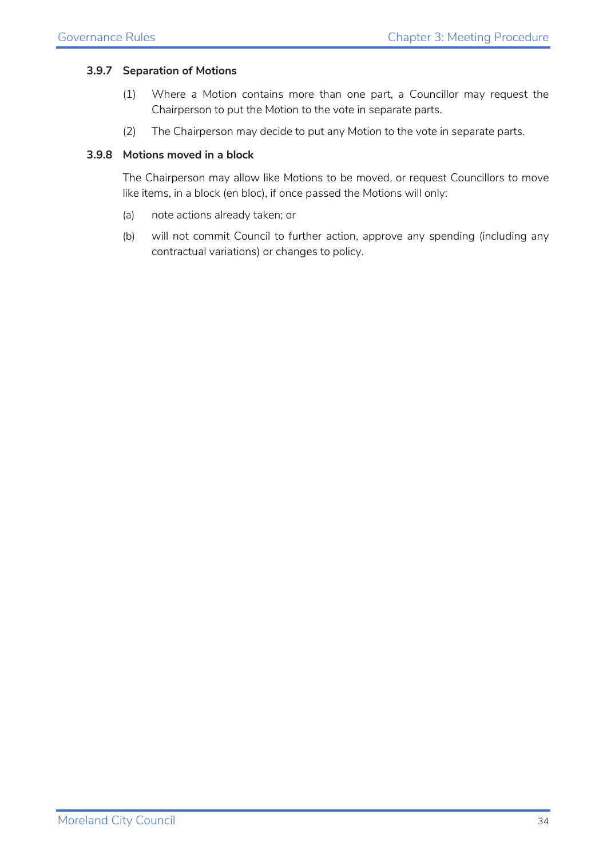#### **3.9.7 Separation of Motions**

- (1) Where a Motion contains more than one part, a Councillor may request the Chairperson to put the Motion to the vote in separate parts.
- (2) The Chairperson may decide to put any Motion to the vote in separate parts.

#### **3.9.8 Motions moved in a block**

The Chairperson may allow like Motions to be moved, or request Councillors to move like items, in a block (en bloc), if once passed the Motions will only:

- (a) note actions already taken; or
- (b) will not commit Council to further action, approve any spending (including any contractual variations) or changes to policy.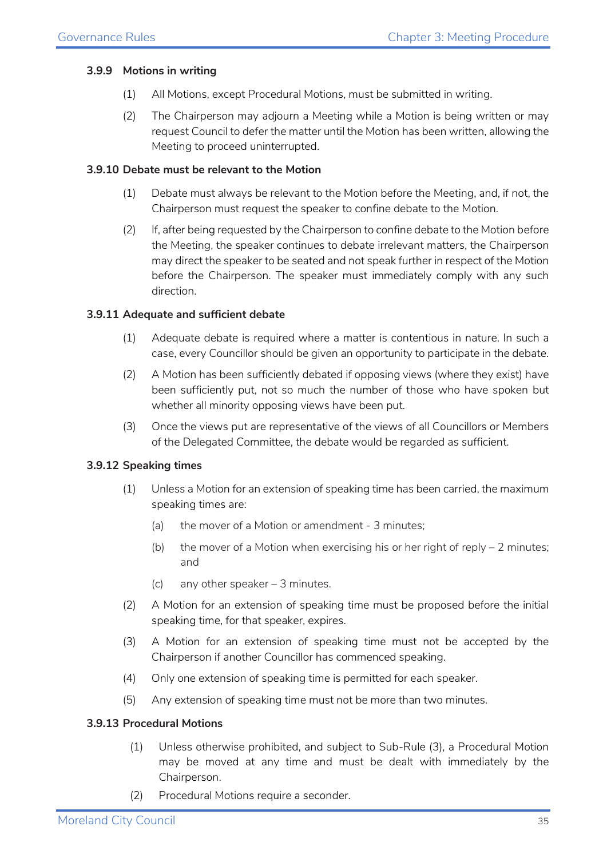#### **3.9.9 Motions in writing**

- (1) All Motions, except Procedural Motions, must be submitted in writing.
- (2) The Chairperson may adjourn a Meeting while a Motion is being written or may request Council to defer the matter until the Motion has been written, allowing the Meeting to proceed uninterrupted.

#### **3.9.10 Debate must be relevant to the Motion**

- (1) Debate must always be relevant to the Motion before the Meeting, and, if not, the Chairperson must request the speaker to confine debate to the Motion.
- (2) If, after being requested by the Chairperson to confine debate to the Motion before the Meeting, the speaker continues to debate irrelevant matters, the Chairperson may direct the speaker to be seated and not speak further in respect of the Motion before the Chairperson. The speaker must immediately comply with any such direction.

#### **3.9.11 Adequate and sufficient debate**

- (1) Adequate debate is required where a matter is contentious in nature. In such a case, every Councillor should be given an opportunity to participate in the debate.
- (2) A Motion has been sufficiently debated if opposing views (where they exist) have been sufficiently put, not so much the number of those who have spoken but whether all minority opposing views have been put.
- (3) Once the views put are representative of the views of all Councillors or Members of the Delegated Committee, the debate would be regarded as sufficient.

#### **3.9.12 Speaking times**

- (1) Unless a Motion for an extension of speaking time has been carried, the maximum speaking times are:
	- (a) the mover of a Motion or amendment 3 minutes;
	- (b) the mover of a Motion when exercising his or her right of reply  $-2$  minutes; and
	- (c) any other speaker 3 minutes.
- (2) A Motion for an extension of speaking time must be proposed before the initial speaking time, for that speaker, expires.
- (3) A Motion for an extension of speaking time must not be accepted by the Chairperson if another Councillor has commenced speaking.
- (4) Only one extension of speaking time is permitted for each speaker.
- (5) Any extension of speaking time must not be more than two minutes.

#### **3.9.13 Procedural Motions**

- (1) Unless otherwise prohibited, and subject to Sub-Rule [\(3\),](#page-35-0) a Procedural Motion may be moved at any time and must be dealt with immediately by the Chairperson.
- (2) Procedural Motions require a seconder.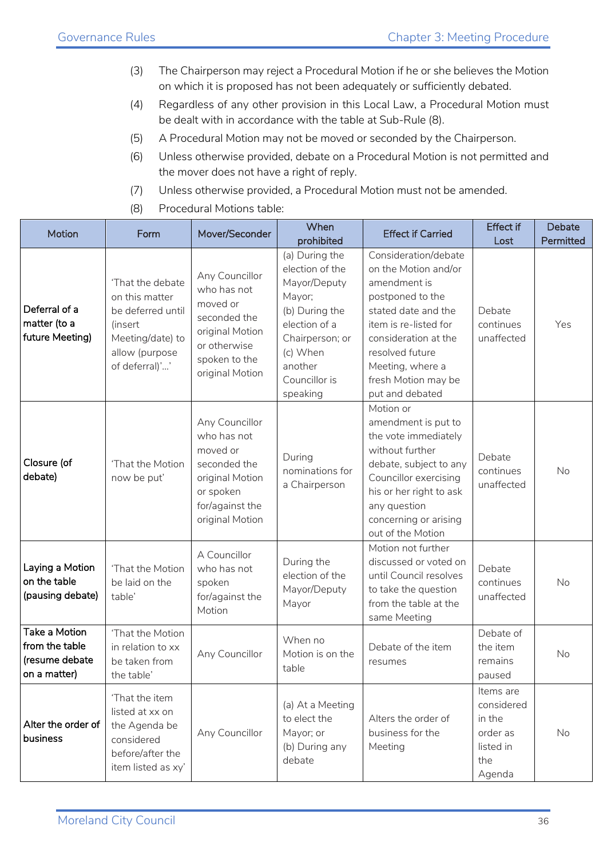- <span id="page-35-0"></span>(3) The Chairperson may reject a Procedural Motion if he or she believes the Motion on which it is proposed has not been adequately or sufficiently debated.
- (4) Regardless of any other provision in this Local Law, a Procedural Motion must be dealt with in accordance with the table at Sub-Rule (8).
- (5) A Procedural Motion may not be moved or seconded by the Chairperson.
- (6) Unless otherwise provided, debate on a Procedural Motion is not permitted and the mover does not have a right of reply.
- (7) Unless otherwise provided, a Procedural Motion must not be amended.
- (8) Procedural Motions table:

| Motion                                                            | Form                                                                                                                       | Mover/Seconder                                                                                                                   | When<br>prohibited                                                                                                                                                    | <b>Effect if Carried</b>                                                                                                                                                                                                                  | <b>Effect if</b><br>Lost                                                    | Debate<br>Permitted |
|-------------------------------------------------------------------|----------------------------------------------------------------------------------------------------------------------------|----------------------------------------------------------------------------------------------------------------------------------|-----------------------------------------------------------------------------------------------------------------------------------------------------------------------|-------------------------------------------------------------------------------------------------------------------------------------------------------------------------------------------------------------------------------------------|-----------------------------------------------------------------------------|---------------------|
| Deferral of a<br>matter (to a<br>future Meeting)                  | 'That the debate<br>on this matter<br>be deferred until<br>(insert<br>Meeting/date) to<br>allow (purpose<br>of deferral)'' | Any Councillor<br>who has not<br>moved or<br>seconded the<br>original Motion<br>or otherwise<br>spoken to the<br>original Motion | (a) During the<br>election of the<br>Mayor/Deputy<br>Mayor;<br>(b) During the<br>election of a<br>Chairperson; or<br>(c) When<br>another<br>Councillor is<br>speaking | Consideration/debate<br>on the Motion and/or<br>amendment is<br>postponed to the<br>stated date and the<br>item is re-listed for<br>consideration at the<br>resolved future<br>Meeting, where a<br>fresh Motion may be<br>put and debated | Debate<br>continues<br>unaffected                                           | Yes                 |
| Closure (of<br>debate)                                            | 'That the Motion<br>now be put'                                                                                            | Any Councillor<br>who has not<br>moved or<br>seconded the<br>original Motion<br>or spoken<br>for/against the<br>original Motion  | During<br>nominations for<br>a Chairperson                                                                                                                            | Motion or<br>amendment is put to<br>the vote immediately<br>without further<br>debate, subject to any<br>Councillor exercising<br>his or her right to ask<br>any question<br>concerning or arising<br>out of the Motion                   | Debate<br>continues<br>unaffected                                           | No                  |
| Laying a Motion<br>on the table<br>(pausing debate)               | 'That the Motion<br>be laid on the<br>table'                                                                               | A Councillor<br>who has not<br>spoken<br>for/against the<br>Motion                                                               | During the<br>election of the<br>Mayor/Deputy<br>Mayor                                                                                                                | Motion not further<br>discussed or voted on<br>until Council resolves<br>to take the question<br>from the table at the<br>same Meeting                                                                                                    | Debate<br>continues<br>unaffected                                           | No                  |
| Take a Motion<br>from the table<br>(resume debate<br>on a matter) | 'That the Motion<br>in relation to xx<br>be taken from<br>the table'                                                       | Any Councillor                                                                                                                   | When no<br>Motion is on the<br>table                                                                                                                                  | Debate of the item<br>resumes                                                                                                                                                                                                             | Debate of<br>the item<br>remains<br>paused                                  | No                  |
| Alter the order of<br>business                                    | 'That the item<br>listed at xx on<br>the Agenda be<br>considered<br>before/after the<br>item listed as xy'                 | Any Councillor                                                                                                                   | (a) At a Meeting<br>to elect the<br>Mayor; or<br>(b) During any<br>debate                                                                                             | Alters the order of<br>business for the<br>Meeting                                                                                                                                                                                        | Items are<br>considered<br>in the<br>order as<br>listed in<br>the<br>Agenda | No                  |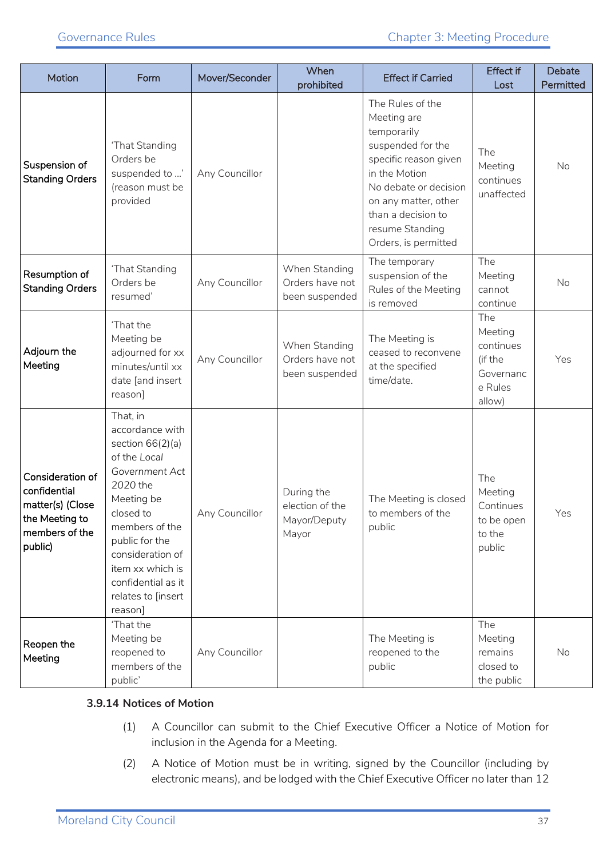| Motion                                                                                              | Form                                                                                                                                                                                                                                                          | Mover/Seconder | When<br>prohibited                                     | <b>Effect if Carried</b>                                                                                                                                                                                                        | <b>Effect if</b><br>Lost                                                 | <b>Debate</b><br>Permitted |
|-----------------------------------------------------------------------------------------------------|---------------------------------------------------------------------------------------------------------------------------------------------------------------------------------------------------------------------------------------------------------------|----------------|--------------------------------------------------------|---------------------------------------------------------------------------------------------------------------------------------------------------------------------------------------------------------------------------------|--------------------------------------------------------------------------|----------------------------|
| Suspension of<br><b>Standing Orders</b>                                                             | 'That Standing<br>Orders be<br>suspended to '<br>(reason must be<br>provided                                                                                                                                                                                  | Any Councillor |                                                        | The Rules of the<br>Meeting are<br>temporarily<br>suspended for the<br>specific reason given<br>in the Motion<br>No debate or decision<br>on any matter, other<br>than a decision to<br>resume Standing<br>Orders, is permitted | The<br>Meeting<br>continues<br>unaffected                                | No                         |
| Resumption of<br><b>Standing Orders</b>                                                             | 'That Standing<br>Orders be<br>resumed'                                                                                                                                                                                                                       | Any Councillor | When Standing<br>Orders have not<br>been suspended     | The temporary<br>suspension of the<br>Rules of the Meeting<br>is removed                                                                                                                                                        | The<br>Meeting<br>cannot<br>continue                                     | No                         |
| Adjourn the<br>Meeting                                                                              | 'That the<br>Meeting be<br>adjourned for xx<br>minutes/until xx<br>date [and insert<br>reason]                                                                                                                                                                | Any Councillor | When Standing<br>Orders have not<br>been suspended     | The Meeting is<br>ceased to reconvene<br>at the specified<br>time/date.                                                                                                                                                         | The<br>Meeting<br>continues<br>(if the<br>Governanc<br>e Rules<br>allow) | Yes                        |
| Consideration of<br>confidential<br>matter(s) (Close<br>the Meeting to<br>members of the<br>public) | That, in<br>accordance with<br>section $66(2)(a)$<br>of the Local<br>Government Act<br>2020 the<br>Meeting be<br>closed to<br>members of the<br>public for the<br>consideration of<br>item xx which is<br>confidential as it<br>relates to [insert<br>reason] | Any Councillor | During the<br>election of the<br>Mayor/Deputy<br>Mayor | The Meeting is closed<br>to members of the<br>public                                                                                                                                                                            | The<br>Meeting<br>Continues<br>to be open<br>to the<br>public            | Yes                        |
| Reopen the<br>Meeting                                                                               | 'That the<br>Meeting be<br>reopened to<br>members of the<br>public'                                                                                                                                                                                           | Any Councillor |                                                        | The Meeting is<br>reopened to the<br>public                                                                                                                                                                                     | The<br>Meeting<br>remains<br>closed to<br>the public                     | <b>No</b>                  |

#### **3.9.14 Notices of Motion**

- (1) A Councillor can submit to the Chief Executive Officer a Notice of Motion for inclusion in the Agenda for a Meeting.
- (2) A Notice of Motion must be in writing, signed by the Councillor (including by electronic means), and be lodged with the Chief Executive Officer no later than 12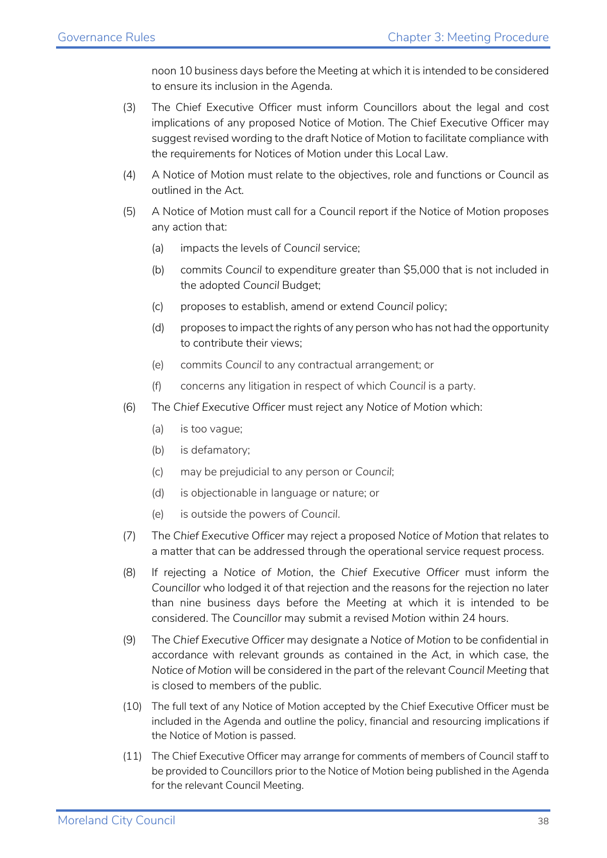noon 10 business days before the Meeting at which it is intended to be considered to ensure its inclusion in the Agenda.

- (3) The Chief Executive Officer must inform Councillors about the legal and cost implications of any proposed Notice of Motion. The Chief Executive Officer may suggest revised wording to the draft Notice of Motion to facilitate compliance with the requirements for Notices of Motion under this Local Law.
- (4) A Notice of Motion must relate to the objectives, role and functions or Council as outlined in the Act.
- (5) A Notice of Motion must call for a Council report if the Notice of Motion proposes any action that:
	- (a) impacts the levels of *Council* service;
	- (b) commits *Council* to expenditure greater than \$5,000 that is not included in the adopted *Council* Budget;
	- (c) proposes to establish, amend or extend *Council* policy;
	- (d) proposes to impact the rights of any person who has not had the opportunity to contribute their views;
	- (e) commits *Council* to any contractual arrangement; or
	- (f) concerns any litigation in respect of which *Council* is a party.
- (6) The *Chief Executive Officer* must reject any *Notice of Motion* which:
	- (a) is too vague;
	- (b) is defamatory;
	- (c) may be prejudicial to any person or *Council*;
	- (d) is objectionable in language or nature; or
	- (e) is outside the powers of *Council*.
- (7) The *Chief Executive Officer* may reject a proposed *Notice of Motion* that relates to a matter that can be addressed through the operational service request process.
- (8) If rejecting a *Notice of Motion*, the *Chief Executive Officer* must inform the *Councillor* who lodged it of that rejection and the reasons for the rejection no later than nine business days before the *Meeting* at which it is intended to be considered. The *Councillor* may submit a revised *Motion* within 24 hours.
- (9) The *Chief Executive Officer* may designate a *Notice of Motion* to be confidential in accordance with relevant grounds as contained in the *Act*, in which case, the *Notice of Motion* will be considered in the part of the relevant *Council Meeting* that is closed to members of the public.
- (10) The full text of any Notice of Motion accepted by the Chief Executive Officer must be included in the Agenda and outline the policy, financial and resourcing implications if the Notice of Motion is passed.
- (11) The Chief Executive Officer may arrange for comments of members of Council staff to be provided to Councillors prior to the Notice of Motion being published in the Agenda for the relevant Council Meeting.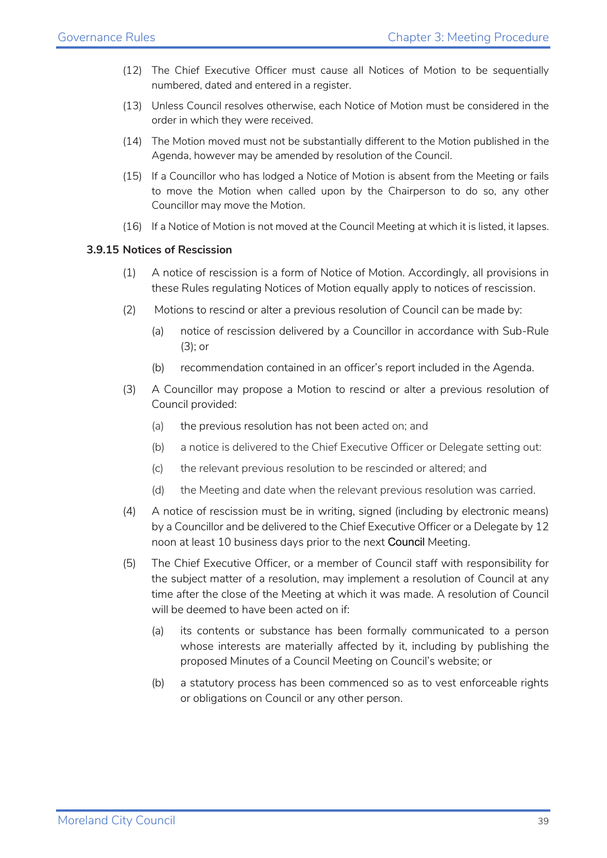- (12) The Chief Executive Officer must cause all Notices of Motion to be sequentially numbered, dated and entered in a register.
- (13) Unless Council resolves otherwise, each Notice of Motion must be considered in the order in which they were received.
- (14) The Motion moved must not be substantially different to the Motion published in the Agenda, however may be amended by resolution of the Council.
- (15) If a Councillor who has lodged a Notice of Motion is absent from the Meeting or fails to move the Motion when called upon by the Chairperson to do so, any other Councillor may move the Motion.
- (16) If a Notice of Motion is not moved at the Council Meeting at which it is listed, it lapses.

#### **3.9.15 Notices of Rescission**

- (1) A notice of rescission is a form of Notice of Motion. Accordingly, all provisions in these Rules regulating Notices of Motion equally apply to notices of rescission.
- (2) Motions to rescind or alter a previous resolution of Council can be made by:
	- (a) notice of rescission delivered by a Councillor in accordance with Sub-Rule (3); or
	- (b) recommendation contained in an officer's report included in the Agenda.
- (3) A Councillor may propose a Motion to rescind or alter a previous resolution of Council provided:
	- (a) the previous resolution has not been acted on; and
	- (b) a notice is delivered to the Chief Executive Officer or Delegate setting out:
	- (c) the relevant previous resolution to be rescinded or altered; and
	- (d) the Meeting and date when the relevant previous resolution was carried.
- (4) A notice of rescission must be in writing, signed (including by electronic means) by a Councillor and be delivered to the Chief Executive Officer or a Delegate by 12 noon at least 10 business days prior to the next Council Meeting.
- (5) The Chief Executive Officer, or a member of Council staff with responsibility for the subject matter of a resolution, may implement a resolution of Council at any time after the close of the Meeting at which it was made. A resolution of Council will be deemed to have been acted on if:
	- (a) its contents or substance has been formally communicated to a person whose interests are materially affected by it, including by publishing the proposed Minutes of a Council Meeting on Council's website; or
	- (b) a statutory process has been commenced so as to vest enforceable rights or obligations on Council or any other person.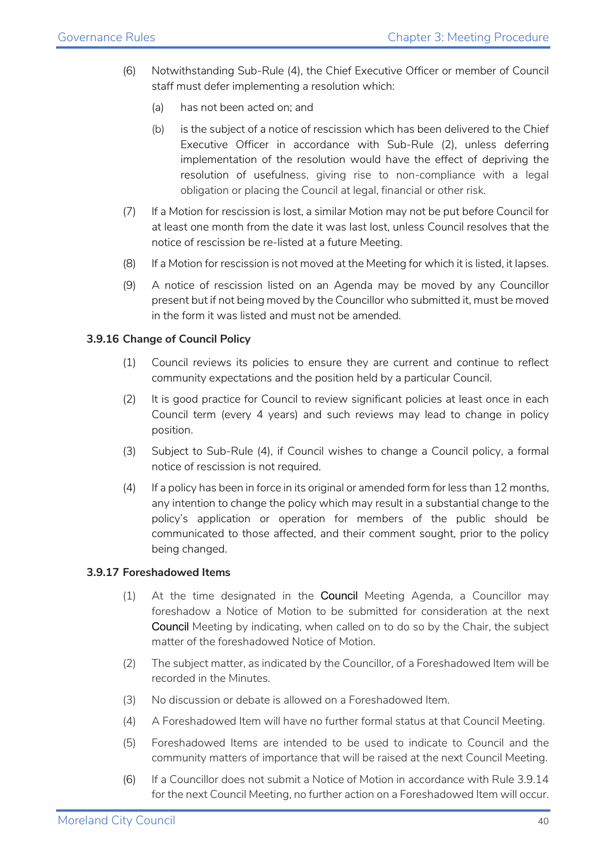- (6) Notwithstanding Sub-Rule (4), the Chief Executive Officer or member of Council staff must defer implementing a resolution which:
	- (a) has not been acted on; and
	- (b) is the subject of a notice of rescission which has been delivered to the Chief Executive Officer in accordance with Sub-Rule (2), unless deferring implementation of the resolution would have the effect of depriving the resolution of usefulness, giving rise to non-compliance with a legal obligation or placing the Council at legal, financial or other risk.
- (7) If a Motion for rescission is lost, a similar Motion may not be put before Council for at least one month from the date it was last lost, unless Council resolves that the notice of rescission be re-listed at a future Meeting.
- (8) If a Motion for rescission is not moved at the Meeting for which it is listed, it lapses.
- (9) A notice of rescission listed on an Agenda may be moved by any Councillor present but if not being moved by the Councillor who submitted it, must be moved in the form it was listed and must not be amended.

#### **3.9.16 Change of Council Policy**

- (1) Council reviews its policies to ensure they are current and continue to reflect community expectations and the position held by a particular Council.
- (2) It is good practice for Council to review significant policies at least once in each Council term (every 4 years) and such reviews may lead to change in policy position.
- (3) Subject to Sub-Rule (4), if Council wishes to change a Council policy, a formal notice of rescission is not required.
- (4) If a policy has been in force in its original or amended form for less than 12 months, any intention to change the policy which may result in a substantial change to the policy's application or operation for members of the public should be communicated to those affected, and their comment sought, prior to the policy being changed.

#### **3.9.17 Foreshadowed Items**

- (1) At the time designated in the Council Meeting Agenda, a Councillor may foreshadow a Notice of Motion to be submitted for consideration at the next Council Meeting by indicating, when called on to do so by the Chair, the subject matter of the foreshadowed Notice of Motion.
- (2) The subject matter, as indicated by the Councillor, of a Foreshadowed Item will be recorded in the Minutes.
- (3) No discussion or debate is allowed on a Foreshadowed Item.
- (4) A Foreshadowed Item will have no further formal status at that Council Meeting.
- (5) Foreshadowed Items are intended to be used to indicate to Council and the community matters of importance that will be raised at the next Council Meeting.
- (6) If a Councillor does not submit a Notice of Motion in accordance with Rule 3.9.14 for the next Council Meeting, no further action on a Foreshadowed Item will occur.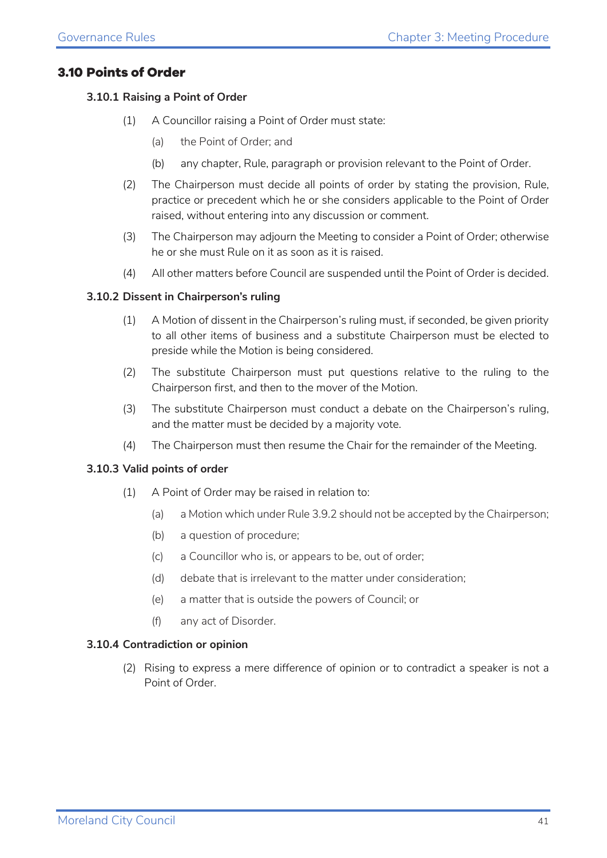#### <span id="page-40-0"></span>**3.10 Points of Order**

#### **3.10.1 Raising a Point of Order**

- (1) A Councillor raising a Point of Order must state:
	- (a) the Point of Order; and
	- (b) any chapter, Rule, paragraph or provision relevant to the Point of Order.
- (2) The Chairperson must decide all points of order by stating the provision, Rule, practice or precedent which he or she considers applicable to the Point of Order raised, without entering into any discussion or comment.
- (3) The Chairperson may adjourn the Meeting to consider a Point of Order; otherwise he or she must Rule on it as soon as it is raised.
- (4) All other matters before Council are suspended until the Point of Order is decided.

#### **3.10.2 Dissent in Chairperson's ruling**

- (1) A Motion of dissent in the Chairperson's ruling must, if seconded, be given priority to all other items of business and a substitute Chairperson must be elected to preside while the Motion is being considered.
- (2) The substitute Chairperson must put questions relative to the ruling to the Chairperson first, and then to the mover of the Motion.
- (3) The substitute Chairperson must conduct a debate on the Chairperson's ruling, and the matter must be decided by a majority vote.
- (4) The Chairperson must then resume the Chair for the remainder of the Meeting.

#### **3.10.3 Valid points of order**

- (1) A Point of Order may be raised in relation to:
	- (a) a Motion which under Rule 3.9.2 should not be accepted by the Chairperson;
	- (b) a question of procedure;
	- (c) a Councillor who is, or appears to be, out of order;
	- (d) debate that is irrelevant to the matter under consideration;
	- (e) a matter that is outside the powers of Council; or
	- (f) any act of Disorder.

#### **3.10.4 Contradiction or opinion**

(2) Rising to express a mere difference of opinion or to contradict a speaker is not a Point of Order.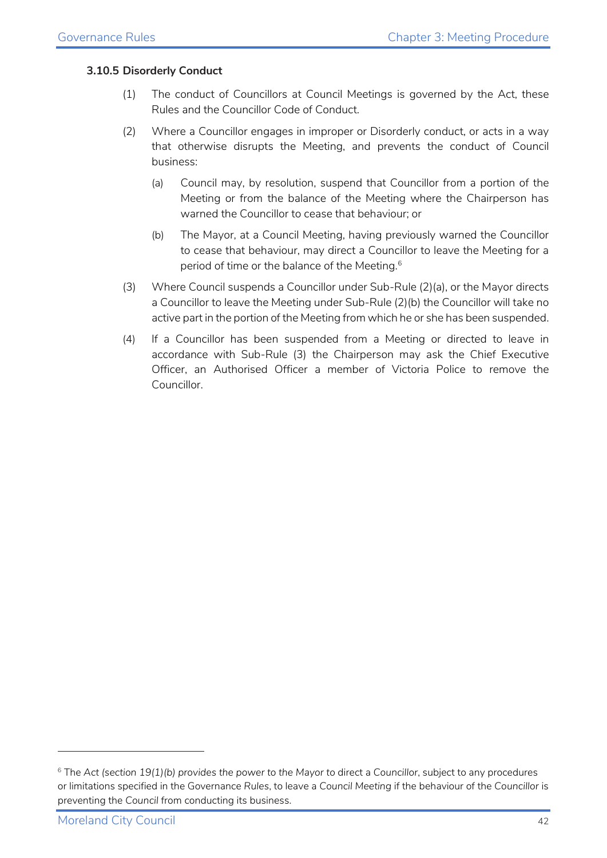#### **3.10.5 Disorderly Conduct**

- (1) The conduct of Councillors at Council Meetings is governed by the Act, these Rules and the Councillor Code of Conduct.
- (2) Where a Councillor engages in improper or Disorderly conduct, or acts in a way that otherwise disrupts the Meeting, and prevents the conduct of Council business:
	- (a) Council may, by resolution, suspend that Councillor from a portion of the Meeting or from the balance of the Meeting where the Chairperson has warned the Councillor to cease that behaviour; or
	- (b) The Mayor, at a Council Meeting, having previously warned the Councillor to cease that behaviour, may direct a Councillor to leave the Meeting for a period of time or the balance of the Meeting. [6](#page-41-0)
- (3) Where Council suspends a Councillor under Sub-Rule (2)(a), or the Mayor directs a Councillor to leave the Meeting under Sub-Rule (2)(b) the Councillor will take no active part in the portion of the Meeting from which he or she has been suspended.
- (4) If a Councillor has been suspended from a Meeting or directed to leave in accordance with Sub-Rule (3) the Chairperson may ask the Chief Executive Officer, an Authorised Officer a member of Victoria Police to remove the Councillor.

<span id="page-41-0"></span><sup>6</sup> The *Act (section 19(1)(b) provides the power to the Mayor to* direct a *Councillor*, subject to any procedures or limitations specified in the Governance *Rules*, to leave a *Council Meeting* if the behaviour of the *Councillor* is preventing the *Council* from conducting its business.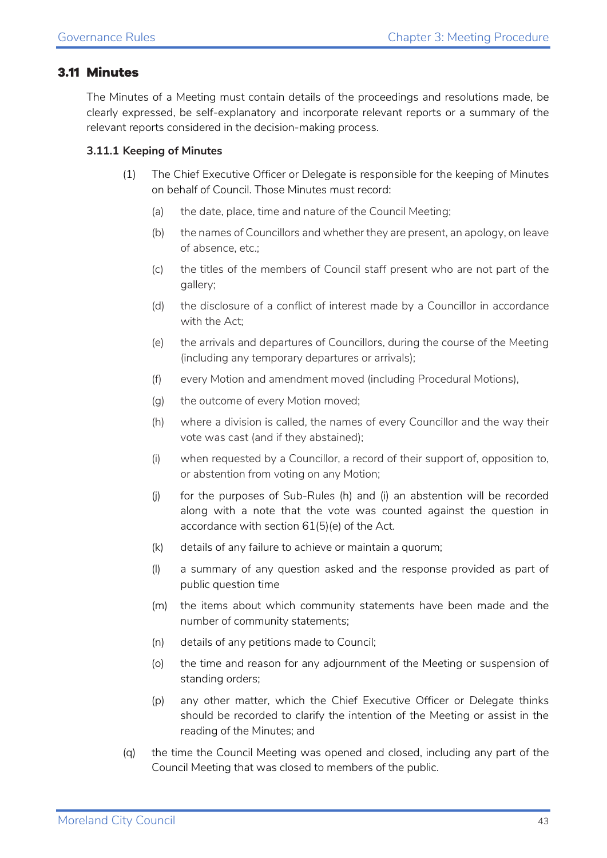#### <span id="page-42-0"></span>**3.11 Minutes**

The Minutes of a Meeting must contain details of the proceedings and resolutions made, be clearly expressed, be self-explanatory and incorporate relevant reports or a summary of the relevant reports considered in the decision-making process.

#### **3.11.1 Keeping of Minutes**

- (1) The Chief Executive Officer or Delegate is responsible for the keeping of Minutes on behalf of Council. Those Minutes must record:
	- (a) the date, place, time and nature of the Council Meeting;
	- (b) the names of Councillors and whether they are present, an apology, on leave of absence, etc.;
	- (c) the titles of the members of Council staff present who are not part of the gallery;
	- (d) the disclosure of a conflict of interest made by a Councillor in accordance with the Act;
	- (e) the arrivals and departures of Councillors, during the course of the Meeting (including any temporary departures or arrivals);
	- (f) every Motion and amendment moved (including Procedural Motions),
	- (g) the outcome of every Motion moved;
	- (h) where a division is called, the names of every Councillor and the way their vote was cast (and if they abstained);
	- (i) when requested by a Councillor, a record of their support of, opposition to, or abstention from voting on any Motion;
	- (j) for the purposes of Sub-Rules (h) and (i) an abstention will be recorded along with a note that the vote was counted against the question in accordance with section 61(5)(e) of the Act.
	- (k) details of any failure to achieve or maintain a quorum;
	- (l) a summary of any question asked and the response provided as part of public question time
	- (m) the items about which community statements have been made and the number of community statements;
	- (n) details of any petitions made to Council;
	- (o) the time and reason for any adjournment of the Meeting or suspension of standing orders;
	- (p) any other matter, which the Chief Executive Officer or Delegate thinks should be recorded to clarify the intention of the Meeting or assist in the reading of the Minutes; and
- (q) the time the Council Meeting was opened and closed, including any part of the Council Meeting that was closed to members of the public.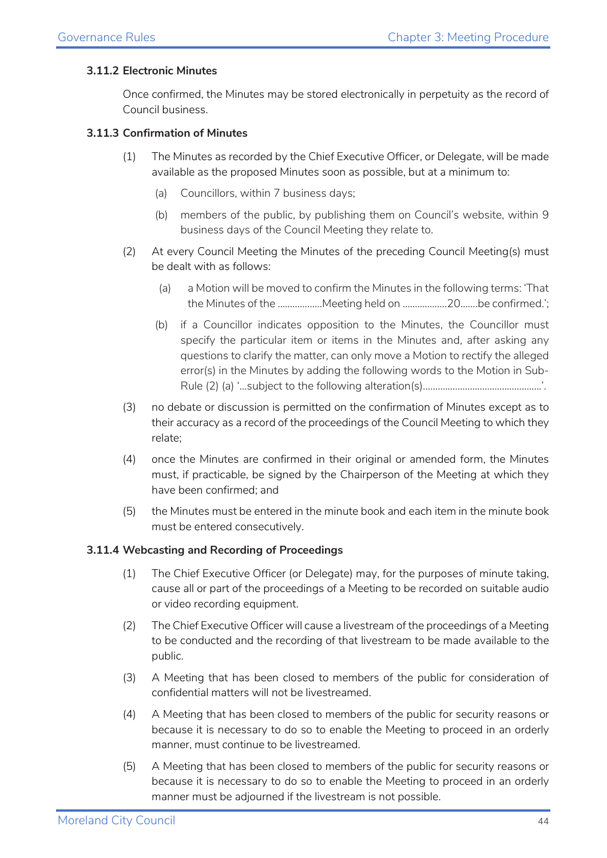#### **3.11.2 Electronic Minutes**

Once confirmed, the Minutes may be stored electronically in perpetuity as the record of Council business.

#### **3.11.3 Confirmation of Minutes**

- (1) The Minutes as recorded by the Chief Executive Officer, or Delegate, will be made available as the proposed Minutes soon as possible, but at a minimum to:
	- (a) Councillors, within 7 business days;
	- (b) members of the public, by publishing them on Council's website, within 9 business days of the Council Meeting they relate to.
- (2) At every Council Meeting the Minutes of the preceding Council Meeting(s) must be dealt with as follows:
	- (a) a Motion will be moved to confirm the Minutes in the following terms: 'That the Minutes of the ………………Meeting held on ………………20…….be confirmed.';
	- (b) if a Councillor indicates opposition to the Minutes, the Councillor must specify the particular item or items in the Minutes and, after asking any questions to clarify the matter, can only move a Motion to rectify the alleged error(s) in the Minutes by adding the following words to the Motion in Sub-Rule (2) (a) '...subject to the following alteration(s).………………………………………..'.
- (3) no debate or discussion is permitted on the confirmation of Minutes except as to their accuracy as a record of the proceedings of the Council Meeting to which they relate;
- (4) once the Minutes are confirmed in their original or amended form, the Minutes must, if practicable, be signed by the Chairperson of the Meeting at which they have been confirmed; and
- (5) the Minutes must be entered in the minute book and each item in the minute book must be entered consecutively.

#### **3.11.4 Webcasting and Recording of Proceedings**

- (1) The Chief Executive Officer (or Delegate) may, for the purposes of minute taking, cause all or part of the proceedings of a Meeting to be recorded on suitable audio or video recording equipment.
- (2) The Chief Executive Officer will cause a livestream of the proceedings of a Meeting to be conducted and the recording of that livestream to be made available to the public.
- (3) A Meeting that has been closed to members of the public for consideration of confidential matters will not be livestreamed.
- (4) A Meeting that has been closed to members of the public for security reasons or because it is necessary to do so to enable the Meeting to proceed in an orderly manner, must continue to be livestreamed.
- (5) A Meeting that has been closed to members of the public for security reasons or because it is necessary to do so to enable the Meeting to proceed in an orderly manner must be adjourned if the livestream is not possible.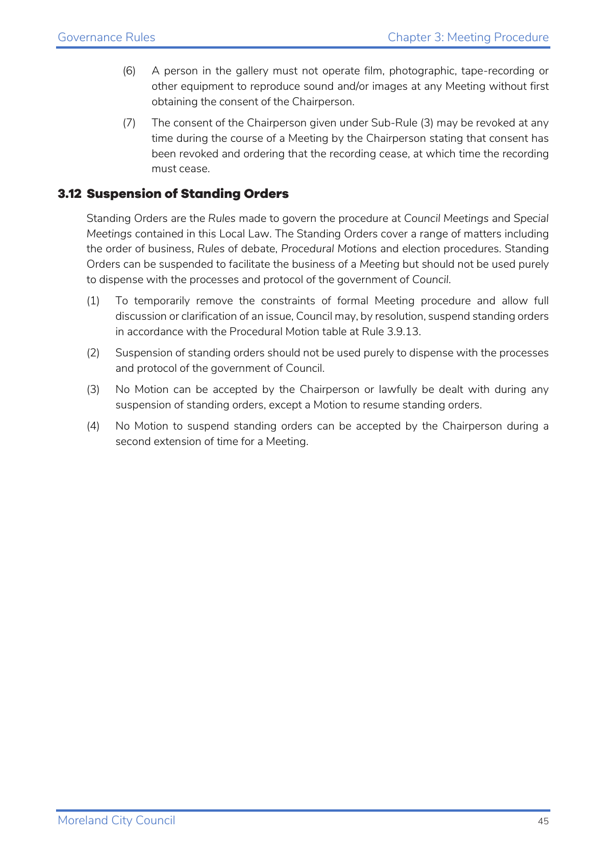- (6) A person in the gallery must not operate film, photographic, tape-recording or other equipment to reproduce sound and/or images at any Meeting without first obtaining the consent of the Chairperson.
- (7) The consent of the Chairperson given under Sub-Rule (3) may be revoked at any time during the course of a Meeting by the Chairperson stating that consent has been revoked and ordering that the recording cease, at which time the recording must cease.

#### <span id="page-44-0"></span>**3.12 Suspension of Standing Orders**

Standing Orders are the *Rules* made to govern the procedure at *Council Meetings* and *Special Meetings* contained in this Local Law. The Standing Orders cover a range of matters including the order of business, *Rules* of debate, *Procedural Motion*s and election procedures. Standing Orders can be suspended to facilitate the business of a *Meeting* but should not be used purely to dispense with the processes and protocol of the government of *Council*.

- (1) To temporarily remove the constraints of formal Meeting procedure and allow full discussion or clarification of an issue, Council may, by resolution, suspend standing orders in accordance with the Procedural Motion table at Rule 3.9.13.
- (2) Suspension of standing orders should not be used purely to dispense with the processes and protocol of the government of Council.
- (3) No Motion can be accepted by the Chairperson or lawfully be dealt with during any suspension of standing orders, except a Motion to resume standing orders.
- (4) No Motion to suspend standing orders can be accepted by the Chairperson during a second extension of time for a Meeting.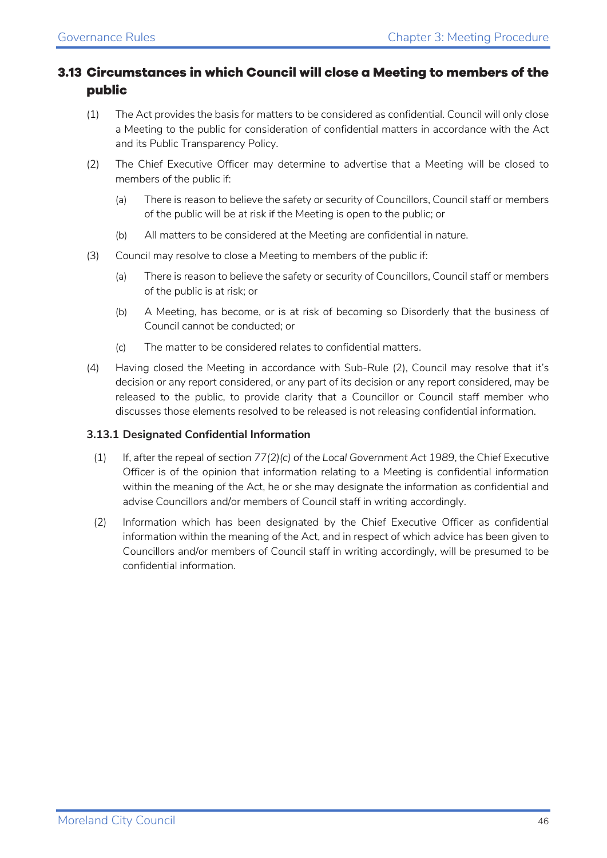#### <span id="page-45-0"></span>**3.13 Circumstances in which Council will close a Meeting to members of the public**

- (1) The Act provides the basis for matters to be considered as confidential. Council will only close a Meeting to the public for consideration of confidential matters in accordance with the Act and its Public Transparency Policy.
- (2) The Chief Executive Officer may determine to advertise that a Meeting will be closed to members of the public if:
	- (a) There is reason to believe the safety or security of Councillors, Council staff or members of the public will be at risk if the Meeting is open to the public; or
	- (b) All matters to be considered at the Meeting are confidential in nature.
- (3) Council may resolve to close a Meeting to members of the public if:
	- (a) There is reason to believe the safety or security of Councillors, Council staff or members of the public is at risk; or
	- (b) A Meeting, has become, or is at risk of becoming so Disorderly that the business of Council cannot be conducted; or
	- (c) The matter to be considered relates to confidential matters.
- (4) Having closed the Meeting in accordance with Sub-Rule (2), Council may resolve that it's decision or any report considered, or any part of its decision or any report considered, may be released to the public, to provide clarity that a Councillor or Council staff member who discusses those elements resolved to be released is not releasing confidential information.

#### **3.13.1 Designated Confidential Information**

- (1) If, after the repeal of *section 77(2)(c) of the Local Government Act 1989*, the Chief Executive Officer is of the opinion that information relating to a Meeting is confidential information within the meaning of the Act, he or she may designate the information as confidential and advise Councillors and/or members of Council staff in writing accordingly.
- (2) Information which has been designated by the Chief Executive Officer as confidential information within the meaning of the Act, and in respect of which advice has been given to Councillors and/or members of Council staff in writing accordingly, will be presumed to be confidential information.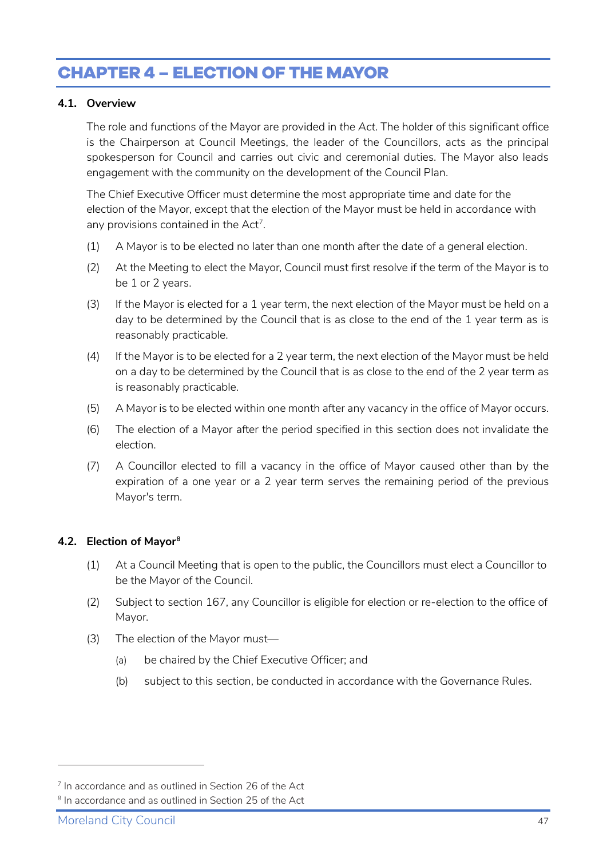# <span id="page-46-0"></span>**CHAPTER 4 – ELECTION OF THE MAYOR**

#### <span id="page-46-1"></span>**4.1. Overview**

The role and functions of the Mayor are provided in *the Act*. The holder of this significant office is the Chairperson at Council Meetings, the leader of the Councillors, acts as the principal spokesperson for Council and carries out civic and ceremonial duties. The Mayor also leads engagement with the community on the development of the Council Plan.

The Chief Executive Officer must determine the most appropriate time and date for the election of the Mayor, except that the election of the Mayor must be held in accordance with any provisions contained in the  $Act<sup>7</sup>$  $Act<sup>7</sup>$  $Act<sup>7</sup>$ .

- (1) A Mayor is to be elected no later than one month after the date of a general election.
- (2) At the Meeting to elect the Mayor, Council must first resolve if the term of the Mayor is to be 1 or 2 years.
- (3) If the Mayor is elected for a 1 year term, the next election of the Mayor must be held on a day to be determined by the Council that is as close to the end of the 1 year term as is reasonably practicable.
- (4) If the Mayor is to be elected for a 2 year term, the next election of the Mayor must be held on a day to be determined by the Council that is as close to the end of the 2 year term as is reasonably practicable.
- (5) A Mayor is to be elected within one month after any vacancy in the office of Mayor occurs.
- (6) The election of a Mayor after the period specified in this section does not invalidate the election.
- (7) A Councillor elected to fill a vacancy in the office of Mayor caused other than by the expiration of a one year or a 2 year term serves the remaining period of the previous Mayor's term.

#### <span id="page-46-2"></span>**4.2. Election of Mayor[8](#page-46-4)**

- (1) At a Council Meeting that is open to the public, the Councillors must elect a Councillor to be the Mayor of the Council.
- (2) Subject to section 167, any Councillor is eligible for election or re-election to the office of Mayor.
- (3) The election of the Mayor must—
	- (a) be chaired by the Chief Executive Officer; and
	- (b) subject to this section, be conducted in accordance with the Governance Rules.

<span id="page-46-3"></span> $<sup>7</sup>$  In accordance and as outlined in Section 26 of the Act</sup>

<span id="page-46-4"></span><sup>&</sup>lt;sup>8</sup> In accordance and as outlined in Section 25 of the Act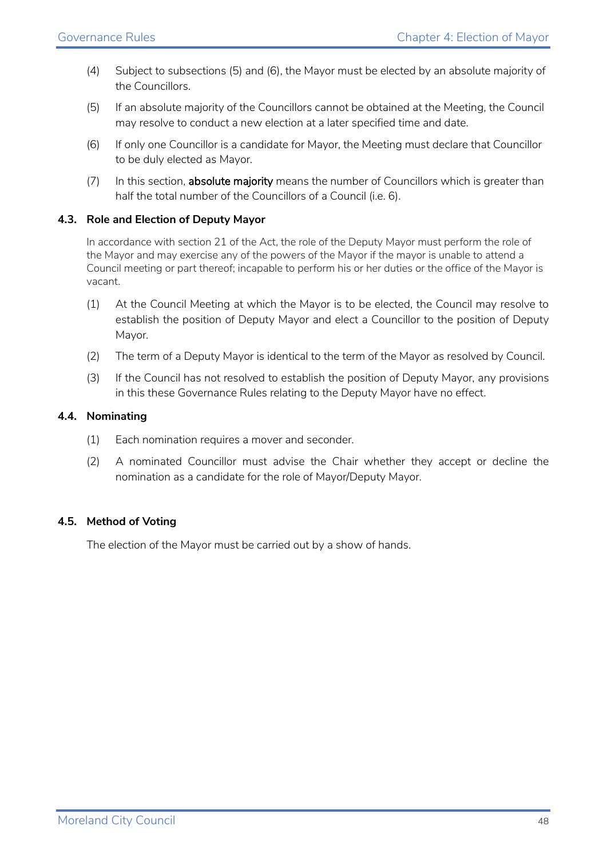- (4) Subject to subsections (5) and (6), the Mayor must be elected by an absolute majority of the Councillors.
- (5) If an absolute majority of the Councillors cannot be obtained at the Meeting, the Council may resolve to conduct a new election at a later specified time and date.
- (6) If only one Councillor is a candidate for Mayor, the Meeting must declare that Councillor to be duly elected as Mayor.
- (7) In this section, **absolute majority** means the number of Councillors which is greater than half the total number of the Councillors of a Council (i.e. 6).

#### <span id="page-47-0"></span>**4.3. Role and Election of Deputy Mayor**

In accordance with section 21 of the Act, the role of the Deputy Mayor must perform the role of the Mayor and may exercise any of the powers of the Mayor if the mayor is unable to attend a Council meeting or part thereof; incapable to perform his or her duties or the office of the Mayor is vacant.

- (1) At the Council Meeting at which the Mayor is to be elected, the Council may resolve to establish the position of Deputy Mayor and elect a Councillor to the position of Deputy Mayor.
- (2) The term of a Deputy Mayor is identical to the term of the Mayor as resolved by Council.
- (3) If the Council has not resolved to establish the position of Deputy Mayor, any provisions in this these Governance Rules relating to the Deputy Mayor have no effect.

#### <span id="page-47-1"></span>**4.4. Nominating**

- (1) Each nomination requires a mover and seconder.
- (2) A nominated Councillor must advise the Chair whether they accept or decline the nomination as a candidate for the role of Mayor/Deputy Mayor.

#### <span id="page-47-2"></span>**4.5. Method of Voting**

The election of the Mayor must be carried out by a show of hands.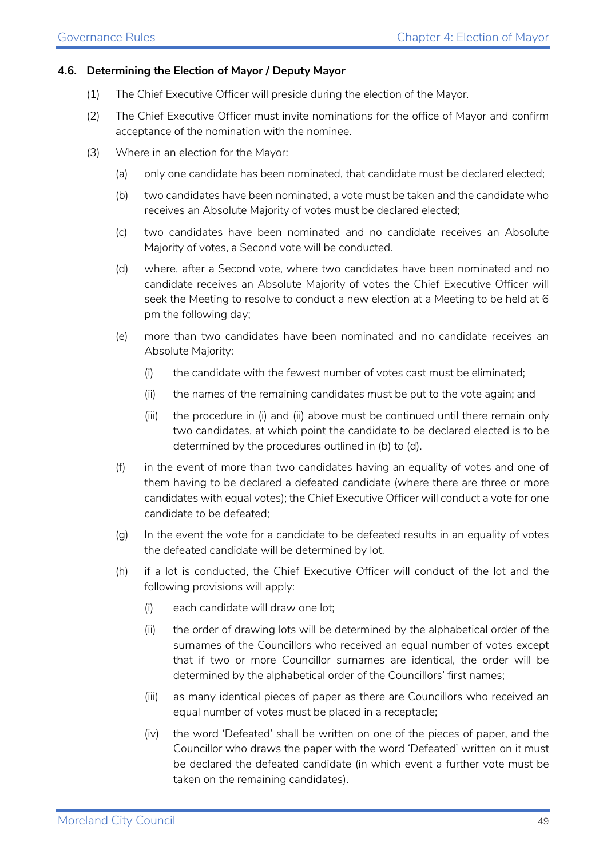#### <span id="page-48-0"></span>**4.6. Determining the Election of Mayor / Deputy Mayor**

- (1) The Chief Executive Officer will preside during the election of the Mayor.
- (2) The Chief Executive Officer must invite nominations for the office of Mayor and confirm acceptance of the nomination with the nominee.
- (3) Where in an election for the Mayor:
	- (a) only one candidate has been nominated, that candidate must be declared elected;
	- (b) two candidates have been nominated, a vote must be taken and the candidate who receives an Absolute Majority of votes must be declared elected;
	- (c) two candidates have been nominated and no candidate receives an Absolute Majority of votes, a Second vote will be conducted.
	- (d) where, after a Second vote, where two candidates have been nominated and no candidate receives an Absolute Majority of votes the Chief Executive Officer will seek the Meeting to resolve to conduct a new election at a Meeting to be held at 6 pm the following day;
	- (e) more than two candidates have been nominated and no candidate receives an Absolute Majority:
		- (i) the candidate with the fewest number of votes cast must be eliminated;
		- (ii) the names of the remaining candidates must be put to the vote again; and
		- (iii) the procedure in (i) and (ii) above must be continued until there remain only two candidates, at which point the candidate to be declared elected is to be determined by the procedures outlined in (b) to (d).
	- (f) in the event of more than two candidates having an equality of votes and one of them having to be declared a defeated candidate (where there are three or more candidates with equal votes); the Chief Executive Officer will conduct a vote for one candidate to be defeated;
	- (g) In the event the vote for a candidate to be defeated results in an equality of votes the defeated candidate will be determined by lot.
	- (h) if a lot is conducted, the Chief Executive Officer will conduct of the lot and the following provisions will apply:
		- (i) each candidate will draw one lot;
		- (ii) the order of drawing lots will be determined by the alphabetical order of the surnames of the Councillors who received an equal number of votes except that if two or more Councillor surnames are identical, the order will be determined by the alphabetical order of the Councillors' first names;
		- (iii) as many identical pieces of paper as there are Councillors who received an equal number of votes must be placed in a receptacle;
		- (iv) the word 'Defeated' shall be written on one of the pieces of paper, and the Councillor who draws the paper with the word 'Defeated' written on it must be declared the defeated candidate (in which event a further vote must be taken on the remaining candidates).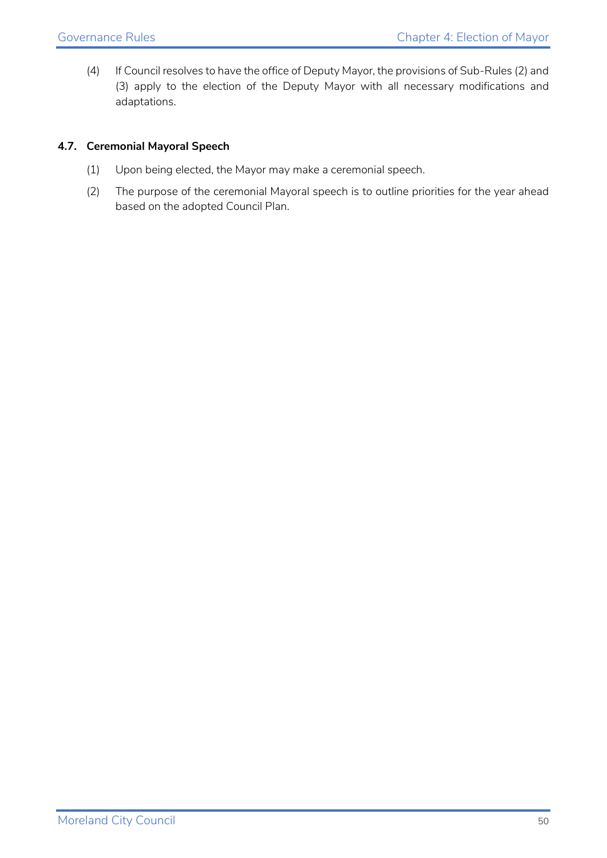(4) If Council resolves to have the office of Deputy Mayor, the provisions of Sub-Rules (2) and (3) apply to the election of the Deputy Mayor with all necessary modifications and adaptations.

#### <span id="page-49-0"></span>**4.7. Ceremonial Mayoral Speech**

- (1) Upon being elected, the Mayor may make a ceremonial speech.
- (2) The purpose of the ceremonial Mayoral speech is to outline priorities for the year ahead based on the adopted Council Plan.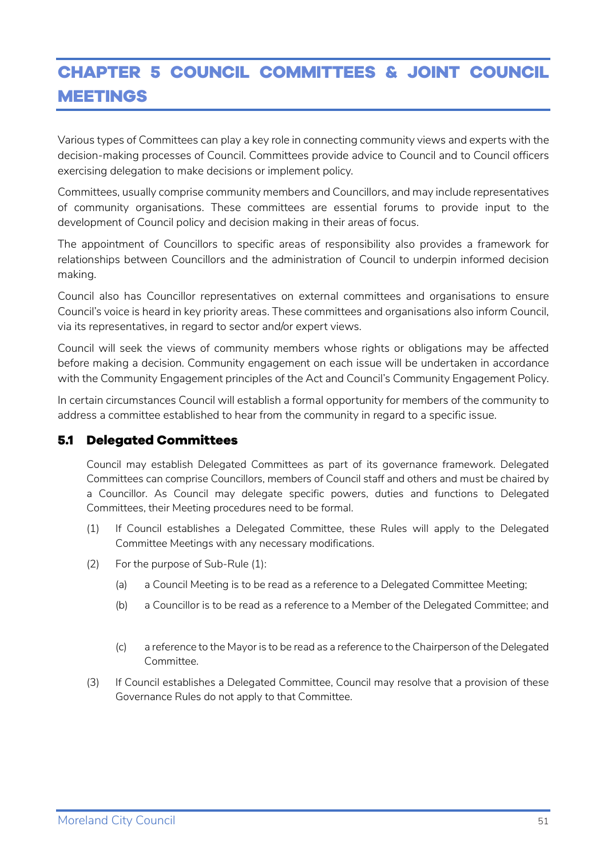# <span id="page-50-0"></span>**CHAPTER 5 COUNCIL COMMITTEES & JOINT COUNCIL MEETINGS**

Various types of Committees can play a key role in connecting community views and experts with the decision-making processes of Council. Committees provide advice to Council and to Council officers exercising delegation to make decisions or implement policy.

Committees, usually comprise community members and Councillors, and may include representatives of community organisations. These committees are essential forums to provide input to the development of Council policy and decision making in their areas of focus.

The appointment of Councillors to specific areas of responsibility also provides a framework for relationships between Councillors and the administration of Council to underpin informed decision making.

Council also has Councillor representatives on external committees and organisations to ensure Council's voice is heard in key priority areas. These committees and organisations also inform Council, via its representatives, in regard to sector and/or expert views.

Council will seek the views of community members whose rights or obligations may be affected before making a decision. Community engagement on each issue will be undertaken in accordance with the Community Engagement principles of the Act and Council's Community Engagement Policy.

In certain circumstances Council will establish a formal opportunity for members of the community to address a committee established to hear from the community in regard to a specific issue.

#### <span id="page-50-1"></span>**5.1 Delegated Committees**

Council may establish Delegated Committees as part of its governance framework. Delegated Committees can comprise Councillors, members of Council staff and others and must be chaired by a Councillor. As Council may delegate specific powers, duties and functions to Delegated Committees, their Meeting procedures need to be formal.

- (1) If Council establishes a Delegated Committee, these Rules will apply to the Delegated Committee Meetings with any necessary modifications.
- (2) For the purpose of Sub-Rule (1):
	- (a) a Council Meeting is to be read as a reference to a Delegated Committee Meeting;
	- (b) a Councillor is to be read as a reference to a Member of the Delegated Committee; and
	- (c) a reference to the Mayor is to be read as a reference to the Chairperson of the Delegated Committee.
- (3) If Council establishes a Delegated Committee, Council may resolve that a provision of these Governance Rules do not apply to that Committee.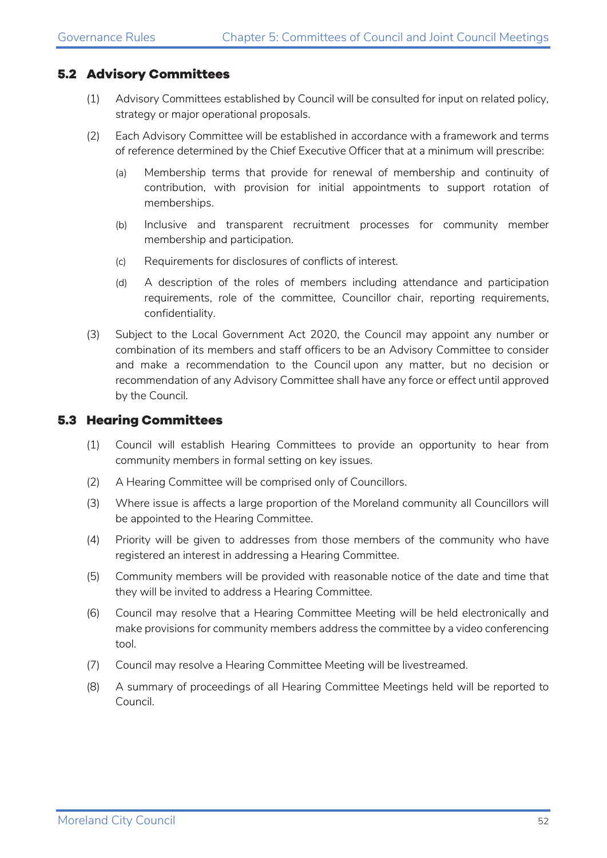#### <span id="page-51-0"></span>**5.2 Advisory Committees**

- (1) Advisory Committees established by Council will be consulted for input on related policy, strategy or major operational proposals.
- (2) Each Advisory Committee will be established in accordance with a framework and terms of reference determined by the Chief Executive Officer that at a minimum will prescribe:
	- (a) Membership terms that provide for renewal of membership and continuity of contribution, with provision for initial appointments to support rotation of memberships.
	- (b) Inclusive and transparent recruitment processes for community member membership and participation.
	- (c) Requirements for disclosures of conflicts of interest.
	- (d) A description of the roles of members including attendance and participation requirements, role of the committee, Councillor chair, reporting requirements, confidentiality.
- (3) Subject to the Local Government Act 2020, the Council may appoint any number or combination of its members and staff officers to be an Advisory Committee to consider and make a recommendation to the Council upon any matter, but no decision or recommendation of any Advisory Committee shall have any force or effect until approved by the Council.

#### <span id="page-51-1"></span>**5.3 Hearing Committees**

- (1) Council will establish Hearing Committees to provide an opportunity to hear from community members in formal setting on key issues.
- (2) A Hearing Committee will be comprised only of Councillors.
- (3) Where issue is affects a large proportion of the Moreland community all Councillors will be appointed to the Hearing Committee.
- (4) Priority will be given to addresses from those members of the community who have registered an interest in addressing a Hearing Committee.
- (5) Community members will be provided with reasonable notice of the date and time that they will be invited to address a Hearing Committee.
- (6) Council may resolve that a Hearing Committee Meeting will be held electronically and make provisions for community members address the committee by a video conferencing tool.
- (7) Council may resolve a Hearing Committee Meeting will be livestreamed.
- (8) A summary of proceedings of all Hearing Committee Meetings held will be reported to Council.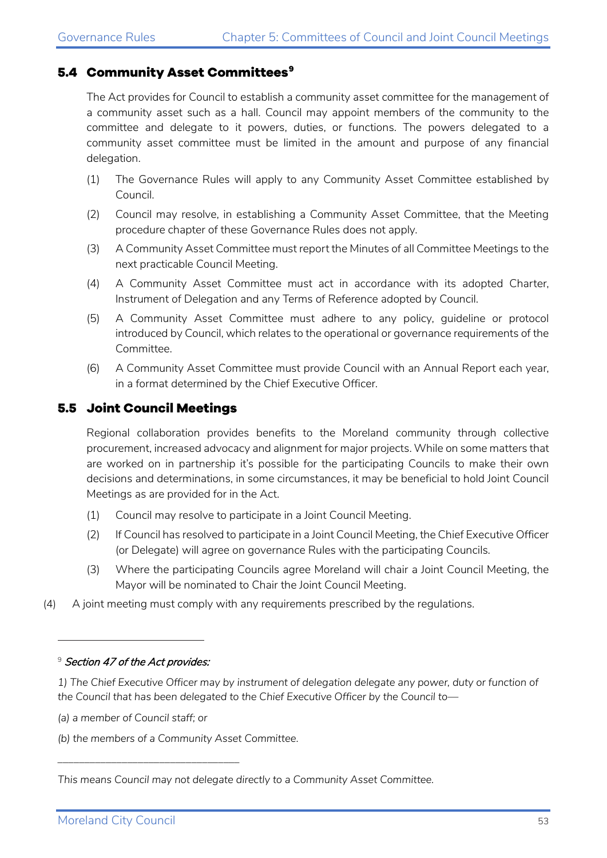#### <span id="page-52-0"></span>**5.4 Community Asset Committees[9](#page-52-2)**

The Act provides for Council to establish a community asset committee for the management of a community asset such as a hall. Council may appoint members of the community to the committee and delegate to it powers, duties, or functions. The powers delegated to a community asset committee must be limited in the amount and purpose of any financial delegation.

- (1) The Governance Rules will apply to any Community Asset Committee established by Council.
- (2) Council may resolve, in establishing a Community Asset Committee, that the Meeting procedure chapter of these Governance Rules does not apply.
- (3) A Community Asset Committee must report the Minutes of all Committee Meetings to the next practicable Council Meeting.
- (4) A Community Asset Committee must act in accordance with its adopted Charter, Instrument of Delegation and any Terms of Reference adopted by Council.
- (5) A Community Asset Committee must adhere to any policy, guideline or protocol introduced by Council, which relates to the operational or governance requirements of the Committee.
- (6) A Community Asset Committee must provide Council with an Annual Report each year, in a format determined by the Chief Executive Officer.

#### <span id="page-52-1"></span>**5.5 Joint Council Meetings**

Regional collaboration provides benefits to the Moreland community through collective procurement, increased advocacy and alignment for major projects. While on some matters that are worked on in partnership it's possible for the participating Councils to make their own decisions and determinations, in some circumstances, it may be beneficial to hold Joint Council Meetings as are provided for in the Act.

- (1) Council may resolve to participate in a Joint Council Meeting.
- (2) If Council has resolved to participate in a Joint Council Meeting, the Chief Executive Officer (or Delegate) will agree on governance Rules with the participating Councils.
- (3) Where the participating Councils agree Moreland will chair a Joint Council Meeting, the Mayor will be nominated to Chair the Joint Council Meeting.
- (4) A joint meeting must comply with any requirements prescribed by the regulations.

*(a) a member of Council staff; or*

*\_\_\_\_\_\_\_\_\_\_\_\_\_\_\_\_\_\_\_\_\_\_\_\_\_\_\_\_\_\_\_\_\_\_*

*(b) the members of a Community Asset Committee.*

<span id="page-52-2"></span><sup>&</sup>lt;sup>9</sup> Section 47 of the Act provides:

*<sup>1)</sup> The Chief Executive Officer may by instrument of delegation delegate any power, duty or function of the Council that has been delegated to the Chief Executive Officer by the Council to—*

*This means Council may not delegate directly to a Community Asset Committee.*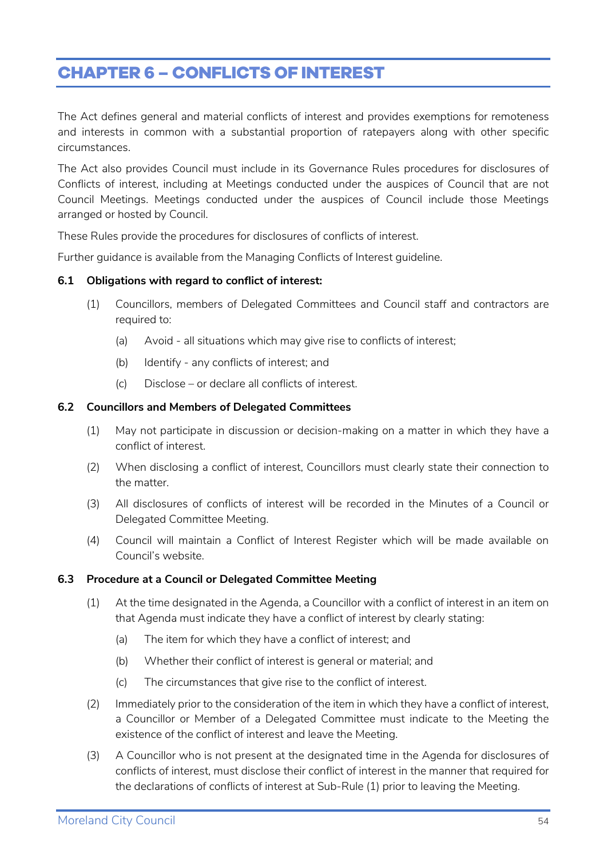# <span id="page-53-0"></span>**CHAPTER 6 – CONFLICTS OF INTEREST**

The Act defines general and material conflicts of interest and provides exemptions for remoteness and interests in common with a substantial proportion of ratepayers along with other specific circumstances.

The Act also provides Council must include in its Governance Rules procedures for disclosures of Conflicts of interest, including at Meetings conducted under the auspices of Council that are not Council Meetings. Meetings conducted under the auspices of Council include those Meetings arranged or hosted by Council.

These Rules provide the procedures for disclosures of conflicts of interest.

Further guidance is available from the Managing Conflicts of Interest guideline.

#### <span id="page-53-1"></span>**6.1 Obligations with regard to conflict of interest:**

- (1) Councillors, members of Delegated Committees and Council staff and contractors are required to:
	- (a) Avoid all situations which may give rise to conflicts of interest;
	- (b) Identify any conflicts of interest; and
	- (c) Disclose or declare all conflicts of interest.

#### <span id="page-53-2"></span>**6.2 Councillors and Members of Delegated Committees**

- (1) May not participate in discussion or decision-making on a matter in which they have a conflict of interest.
- (2) When disclosing a conflict of interest, Councillors must clearly state their connection to the matter.
- (3) All disclosures of conflicts of interest will be recorded in the Minutes of a Council or Delegated Committee Meeting.
- (4) Council will maintain a Conflict of Interest Register which will be made available on Council's website.

#### <span id="page-53-3"></span>**6.3 Procedure at a Council or Delegated Committee Meeting**

- (1) At the time designated in the Agenda, a Councillor with a conflict of interest in an item on that Agenda must indicate they have a conflict of interest by clearly stating:
	- (a) The item for which they have a conflict of interest; and
	- (b) Whether their conflict of interest is general or material; and
	- (c) The circumstances that give rise to the conflict of interest.
- (2) Immediately prior to the consideration of the item in which they have a conflict of interest, a Councillor or Member of a Delegated Committee must indicate to the Meeting the existence of the conflict of interest and leave the Meeting.
- (3) A Councillor who is not present at the designated time in the Agenda for disclosures of conflicts of interest, must disclose their conflict of interest in the manner that required for the declarations of conflicts of interest at Sub-Rule (1) prior to leaving the Meeting.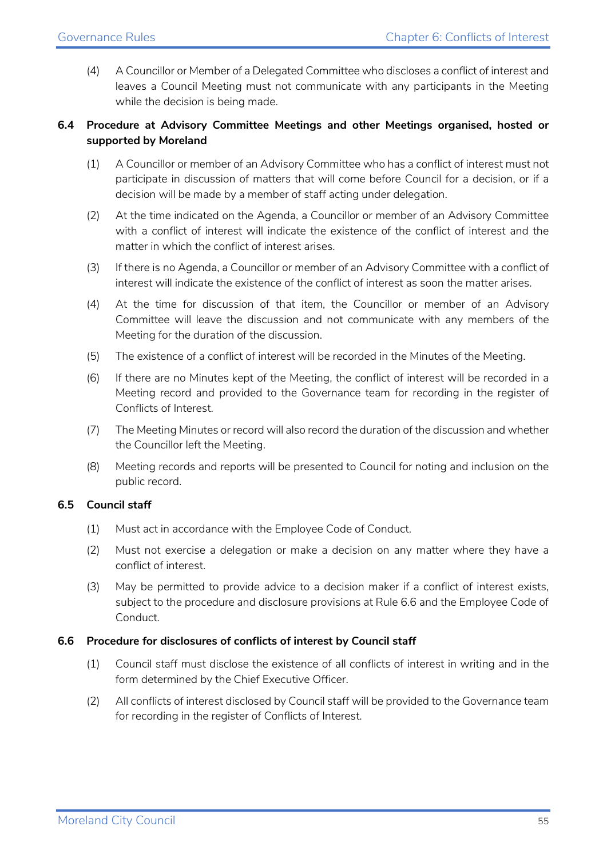(4) A Councillor or Member of a Delegated Committee who discloses a conflict of interest and leaves a Council Meeting must not communicate with any participants in the Meeting while the decision is being made.

#### <span id="page-54-0"></span>**6.4 Procedure at Advisory Committee Meetings and other Meetings organised, hosted or supported by Moreland**

- (1) A Councillor or member of an Advisory Committee who has a conflict of interest must not participate in discussion of matters that will come before Council for a decision, or if a decision will be made by a member of staff acting under delegation.
- (2) At the time indicated on the Agenda, a Councillor or member of an Advisory Committee with a conflict of interest will indicate the existence of the conflict of interest and the matter in which the conflict of interest arises.
- (3) If there is no Agenda, a Councillor or member of an Advisory Committee with a conflict of interest will indicate the existence of the conflict of interest as soon the matter arises.
- (4) At the time for discussion of that item, the Councillor or member of an Advisory Committee will leave the discussion and not communicate with any members of the Meeting for the duration of the discussion.
- (5) The existence of a conflict of interest will be recorded in the Minutes of the Meeting.
- (6) If there are no Minutes kept of the Meeting, the conflict of interest will be recorded in a Meeting record and provided to the Governance team for recording in the register of Conflicts of Interest.
- (7) The Meeting Minutes or record will also record the duration of the discussion and whether the Councillor left the Meeting.
- (8) Meeting records and reports will be presented to Council for noting and inclusion on the public record.

#### <span id="page-54-1"></span>**6.5 Council staff**

- (1) Must act in accordance with the Employee Code of Conduct.
- (2) Must not exercise a delegation or make a decision on any matter where they have a conflict of interest.
- (3) May be permitted to provide advice to a decision maker if a conflict of interest exists, subject to the procedure and disclosure provisions at Rule 6.6 and the Employee Code of Conduct.

#### <span id="page-54-2"></span>**6.6 Procedure for disclosures of conflicts of interest by Council staff**

- (1) Council staff must disclose the existence of all conflicts of interest in writing and in the form determined by the Chief Executive Officer.
- (2) All conflicts of interest disclosed by Council staff will be provided to the Governance team for recording in the register of Conflicts of Interest.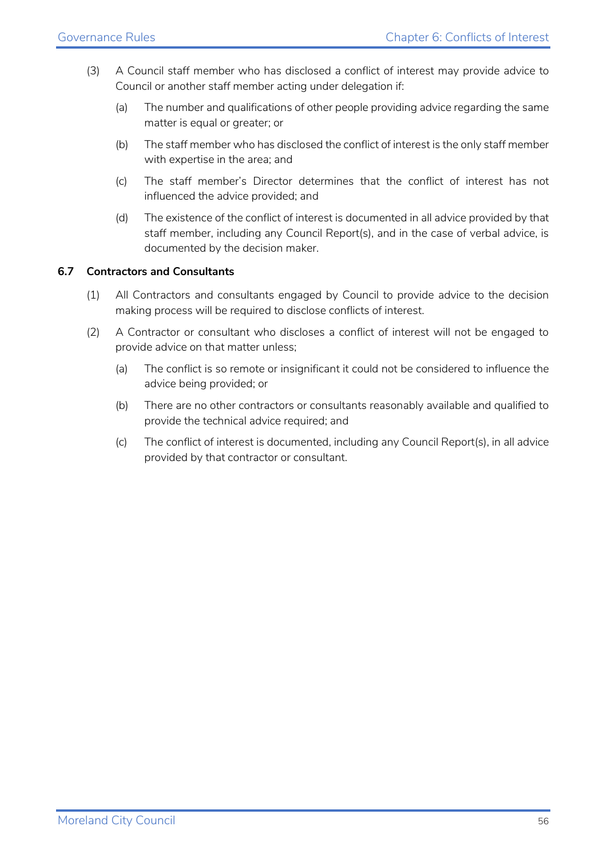- (3) A Council staff member who has disclosed a conflict of interest may provide advice to Council or another staff member acting under delegation if:
	- (a) The number and qualifications of other people providing advice regarding the same matter is equal or greater; or
	- (b) The staff member who has disclosed the conflict of interest is the only staff member with expertise in the area; and
	- (c) The staff member's Director determines that the conflict of interest has not influenced the advice provided; and
	- (d) The existence of the conflict of interest is documented in all advice provided by that staff member, including any Council Report(s), and in the case of verbal advice, is documented by the decision maker.

#### <span id="page-55-0"></span>**6.7 Contractors and Consultants**

- (1) All Contractors and consultants engaged by Council to provide advice to the decision making process will be required to disclose conflicts of interest.
- (2) A Contractor or consultant who discloses a conflict of interest will not be engaged to provide advice on that matter unless;
	- (a) The conflict is so remote or insignificant it could not be considered to influence the advice being provided; or
	- (b) There are no other contractors or consultants reasonably available and qualified to provide the technical advice required; and
	- (c) The conflict of interest is documented, including any Council Report(s), in all advice provided by that contractor or consultant.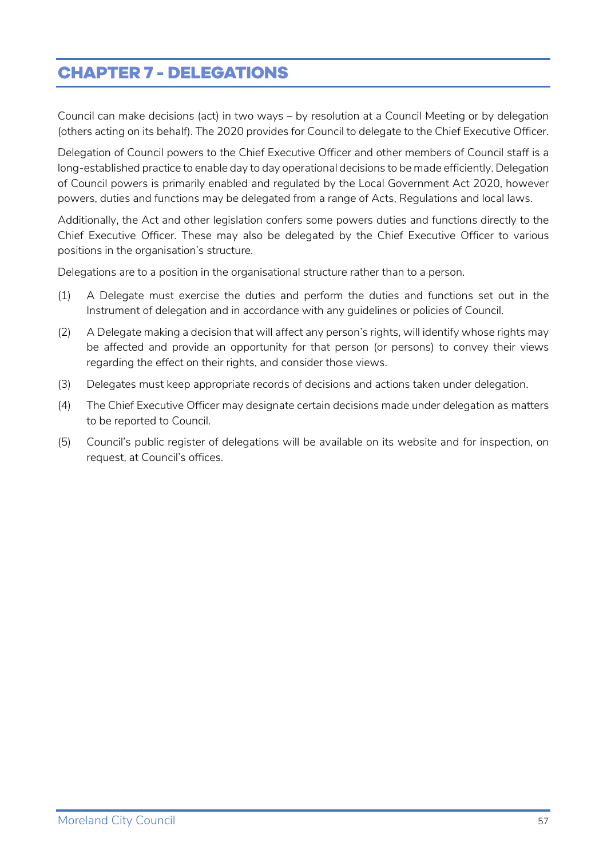# <span id="page-56-0"></span>**CHAPTER 7 - DELEGATIONS**

Council can make decisions (act) in two ways – by resolution at a Council Meeting or by delegation (others acting on its behalf). The 2020 provides for Council to delegate to the Chief Executive Officer.

Delegation of Council powers to the Chief Executive Officer and other members of Council staff is a long-established practice to enable day to day operational decisions to be made efficiently. Delegation of Council powers is primarily enabled and regulated by the Local Government Act 2020, however powers, duties and functions may be delegated from a range of Acts, Regulations and local laws.

Additionally, the Act and other legislation confers some powers duties and functions directly to the Chief Executive Officer. These may also be delegated by the Chief Executive Officer to various positions in the organisation's structure.

Delegations are to a position in the organisational structure rather than to a person.

- (1) A Delegate must exercise the duties and perform the duties and functions set out in the Instrument of delegation and in accordance with any guidelines or policies of Council.
- (2) A Delegate making a decision that will affect any person's rights, will identify whose rights may be affected and provide an opportunity for that person (or persons) to convey their views regarding the effect on their rights, and consider those views.
- (3) Delegates must keep appropriate records of decisions and actions taken under delegation.
- (4) The Chief Executive Officer may designate certain decisions made under delegation as matters to be reported to Council.
- (5) Council's public register of delegations will be available on its website and for inspection, on request, at Council's offices.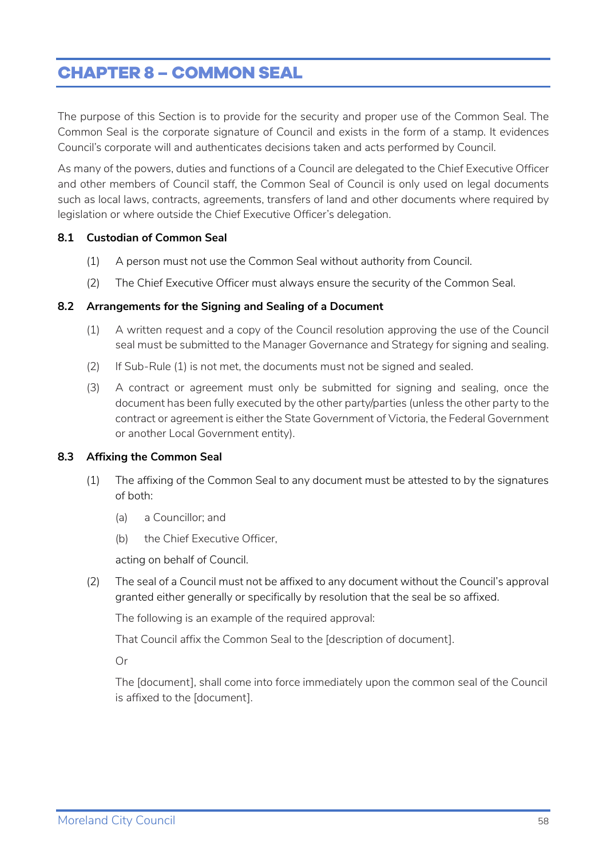# <span id="page-57-0"></span>**CHAPTER 8 – COMMON SEAL**

The purpose of this Section is to provide for the security and proper use of the Common Seal. The Common Seal is the corporate signature of Council and exists in the form of a stamp. It evidences Council's corporate will and authenticates decisions taken and acts performed by Council.

As many of the powers, duties and functions of a Council are delegated to the Chief Executive Officer and other members of Council staff, the Common Seal of Council is only used on legal documents such as local laws, contracts, agreements, transfers of land and other documents where required by legislation or where outside the Chief Executive Officer's delegation.

#### <span id="page-57-1"></span>**8.1 Custodian of Common Seal**

- (1) A person must not use the Common Seal without authority from Council.
- (2) The Chief Executive Officer must always ensure the security of the Common Seal.

#### <span id="page-57-2"></span>**8.2 Arrangements for the Signing and Sealing of a Document**

- (1) A written request and a copy of the Council resolution approving the use of the Council seal must be submitted to the Manager Governance and Strategy for signing and sealing.
- (2) If Sub-Rule (1) is not met, the documents must not be signed and sealed.
- (3) A contract or agreement must only be submitted for signing and sealing, once the document has been fully executed by the other party/parties (unless the other party to the contract or agreement is either the State Government of Victoria, the Federal Government or another Local Government entity).

#### <span id="page-57-3"></span>**8.3 Affixing the Common Seal**

- (1) The affixing of the Common Seal to any document must be attested to by the signatures of both:
	- (a) a Councillor; and
	- (b) the Chief Executive Officer,

acting on behalf of Council.

(2) The seal of a Council must not be affixed to any document without the Council's approval granted either generally or specifically by resolution that the seal be so affixed.

The following is an example of the required approval:

That Council affix the Common Seal to the [description of document].

Or

The [document], shall come into force immediately upon the common seal of the Council is affixed to the [document].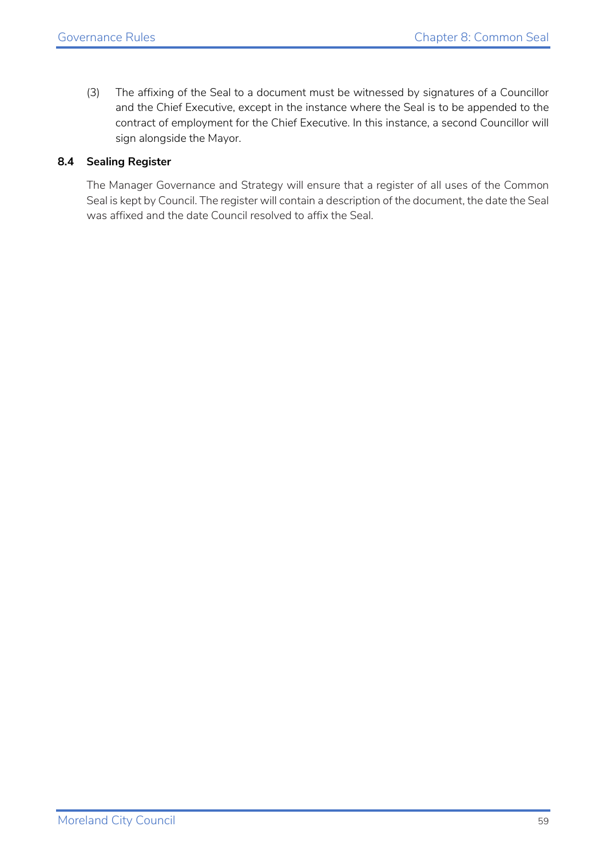(3) The affixing of the Seal to a document must be witnessed by signatures of a Councillor and the Chief Executive, except in the instance where the Seal is to be appended to the contract of employment for the Chief Executive. In this instance, a second Councillor will sign alongside the Mayor.

#### <span id="page-58-0"></span>**8.4 Sealing Register**

The Manager Governance and Strategy will ensure that a register of all uses of the Common Seal is kept by Council. The register will contain a description of the document, the date the Seal was affixed and the date Council resolved to affix the Seal.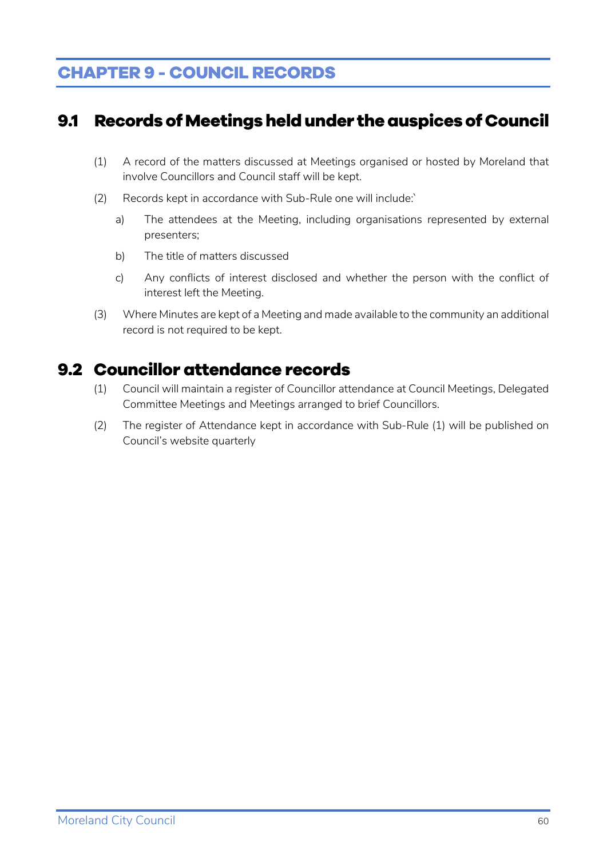# <span id="page-59-0"></span>**CHAPTER 9 - COUNCIL RECORDS**

## <span id="page-59-1"></span>**9.1 Records of Meetings held under the auspices of Council**

- (1) A record of the matters discussed at Meetings organised or hosted by Moreland that involve Councillors and Council staff will be kept.
- (2) Records kept in accordance with Sub-Rule one will include:`
	- a) The attendees at the Meeting, including organisations represented by external presenters;
	- b) The title of matters discussed
	- c) Any conflicts of interest disclosed and whether the person with the conflict of interest left the Meeting.
- (3) Where Minutes are kept of a Meeting and made available to the community an additional record is not required to be kept.

## <span id="page-59-2"></span>**9.2 Councillor attendance records**

- (1) Council will maintain a register of Councillor attendance at Council Meetings, Delegated Committee Meetings and Meetings arranged to brief Councillors.
- (2) The register of Attendance kept in accordance with Sub-Rule (1) will be published on Council's website quarterly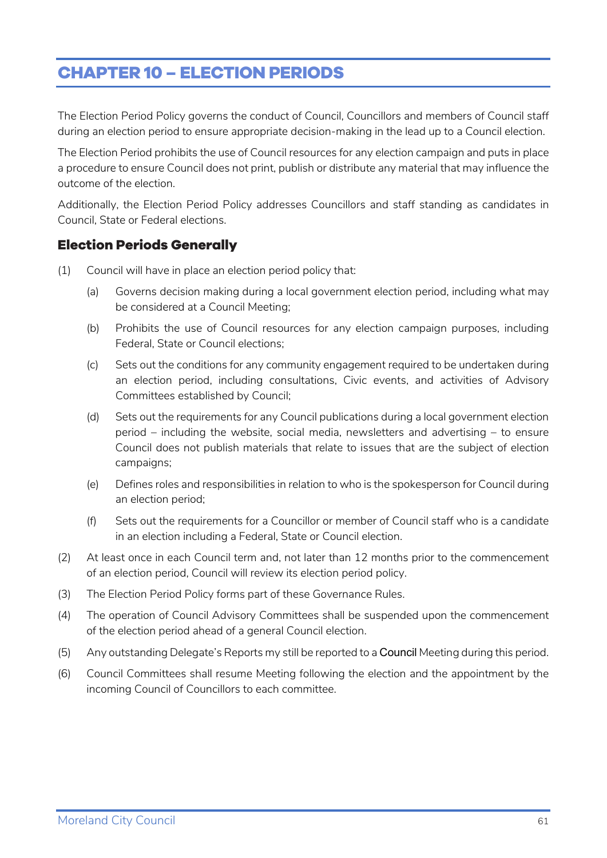# <span id="page-60-0"></span>**CHAPTER 10 – ELECTION PERIODS**

The Election Period Policy governs the conduct of Council, Councillors and members of Council staff during an election period to ensure appropriate decision-making in the lead up to a Council election.

The Election Period prohibits the use of Council resources for any election campaign and puts in place a procedure to ensure Council does not print, publish or distribute any material that may influence the outcome of the election.

Additionally, the Election Period Policy addresses Councillors and staff standing as candidates in Council, State or Federal elections.

#### <span id="page-60-1"></span>**Election Periods Generally**

- (1) Council will have in place an election period policy that:
	- (a) Governs decision making during a local government election period, including what may be considered at a Council Meeting;
	- (b) Prohibits the use of Council resources for any election campaign purposes, including Federal, State or Council elections;
	- (c) Sets out the conditions for any community engagement required to be undertaken during an election period, including consultations, Civic events, and activities of Advisory Committees established by Council;
	- (d) Sets out the requirements for any Council publications during a local government election period – including the website, social media, newsletters and advertising – to ensure Council does not publish materials that relate to issues that are the subject of election campaigns;
	- (e) Defines roles and responsibilities in relation to who is the spokesperson for Council during an election period;
	- (f) Sets out the requirements for a Councillor or member of Council staff who is a candidate in an election including a Federal, State or Council election.
- (2) At least once in each Council term and, not later than 12 months prior to the commencement of an election period, Council will review its election period policy.
- (3) The Election Period Policy forms part of these Governance Rules.
- (4) The operation of Council Advisory Committees shall be suspended upon the commencement of the election period ahead of a general Council election.
- (5) Any outstanding Delegate's Reports my still be reported to a Council Meeting during this period.
- (6) Council Committees shall resume Meeting following the election and the appointment by the incoming Council of Councillors to each committee.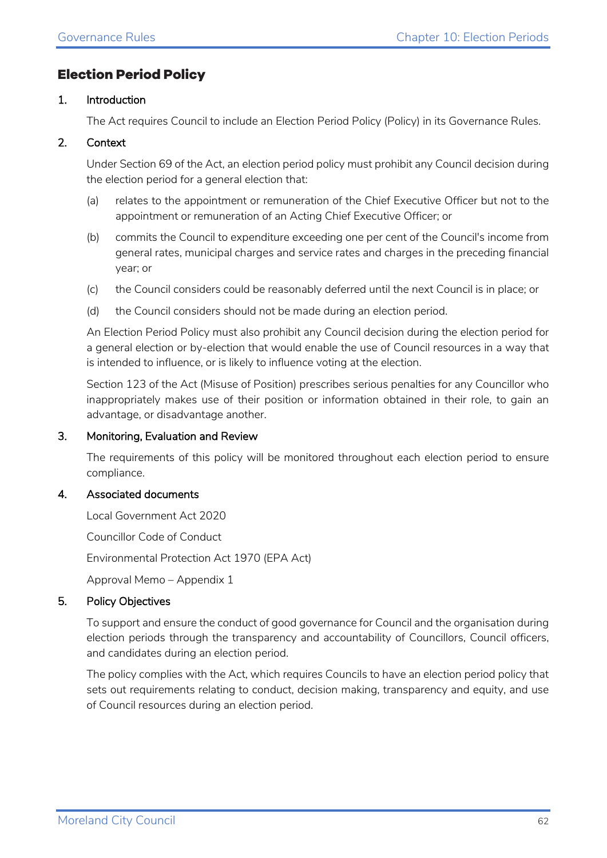#### <span id="page-61-0"></span>**Election Period Policy**

#### 1. Introduction

The Act requires Council to include an Election Period Policy (Policy) in its Governance Rules.

#### 2. Context

Under Section 69 of the Act, an election period policy must prohibit any Council decision during the election period for a general election that:

- (a) relates to the appointment or remuneration of the Chief Executive Officer but not to the appointment or remuneration of an Acting Chief Executive Officer; or
- (b) commits the Council to expenditure exceeding one per cent of the Council's income from general rates, municipal charges and service rates and charges in the preceding financial year; or
- (c) the Council considers could be reasonably deferred until the next Council is in place; or
- (d) the Council considers should not be made during an election period.

An Election Period Policy must also prohibit any Council decision during the election period for a general election or by-election that would enable the use of Council resources in a way that is intended to influence, or is likely to influence voting at the election.

Section 123 of the Act (Misuse of Position) prescribes serious penalties for any Councillor who inappropriately makes use of their position or information obtained in their role, to gain an advantage, or disadvantage another.

#### 3. Monitoring, Evaluation and Review

The requirements of this policy will be monitored throughout each election period to ensure compliance.

#### 4. Associated documents

Local Government Act 2020

Councillor Code of Conduct

Environmental Protection Act 1970 (EPA Act)

Approval Memo – Appendix 1

#### 5. Policy Objectives

To support and ensure the conduct of good governance for Council and the organisation during election periods through the transparency and accountability of Councillors, Council officers, and candidates during an election period.

The policy complies with the Act, which requires Councils to have an election period policy that sets out requirements relating to conduct, decision making, transparency and equity, and use of Council resources during an election period.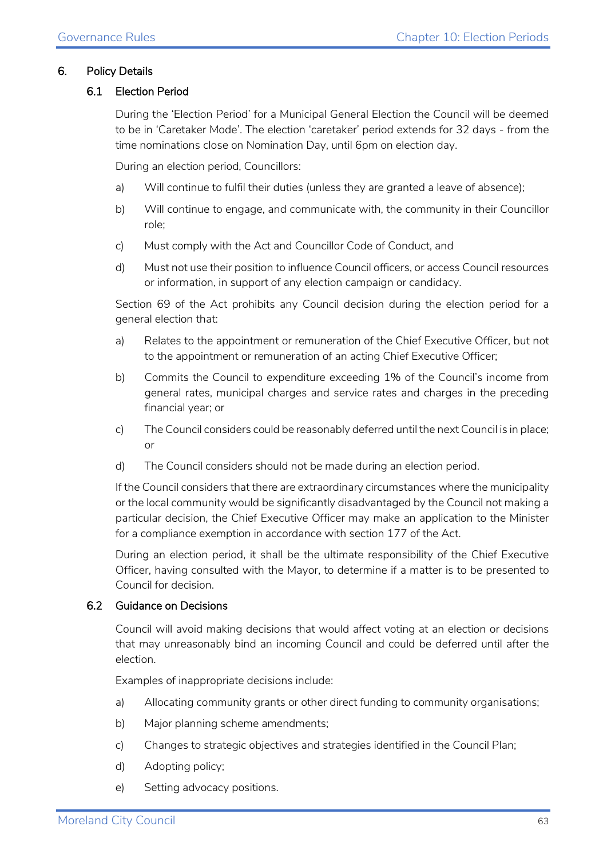#### 6. Policy Details

#### 6.1 Election Period

During the 'Election Period' for a Municipal General Election the Council will be deemed to be in 'Caretaker Mode'. The election 'caretaker' period extends for 32 days - from the time nominations close on Nomination Day, until 6pm on election day.

During an election period, Councillors:

- a) Will continue to fulfil their duties (unless they are granted a leave of absence);
- b) Will continue to engage, and communicate with, the community in their Councillor role;
- c) Must comply with the Act and Councillor Code of Conduct, and
- d) Must not use their position to influence Council officers, or access Council resources or information, in support of any election campaign or candidacy.

Section 69 of the Act prohibits any Council decision during the election period for a general election that:

- a) Relates to the appointment or remuneration of the Chief Executive Officer, but not to the appointment or remuneration of an acting Chief Executive Officer;
- b) Commits the Council to expenditure exceeding 1% of the Council's income from general rates, municipal charges and service rates and charges in the preceding financial year; or
- c) The Council considers could be reasonably deferred until the next Council is in place; or
- d) The Council considers should not be made during an election period.

If the Council considers that there are extraordinary circumstances where the municipality or the local community would be significantly disadvantaged by the Council not making a particular decision, the Chief Executive Officer may make an application to the Minister for a compliance exemption in accordance with section 177 of the Act.

During an election period, it shall be the ultimate responsibility of the Chief Executive Officer, having consulted with the Mayor, to determine if a matter is to be presented to Council for decision.

#### 6.2 Guidance on Decisions

Council will avoid making decisions that would affect voting at an election or decisions that may unreasonably bind an incoming Council and could be deferred until after the election.

Examples of inappropriate decisions include:

- a) Allocating community grants or other direct funding to community organisations;
- b) Major planning scheme amendments;
- c) Changes to strategic objectives and strategies identified in the Council Plan;
- d) Adopting policy;
- e) Setting advocacy positions.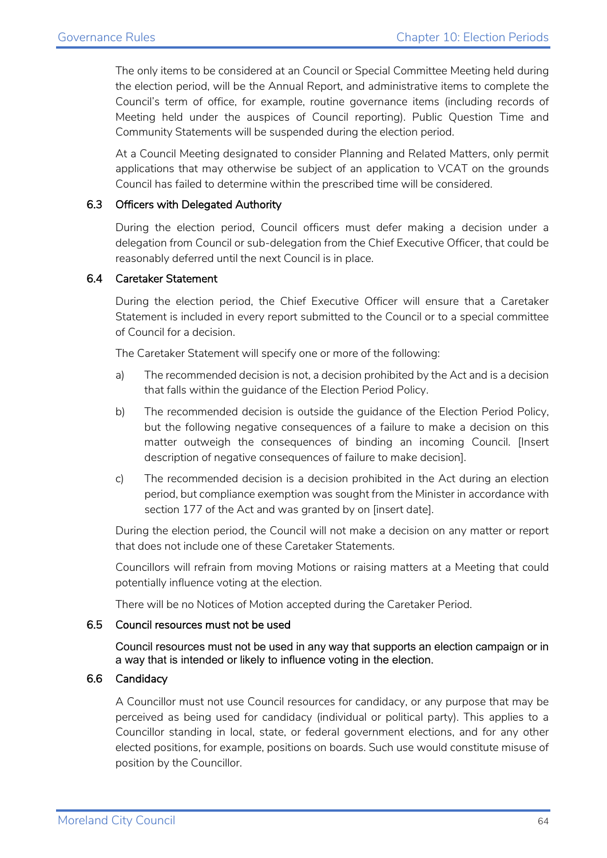The only items to be considered at an Council or Special Committee Meeting held during the election period, will be the Annual Report, and administrative items to complete the Council's term of office, for example, routine governance items (including records of Meeting held under the auspices of Council reporting). Public Question Time and Community Statements will be suspended during the election period.

At a Council Meeting designated to consider Planning and Related Matters, only permit applications that may otherwise be subject of an application to VCAT on the grounds Council has failed to determine within the prescribed time will be considered.

#### 6.3 Officers with Delegated Authority

During the election period, Council officers must defer making a decision under a delegation from Council or sub-delegation from the Chief Executive Officer, that could be reasonably deferred until the next Council is in place.

#### 6.4 Caretaker Statement

During the election period, the Chief Executive Officer will ensure that a Caretaker Statement is included in every report submitted to the Council or to a special committee of Council for a decision.

The Caretaker Statement will specify one or more of the following:

- a) The recommended decision is not, a decision prohibited by the Act and is a decision that falls within the guidance of the Election Period Policy.
- b) The recommended decision is outside the guidance of the Election Period Policy, but the following negative consequences of a failure to make a decision on this matter outweigh the consequences of binding an incoming Council. [Insert description of negative consequences of failure to make decision].
- c) The recommended decision is a decision prohibited in the Act during an election period, but compliance exemption was sought from the Minister in accordance with section 177 of the Act and was granted by on [insert date].

During the election period, the Council will not make a decision on any matter or report that does not include one of these Caretaker Statements.

Councillors will refrain from moving Motions or raising matters at a Meeting that could potentially influence voting at the election.

There will be no Notices of Motion accepted during the Caretaker Period.

#### 6.5 Council resources must not be used

Council resources must not be used in any way that supports an election campaign or in a way that is intended or likely to influence voting in the election.

#### 6.6 Candidacy

A Councillor must not use Council resources for candidacy, or any purpose that may be perceived as being used for candidacy (individual or political party). This applies to a Councillor standing in local, state, or federal government elections, and for any other elected positions, for example, positions on boards. Such use would constitute misuse of position by the Councillor.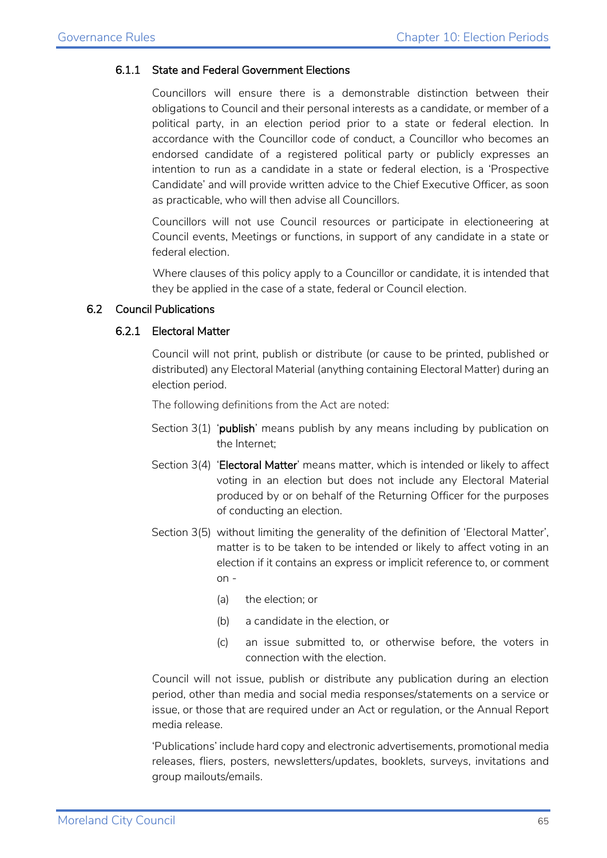#### 6.1.1 State and Federal Government Elections

Councillors will ensure there is a demonstrable distinction between their obligations to Council and their personal interests as a candidate, or member of a political party, in an election period prior to a state or federal election. In accordance with the Councillor code of conduct, a Councillor who becomes an endorsed candidate of a registered political party or publicly expresses an intention to run as a candidate in a state or federal election, is a 'Prospective Candidate' and will provide written advice to the Chief Executive Officer, as soon as practicable, who will then advise all Councillors.

Councillors will not use Council resources or participate in electioneering at Council events, Meetings or functions, in support of any candidate in a state or federal election.

Where clauses of this policy apply to a Councillor or candidate, it is intended that they be applied in the case of a state, federal or Council election.

#### 6.2 Council Publications

#### 6.2.1 Electoral Matter

Council will not print, publish or distribute (or cause to be printed, published or distributed) any Electoral Material (anything containing Electoral Matter) during an election period.

The following definitions from the Act are noted:

- Section  $3(1)$  'publish' means publish by any means including by publication on the Internet;
- Section  $3(4)$  'Electoral Matter' means matter, which is intended or likely to affect voting in an election but does not include any Electoral Material produced by or on behalf of the Returning Officer for the purposes of conducting an election.
- Section 3(5) without limiting the generality of the definition of 'Electoral Matter', matter is to be taken to be intended or likely to affect voting in an election if it contains an express or implicit reference to, or comment on -
	- (a) the election; or
	- (b) a candidate in the election, or
	- (c) an issue submitted to, or otherwise before, the voters in connection with the election.

Council will not issue, publish or distribute any publication during an election period, other than media and social media responses/statements on a service or issue, or those that are required under an Act or regulation, or the Annual Report media release.

'Publications' include hard copy and electronic advertisements, promotional media releases, fliers, posters, newsletters/updates, booklets, surveys, invitations and group mailouts/emails.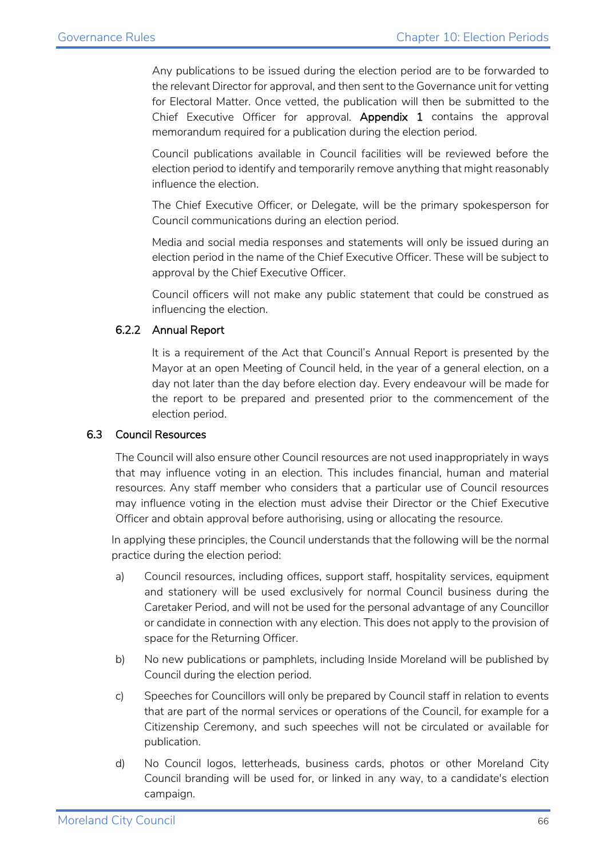Any publications to be issued during the election period are to be forwarded to the relevant Director for approval, and then sent to the Governance unit for vetting for Electoral Matter. Once vetted, the publication will then be submitted to the Chief Executive Officer for approval. Appendix 1 contains the approval memorandum required for a publication during the election period.

Council publications available in Council facilities will be reviewed before the election period to identify and temporarily remove anything that might reasonably influence the election.

The Chief Executive Officer, or Delegate, will be the primary spokesperson for Council communications during an election period.

Media and social media responses and statements will only be issued during an election period in the name of the Chief Executive Officer. These will be subject to approval by the Chief Executive Officer.

Council officers will not make any public statement that could be construed as influencing the election.

#### 6.2.2 Annual Report

It is a requirement of the Act that Council's Annual Report is presented by the Mayor at an open Meeting of Council held, in the year of a general election, on a day not later than the day before election day. Every endeavour will be made for the report to be prepared and presented prior to the commencement of the election period.

#### 6.3 Council Resources

The Council will also ensure other Council resources are not used inappropriately in ways that may influence voting in an election. This includes financial, human and material resources. Any staff member who considers that a particular use of Council resources may influence voting in the election must advise their Director or the Chief Executive Officer and obtain approval before authorising, using or allocating the resource.

In applying these principles, the Council understands that the following will be the normal practice during the election period:

- a) Council resources, including offices, support staff, hospitality services, equipment and stationery will be used exclusively for normal Council business during the Caretaker Period, and will not be used for the personal advantage of any Councillor or candidate in connection with any election. This does not apply to the provision of space for the Returning Officer.
- b) No new publications or pamphlets, including Inside Moreland will be published by Council during the election period.
- c) Speeches for Councillors will only be prepared by Council staff in relation to events that are part of the normal services or operations of the Council, for example for a Citizenship Ceremony, and such speeches will not be circulated or available for publication.
- d) No Council logos, letterheads, business cards, photos or other Moreland City Council branding will be used for, or linked in any way, to a candidate's election campaign.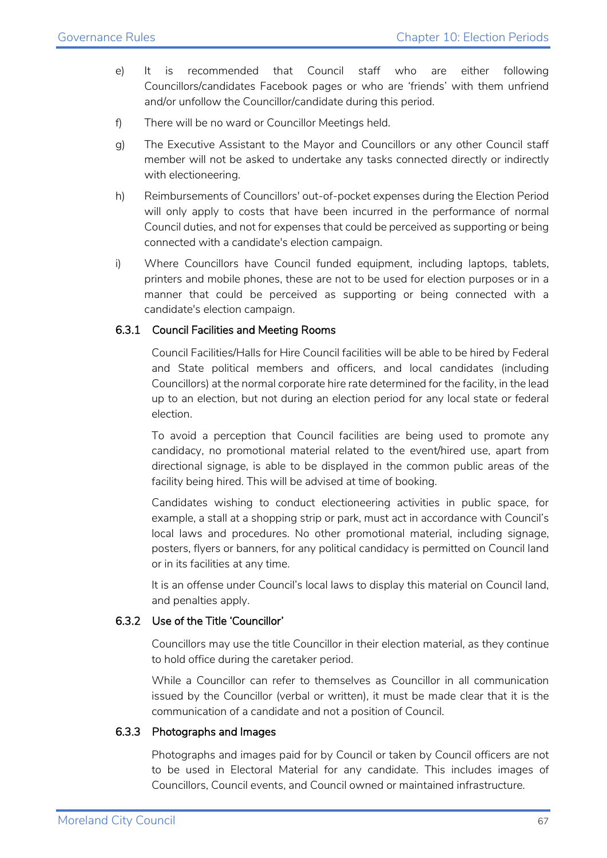- e) It is recommended that Council staff who are either following Councillors/candidates Facebook pages or who are 'friends' with them unfriend and/or unfollow the Councillor/candidate during this period.
- f) There will be no ward or Councillor Meetings held.
- g) The Executive Assistant to the Mayor and Councillors or any other Council staff member will not be asked to undertake any tasks connected directly or indirectly with electioneering.
- h) Reimbursements of Councillors' out-of-pocket expenses during the Election Period will only apply to costs that have been incurred in the performance of normal Council duties, and not for expenses that could be perceived as supporting or being connected with a candidate's election campaign.
- i) Where Councillors have Council funded equipment, including laptops, tablets, printers and mobile phones, these are not to be used for election purposes or in a manner that could be perceived as supporting or being connected with a candidate's election campaign.

#### 6.3.1 Council Facilities and Meeting Rooms

Council Facilities/Halls for Hire Council facilities will be able to be hired by Federal and State political members and officers, and local candidates (including Councillors) at the normal corporate hire rate determined for the facility, in the lead up to an election, but not during an election period for any local state or federal election.

To avoid a perception that Council facilities are being used to promote any candidacy, no promotional material related to the event/hired use, apart from directional signage, is able to be displayed in the common public areas of the facility being hired. This will be advised at time of booking.

Candidates wishing to conduct electioneering activities in public space, for example, a stall at a shopping strip or park, must act in accordance with Council's local laws and procedures. No other promotional material, including signage, posters, flyers or banners, for any political candidacy is permitted on Council land or in its facilities at any time.

It is an offense under Council's local laws to display this material on Council land, and penalties apply.

#### 6.3.2 Use of the Title 'Councillor'

Councillors may use the title Councillor in their election material, as they continue to hold office during the caretaker period.

While a Councillor can refer to themselves as Councillor in all communication issued by the Councillor (verbal or written), it must be made clear that it is the communication of a candidate and not a position of Council.

#### 6.3.3 Photographs and Images

Photographs and images paid for by Council or taken by Council officers are not to be used in Electoral Material for any candidate. This includes images of Councillors, Council events, and Council owned or maintained infrastructure.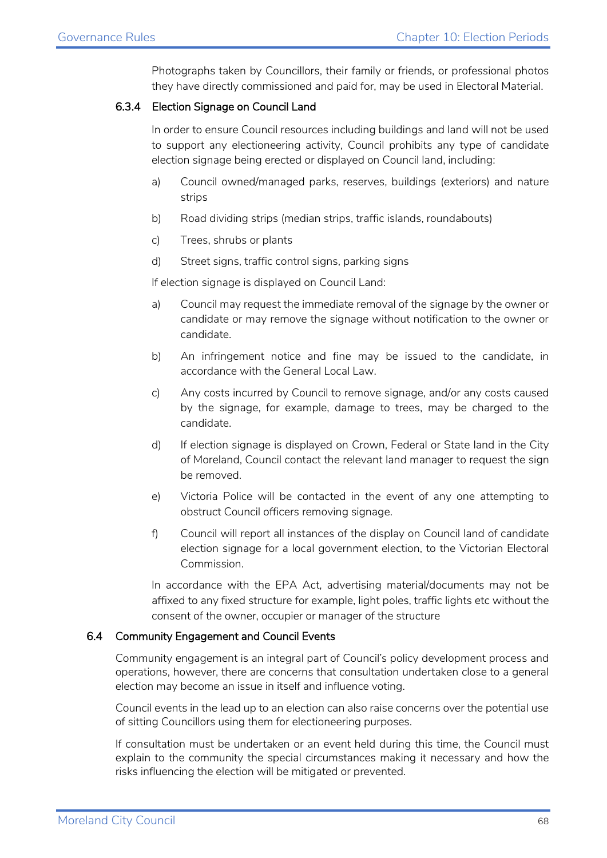Photographs taken by Councillors, their family or friends, or professional photos they have directly commissioned and paid for, may be used in Electoral Material.

#### 6.3.4 Election Signage on Council Land

In order to ensure Council resources including buildings and land will not be used to support any electioneering activity, Council prohibits any type of candidate election signage being erected or displayed on Council land, including:

- a) Council owned/managed parks, reserves, buildings (exteriors) and nature strips
- b) Road dividing strips (median strips, traffic islands, roundabouts)
- c) Trees, shrubs or plants
- d) Street signs, traffic control signs, parking signs

If election signage is displayed on Council Land:

- a) Council may request the immediate removal of the signage by the owner or candidate or may remove the signage without notification to the owner or candidate.
- b) An infringement notice and fine may be issued to the candidate, in accordance with the General Local Law.
- c) Any costs incurred by Council to remove signage, and/or any costs caused by the signage, for example, damage to trees, may be charged to the candidate.
- d) If election signage is displayed on Crown, Federal or State land in the City of Moreland, Council contact the relevant land manager to request the sign be removed.
- e) Victoria Police will be contacted in the event of any one attempting to obstruct Council officers removing signage.
- f) Council will report all instances of the display on Council land of candidate election signage for a local government election, to the Victorian Electoral Commission.

In accordance with the EPA Act, advertising material/documents may not be affixed to any fixed structure for example, light poles, traffic lights etc without the consent of the owner, occupier or manager of the structure

#### 6.4 Community Engagement and Council Events

Community engagement is an integral part of Council's policy development process and operations, however, there are concerns that consultation undertaken close to a general election may become an issue in itself and influence voting.

Council events in the lead up to an election can also raise concerns over the potential use of sitting Councillors using them for electioneering purposes.

If consultation must be undertaken or an event held during this time, the Council must explain to the community the special circumstances making it necessary and how the risks influencing the election will be mitigated or prevented.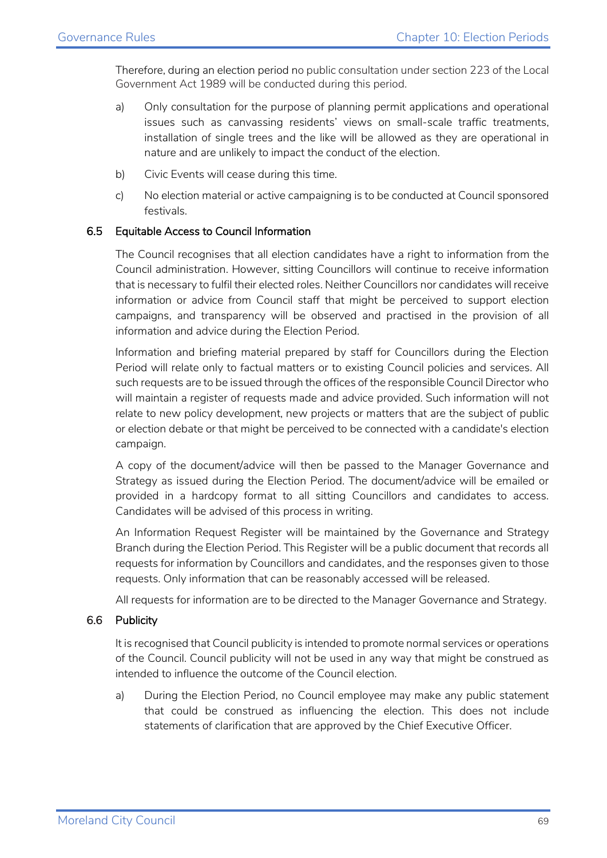Therefore, during an election period no public consultation under section 223 of the Local Government Act 1989 will be conducted during this period.

- a) Only consultation for the purpose of planning permit applications and operational issues such as canvassing residents' views on small-scale traffic treatments, installation of single trees and the like will be allowed as they are operational in nature and are unlikely to impact the conduct of the election.
- b) Civic Events will cease during this time.
- c) No election material or active campaigning is to be conducted at Council sponsored festivals.

#### 6.5 Equitable Access to Council Information

The Council recognises that all election candidates have a right to information from the Council administration. However, sitting Councillors will continue to receive information that is necessary to fulfil their elected roles. Neither Councillors nor candidates will receive information or advice from Council staff that might be perceived to support election campaigns, and transparency will be observed and practised in the provision of all information and advice during the Election Period.

Information and briefing material prepared by staff for Councillors during the Election Period will relate only to factual matters or to existing Council policies and services. All such requests are to be issued through the offices of the responsible Council Director who will maintain a register of requests made and advice provided. Such information will not relate to new policy development, new projects or matters that are the subject of public or election debate or that might be perceived to be connected with a candidate's election campaign.

A copy of the document/advice will then be passed to the Manager Governance and Strategy as issued during the Election Period. The document/advice will be emailed or provided in a hardcopy format to all sitting Councillors and candidates to access. Candidates will be advised of this process in writing.

An Information Request Register will be maintained by the Governance and Strategy Branch during the Election Period. This Register will be a public document that records all requests for information by Councillors and candidates, and the responses given to those requests. Only information that can be reasonably accessed will be released.

All requests for information are to be directed to the Manager Governance and Strategy.

#### 6.6 Publicity

It is recognised that Council publicity is intended to promote normal services or operations of the Council. Council publicity will not be used in any way that might be construed as intended to influence the outcome of the Council election.

a) During the Election Period, no Council employee may make any public statement that could be construed as influencing the election. This does not include statements of clarification that are approved by the Chief Executive Officer.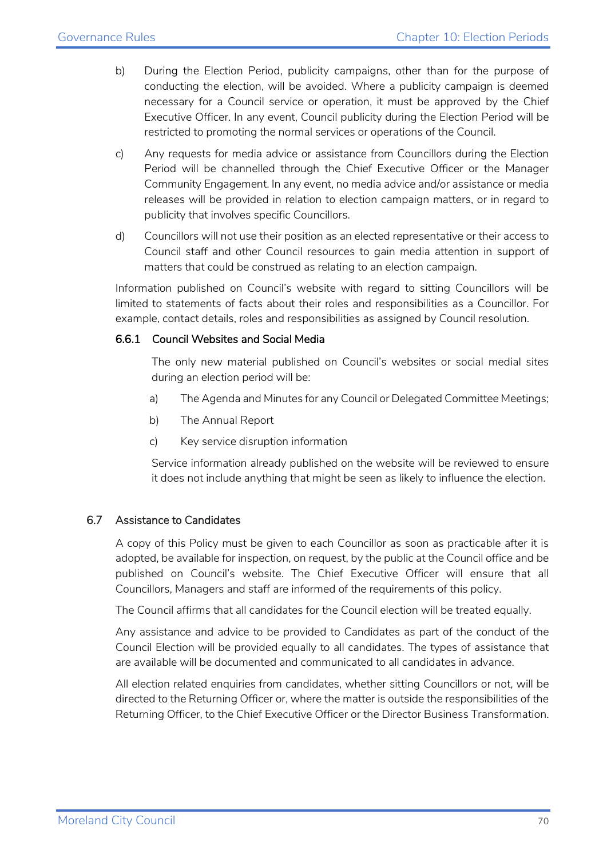- b) During the Election Period, publicity campaigns, other than for the purpose of conducting the election, will be avoided. Where a publicity campaign is deemed necessary for a Council service or operation, it must be approved by the Chief Executive Officer. In any event, Council publicity during the Election Period will be restricted to promoting the normal services or operations of the Council.
- c) Any requests for media advice or assistance from Councillors during the Election Period will be channelled through the Chief Executive Officer or the Manager Community Engagement. In any event, no media advice and/or assistance or media releases will be provided in relation to election campaign matters, or in regard to publicity that involves specific Councillors.
- d) Councillors will not use their position as an elected representative or their access to Council staff and other Council resources to gain media attention in support of matters that could be construed as relating to an election campaign.

Information published on Council's website with regard to sitting Councillors will be limited to statements of facts about their roles and responsibilities as a Councillor. For example, contact details, roles and responsibilities as assigned by Council resolution.

#### 6.6.1 Council Websites and Social Media

The only new material published on Council's websites or social medial sites during an election period will be:

- a) The Agenda and Minutes for any Council or Delegated Committee Meetings;
- b) The Annual Report
- c) Key service disruption information

Service information already published on the website will be reviewed to ensure it does not include anything that might be seen as likely to influence the election.

#### 6.7 Assistance to Candidates

A copy of this Policy must be given to each Councillor as soon as practicable after it is adopted, be available for inspection, on request, by the public at the Council office and be published on Council's website. The Chief Executive Officer will ensure that all Councillors, Managers and staff are informed of the requirements of this policy.

The Council affirms that all candidates for the Council election will be treated equally.

Any assistance and advice to be provided to Candidates as part of the conduct of the Council Election will be provided equally to all candidates. The types of assistance that are available will be documented and communicated to all candidates in advance.

All election related enquiries from candidates, whether sitting Councillors or not, will be directed to the Returning Officer or, where the matter is outside the responsibilities of the Returning Officer, to the Chief Executive Officer or the Director Business Transformation.